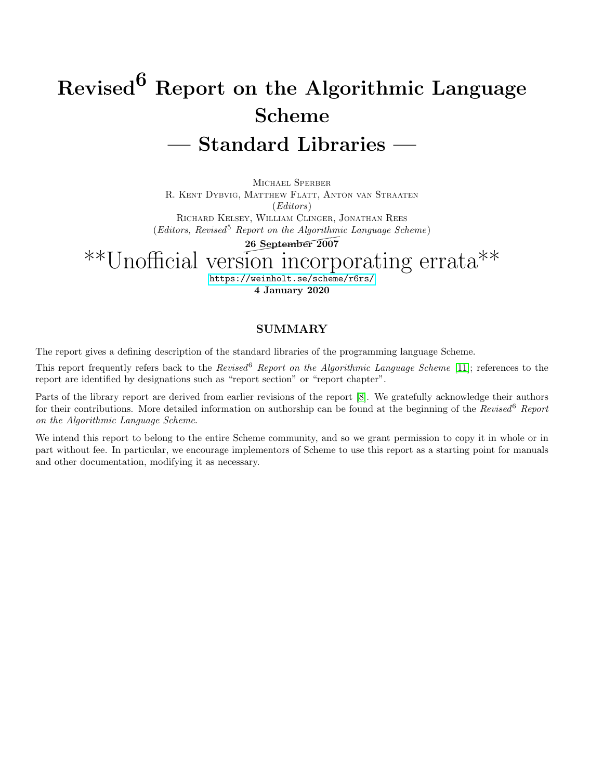# Revised $^6$  Report on the Algorithmic Language Scheme — Standard Libraries —

MICHAEL SPERBER R. KENT DYBVIG, MATTHEW FLATT, ANTON VAN STRAATEN (Editors) RICHARD KELSEY, WILLIAM CLINGER, JONATHAN REES  $(Editors, Revised<sup>5</sup> Report on the Algorithmic Language Scheme)$ 

eport on the Algorithm<br>26 September 2007

# \*\*Unofficial version incorporating errata\*\* <https://weinholt.se/scheme/r6rs/>

4 January 2020

# SUMMARY

The report gives a defining description of the standard libraries of the programming language Scheme.

This report frequently refers back to the Revised  $6$  Report on the Algorithmic Language Scheme [\[11\]](#page-65-0); references to the report are identified by designations such as "report section" or "report chapter".

Parts of the library report are derived from earlier revisions of the report [\[8\]](#page-65-1). We gratefully acknowledge their authors for their contributions. More detailed information on authorship can be found at the beginning of the Revised<sup>6</sup> Report on the Algorithmic Language Scheme.

We intend this report to belong to the entire Scheme community, and so we grant permission to copy it in whole or in part without fee. In particular, we encourage implementors of Scheme to use this report as a starting point for manuals and other documentation, modifying it as necessary.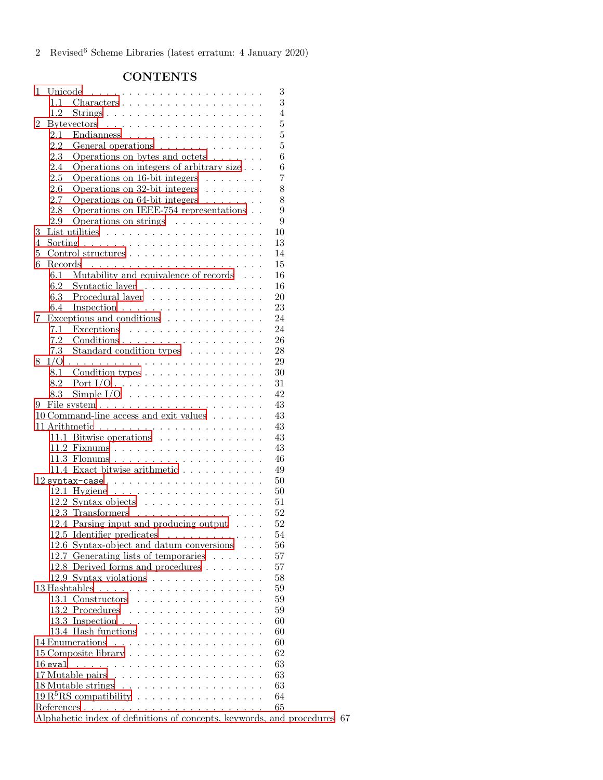# **CONTENTS**

| 1 | Unicode |                                                                          | 3  |  |
|---|---------|--------------------------------------------------------------------------|----|--|
|   | 1.1     | $Characters \ldots \ldots \ldots \ldots \ldots \ldots$                   | 3  |  |
|   | 1.2     |                                                                          | 4  |  |
| 2 |         | By tevectors $\ldots \ldots \ldots \ldots \ldots \ldots \ldots$          | 5  |  |
|   | 2.1     | Endianness                                                               | 5  |  |
|   | 2.2     | General operations                                                       | 5  |  |
|   | 2.3     | Operations on bytes and octets $\dots \dots$                             | 6  |  |
|   | 2.4     | Operations on integers of arbitrary size                                 | 6  |  |
|   | 2.5     | Operations on 16-bit integers $\dots \dots$                              | 7  |  |
|   | 2.6     | Operations on 32-bit integers $\dots \dots$                              | 8  |  |
|   | 2.7     | Operations on 64-bit integers $\dots \dots$                              | 8  |  |
|   | 2.8     | Operations on IEEE-754 representations                                   | 9  |  |
|   | 2.9     | Operations on strings $\dots \dots \dots$                                | 9  |  |
| 3 |         |                                                                          | 10 |  |
| 4 |         |                                                                          | 13 |  |
| 5 |         | Control structures                                                       | 14 |  |
| 6 | Records |                                                                          | 15 |  |
|   | 6.1     |                                                                          |    |  |
|   |         | Mutability and equivalence of records                                    | 16 |  |
|   | 6.2     | Syntactic layer $\dots \dots \dots \dots \dots$                          | 16 |  |
|   | 6.3     | Procedural layer                                                         | 20 |  |
|   | 6.4     | Inspection $\ldots \ldots \ldots \ldots \ldots \ldots$                   | 23 |  |
| 7 |         | Exceptions and conditions $\ldots \ldots \ldots \ldots$                  | 24 |  |
|   | 7.1     | Exceptions $\ldots \ldots \ldots \ldots \ldots \ldots$                   | 24 |  |
|   | 7.2     |                                                                          | 26 |  |
|   | 7.3     | Standard condition types                                                 | 28 |  |
| 8 | I/O     |                                                                          | 29 |  |
|   | 8.1     | Condition types                                                          | 30 |  |
|   | 8.2     | Port $I/O \ldots \ldots \ldots \ldots \ldots \ldots \ldots$              | 31 |  |
|   | 8.3     | Simple I/O $\ldots \ldots \ldots \ldots \ldots \ldots$                   | 42 |  |
| 9 |         |                                                                          | 43 |  |
|   |         | 10 Command-line access and exit values                                   | 43 |  |
|   |         |                                                                          | 43 |  |
|   |         | 11.1 Bitwise operations                                                  | 43 |  |
|   |         |                                                                          | 43 |  |
|   |         |                                                                          | 46 |  |
|   |         | 11.4 Exact bitwise arithmetic                                            | 49 |  |
|   |         |                                                                          | 50 |  |
|   |         |                                                                          | 50 |  |
|   |         |                                                                          | 51 |  |
|   |         | 12.2 Syntax objects $\ldots \ldots \ldots \ldots \ldots$                 |    |  |
|   |         | 12.3 Transformers                                                        | 52 |  |
|   |         | 12.4 Parsing input and producing output                                  | 52 |  |
|   |         | 12.5 Identifier predicates                                               | 54 |  |
|   |         | 12.6 Syntax-object and datum conversions $\ldots$                        | 56 |  |
|   |         | 12.7 Generating lists of temporaries                                     | 57 |  |
|   |         | 12.8 Derived forms and procedures                                        | 57 |  |
|   |         | 12.9 Syntax violations                                                   | 58 |  |
|   |         |                                                                          | 59 |  |
|   |         | $13.1$ Constructors                                                      | 59 |  |
|   |         | $13.2$ Procedures                                                        | 59 |  |
|   |         |                                                                          | 60 |  |
|   |         | 13.4 Hash functions                                                      | 60 |  |
|   |         |                                                                          | 60 |  |
|   |         | $15$ Composite library $\ldots \ldots \ldots \ldots \ldots \ldots$       | 62 |  |
|   |         | $16$ eval $\ldots \ldots \ldots \ldots \ldots \ldots \ldots \ldots$      | 63 |  |
|   |         | $17$ Mutable pairs $\ldots \ldots \ldots \ldots \ldots \ldots$           | 63 |  |
|   |         | $18$ Mutable strings $\ldots \ldots \ldots \ldots \ldots \ldots$         | 63 |  |
|   |         | $19 \text{ R}^5 \text{RS}$ compatibility                                 | 64 |  |
|   |         |                                                                          | 65 |  |
|   |         | Alphabetic index of definitions of concepts, keywords, and procedures 67 |    |  |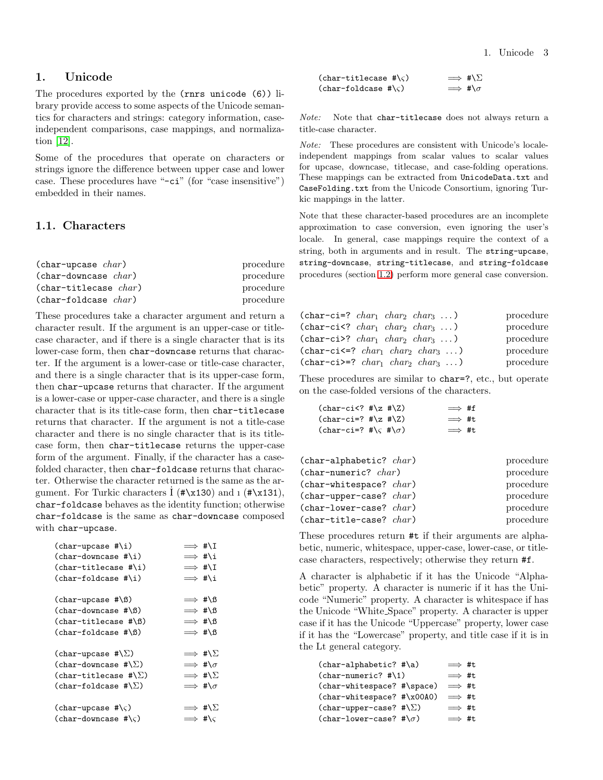# <span id="page-2-0"></span>1. Unicode

The procedures exported by the (rnrs unicode (6)) library provide access to some aspects of the Unicode semantics for characters and strings: category information, caseindependent comparisons, case mappings, and normalization [\[12\]](#page-65-2).

Some of the procedures that operate on characters or strings ignore the difference between upper case and lower case. These procedures have "-ci" (for "case insensitive") embedded in their names.

# <span id="page-2-1"></span>1.1. Characters

| $(char$ -upcase $char)$   | procedure |
|---------------------------|-----------|
| $(char-downcase \ char)$  | procedure |
| $(char-titlecase \ char)$ | procedure |
| $(char-foldcase \ char)$  | procedure |

These procedures take a character argument and return a character result. If the argument is an upper-case or titlecase character, and if there is a single character that is its lower-case form, then char-downcase returns that character. If the argument is a lower-case or title-case character, and there is a single character that is its upper-case form, then char-upcase returns that character. If the argument is a lower-case or upper-case character, and there is a single character that is its title-case form, then char-titlecase returns that character. If the argument is not a title-case character and there is no single character that is its titlecase form, then char-titlecase returns the upper-case form of the argument. Finally, if the character has a casefolded character, then char-foldcase returns that character. Otherwise the character returned is the same as the argument. For Turkic characters  $\dot{I}$  (#\x130) and  $\iota$  (#\x131), char-foldcase behaves as the identity function; otherwise char-foldcase is the same as char-downcase composed with char-upcase.

| $(char$ -upcase #\i)          | $\implies$ #\I                  |
|-------------------------------|---------------------------------|
| $(char-downcase$ #\i)         | ⇒ #\i                           |
| $(char-titlecase \#i)$        | $\implies$ #\I                  |
| $(char-foldcase$ #\i)         | ⇒ #\i                           |
| $(char$ -upcase $# \S)$       | $\implies$ #\ß                  |
| $(char-downcase #\beta)$      | $\implies$ #\ß                  |
| $(char-titlecase$ #\ $\beta)$ | $\implies$ #\ß                  |
| $(char-foldcase \#B)$         | $\implies$ #\ß                  |
| (char-upcase # $\Sigma$ )     | $\implies \# \backslash \Sigma$ |
| (char-downcase $\#\Sigma$ )   | $\implies$ #\ $\sigma$          |
| (char-titlecase $\#\Sigma$ )  | $\implies \# \backslash \Sigma$ |
| $(char-foldcase \# \Sigma)$   | $\implies \# \setminus \sigma$  |
| $(char$ -upcase # $\zeta)$    | $\implies \# \backslash \Sigma$ |
| $(char-downcase \# \S)$       | $\implies$ #\c                  |

| $(char-titlecase \# \setminus \varsigma)$ | $\implies$ #\ $\Sigma$ |
|-------------------------------------------|------------------------|
| $(char-foldcase \# \c)$                   | $\implies$ #\ $\sigma$ |

Note: Note that char-titlecase does not always return a title-case character.

Note: These procedures are consistent with Unicode's localeindependent mappings from scalar values to scalar values for upcase, downcase, titlecase, and case-folding operations. These mappings can be extracted from UnicodeData.txt and CaseFolding.txt from the Unicode Consortium, ignoring Turkic mappings in the latter.

Note that these character-based procedures are an incomplete approximation to case conversion, even ignoring the user's locale. In general, case mappings require the context of a string, both in arguments and in result. The string-upcase, string-downcase, string-titlecase, and string-foldcase procedures (section [1.2\)](#page-3-0) perform more general case conversion.

| (char-ci=? $char_1$ char <sub>2</sub> char <sub>3</sub> ) | procedure |
|-----------------------------------------------------------|-----------|
| (char-ci <math char_1 $char_2$ $char_3$ )                 | procedure |
| (char-ci>? $char_1 char_2 char_3 $ )                      | procedure |
| (char-ci<=? $char_1$ $char_2$ $char_3$ )                  | procedure |
| (char-ci>=? $char_1$ $char_2$ $char_3$ )                  | procedure |

These procedures are similar to char=?, etc., but operate on the case-folded versions of the characters.

| $(char-ci #\z #\Z)$                 |  | $\implies$ #f |  |
|-------------------------------------|--|---------------|--|
| $(char-ci=?$ #\z #\Z)               |  | $\implies$ #t |  |
| (char-ci=? #\ $\zeta$ #\ $\sigma$ ) |  | $\implies$ #t |  |

| (char-alphabetic? char)      | procedure |
|------------------------------|-----------|
| $(char-numberic? char)$      | procedure |
| $(char$ -whitespace? $char)$ | procedure |
| $(char$ -upper-case? $char)$ | procedure |
| $(char-lower-case? char)$    | procedure |
| $(char-title-case? char)$    | procedure |

These procedures return #t if their arguments are alphabetic, numeric, whitespace, upper-case, lower-case, or titlecase characters, respectively; otherwise they return #f.

A character is alphabetic if it has the Unicode "Alphabetic" property. A character is numeric if it has the Unicode "Numeric" property. A character is whitespace if has the Unicode "White Space" property. A character is upper case if it has the Unicode "Uppercase" property, lower case if it has the "Lowercase" property, and title case if it is in the Lt general category.

| (char-alphabetic? #\a)         | $\implies$ #t |
|--------------------------------|---------------|
| $(char-numberic?$ #\1)         | $\implies$ #t |
| (char-whitespace? #\space)     | $\implies$ #t |
| (char-whitespace? #\x00A0)     | $\implies$ #t |
| (char-upper-case? $\#\Sigma$ ) | $\implies$ #t |
| (char-lower-case? # $\sigma$ ) | $\implies$ #t |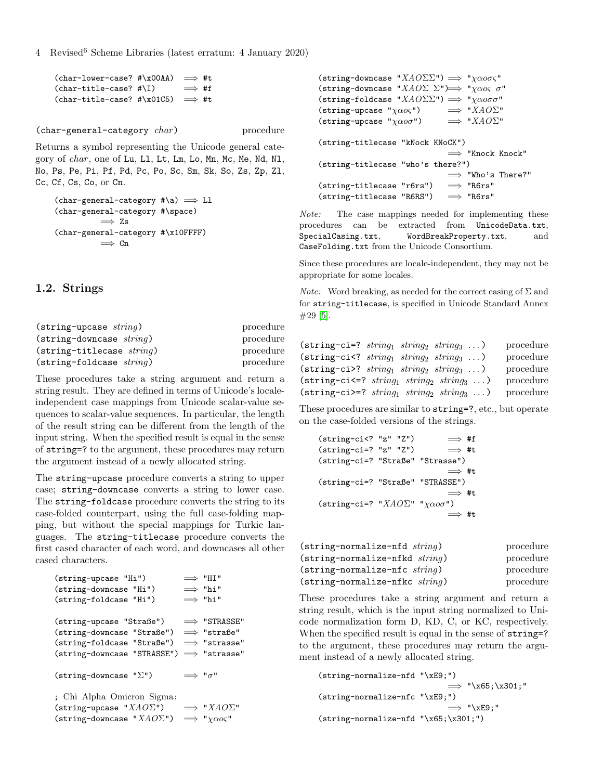```
(char-lower-case? #\x00AA) \implies #t
(char-title-case? #\I) \implies #f(char-title-case? #\x01C5) \implies #t
```
(char-general-category *char*) procedure

Returns a symbol representing the Unicode general category of *char*, one of Lu, L1, Lt, Lm, Lo, Mn, Mc, Me, Nd, N1, No, Ps, Pe, Pi, Pf, Pd, Pc, Po, Sc, Sm, Sk, So, Zs, Zp, Zl, Cc, Cf, Cs, Co, or Cn.

```
(char-general-category \#\a) \implies L1(char-general-category #\space)
           \implies Zs
(char-general-category #\x10FFFF)
           \implies Cn
```
# <span id="page-3-0"></span>1.2. Strings

| $(\text{string}\text{-}\text{upcase} \, \, string)$ | procedure |
|-----------------------------------------------------|-----------|
| $(\text{string-downcase} \, string)$                | procedure |
| $(string-titlecase \ string)$                       | procedure |
| $(string-foldcase \ string)$                        | procedure |

These procedures take a string argument and return a string result. They are defined in terms of Unicode's localeindependent case mappings from Unicode scalar-value sequences to scalar-value sequences. In particular, the length of the result string can be different from the length of the input string. When the specified result is equal in the sense of string=? to the argument, these procedures may return the argument instead of a newly allocated string.

The string-upcase procedure converts a string to upper case; string-downcase converts a string to lower case. The string-foldcase procedure converts the string to its case-folded counterpart, using the full case-folding mapping, but without the special mappings for Turkic languages. The string-titlecase procedure converts the first cased character of each word, and downcases all other cased characters.

| (string-upcase "Hi")                  |                         | $\implies$ "HI"                                     |
|---------------------------------------|-------------------------|-----------------------------------------------------|
| (string-downcase "Hi")                |                         | $\implies$ "hi"                                     |
| (string-foldcase "Hi")                |                         | $\implies$ "hi"                                     |
|                                       |                         | $\implies$ "STRASSE"                                |
| (string-upcase "Straße")              |                         |                                                     |
| (string-downcase "Straße")            |                         | $\implies$ "straße"                                 |
| (string-foldcase "Straße")            |                         | $\implies$ "strasse"                                |
| (string-downcase "STRASSE")           |                         | $\implies$ "strasse"                                |
| $(\text{string-downcase } " \Sigma")$ | $\implies$ " $\sigma$ " |                                                     |
| ; Chi Alpha Omicron Sigma:            |                         |                                                     |
| (string-upcase " $XAO\Sigma$ ")       |                         | $\Rightarrow$ "XAO <sup><math>\Gamma</math></sup> " |
| (string-downcase " $XAO\Sigma$ ")     |                         | $\implies$ " $\chi \alpha$ os"                      |

```
(string-downcase "XAO\Sigma\Sigma") \implies "\chi\alpha o\sigma\varsigma"
(string-downcase "XAO\Sigma \Sigma")\Longrightarrow "\chi \alpha o \varsigma \sigma"
(string-foldcase "XAO\Sigma\Sigma") \implies "\chi\alpha o\sigma\sigma"
(string-upcase "\chi \alpha o \varsigma") \implies "XAO\Sigma"
(string-upcase "\chi \alpha o \sigma") \implies "XAO\Sigma"
(string-titlecase "kNock KNoCK")
                                          =⇒ "Knock Knock"
(string-titlecase "who's there?")
                                         \implies "Who's There?"<br>\implies "R6rs"
(string-titlecase "rfs")(string-titlecase "R6RS") \implies "R6rs"
```
Note: The case mappings needed for implementing these procedures can be extracted from UnicodeData.txt, SpecialCasing.txt, WordBreakProperty.txt, and CaseFolding.txt from the Unicode Consortium.

Since these procedures are locale-independent, they may not be appropriate for some locales.

*Note:* Word breaking, as needed for the correct casing of  $\Sigma$  and for string-titlecase, is specified in Unicode Standard Annex #29 [\[5\]](#page-64-1).

| $(\text{string-ci=?} \ string_1 \ string_2 \ string_3 \ )$                                    |  | procedure |
|-----------------------------------------------------------------------------------------------|--|-----------|
| $(\text{string-ci} \leq ? \text{ string}_1 \text{ string}_2 \text{ string}_3 \dots)$          |  | procedure |
| $(\text{string-ci}>? \text{ string}_1 \text{ string}_2 \text{ string}_3 \dots)$               |  | procedure |
| $(\text{string}-\text{ci}\leq\text{?} \text{string}_1 \text{string}_2 \text{string}_3 \dots)$ |  | procedure |
| $(\text{string-ci}>=? \text{string}_1 \text{string}_2 \text{string}_3 \dots)$                 |  | procedure |

These procedures are similar to string=?, etc., but operate on the case-folded versions of the strings.

 $(string-ci "z" "Z")</math  $\implies #f$$  $(\text{string-ci=? "z" "Z") \implies #t$ (string-ci=? "Straße" "Strasse")  $\implies$  #t. (string-ci=? "Straße" "STRASSE")  $\implies$ #t (string-ci=? " $XAO\Sigma$ " " $\chi$ αοσ")  $\implies$ #t

| $(string-normalize\n-nfd \, string)$ | procedure |
|--------------------------------------|-----------|
| $(string-normalize-nfkd \ string)$   | procedure |
| $(string-normalize-nfc \ string)$    | procedure |
| $(string-normalize-nfkc \, string)$  | procedure |

These procedures take a string argument and return a string result, which is the input string normalized to Unicode normalization form D, KD, C, or KC, respectively. When the specified result is equal in the sense of string=? to the argument, these procedures may return the argument instead of a newly allocated string.

(string-normalize-nfd "\xE9;")  $\implies$  "\x65;\x301;" (string-normalize-nfc "\xE9;") =⇒ "\xE9;" (string-normalize-nfd "\x65;\x301;")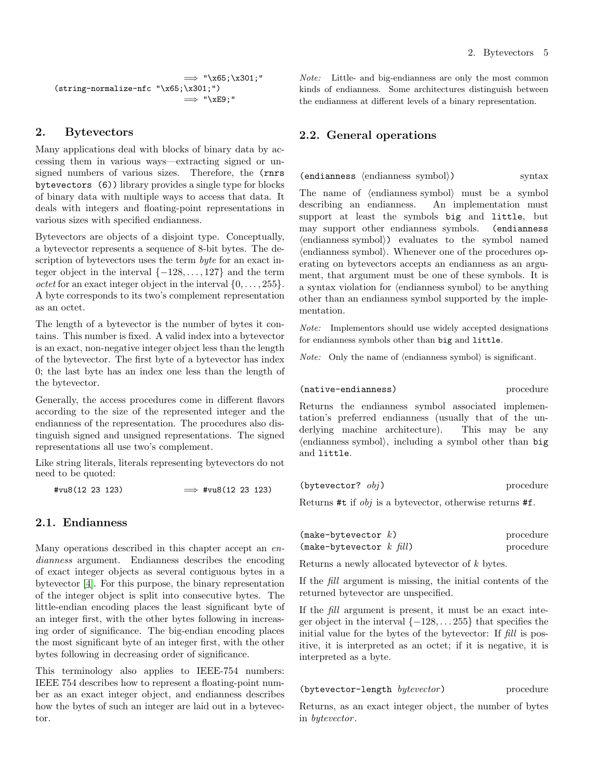$$
\implies "\x65;\x301;"
$$
  

$$
(\text{string-normalize-nfc} "\x65;\x301;")
$$
  

$$
\implies "\xE9;"
$$

# <span id="page-4-0"></span>2. Bytevectors

Many applications deal with blocks of binary data by accessing them in various ways—extracting signed or unsigned numbers of various sizes. Therefore, the (rnrs bytevectors (6)) library provides a single type for blocks of binary data with multiple ways to access that data. It deals with integers and floating-point representations in various sizes with specified endianness.

Bytevectors are objects of a disjoint type. Conceptually, a bytevector represents a sequence of 8-bit bytes. The description of bytevectors uses the term *byte* for an exact integer object in the interval  $\{-128, \ldots, 127\}$  and the term *octet* for an exact integer object in the interval  $\{0, \ldots, 255\}.$ A byte corresponds to its two's complement representation as an octet.

The length of a bytevector is the number of bytes it contains. This number is fixed. A valid index into a bytevector is an exact, non-negative integer object less than the length of the bytevector. The first byte of a bytevector has index 0; the last byte has an index one less than the length of the bytevector.

Generally, the access procedures come in different flavors according to the size of the represented integer and the endianness of the representation. The procedures also distinguish signed and unsigned representations. The signed representations all use two's complement.

Like string literals, literals representing bytevectors do not need to be quoted:

 $\text{\#vu8}(12 \ 23 \ 123) \longrightarrow \text{\#vu8}(12 \ 23 \ 123)$ 

# <span id="page-4-1"></span>2.1. Endianness

Many operations described in this chapter accept an endianness argument. Endianness describes the encoding of exact integer objects as several contiguous bytes in a bytevector [\[4\]](#page-64-2). For this purpose, the binary representation of the integer object is split into consecutive bytes. The little-endian encoding places the least significant byte of an integer first, with the other bytes following in increasing order of significance. The big-endian encoding places the most significant byte of an integer first, with the other bytes following in decreasing order of significance.

This terminology also applies to IEEE-754 numbers: IEEE 754 describes how to represent a floating-point number as an exact integer object, and endianness describes how the bytes of such an integer are laid out in a bytevector.

Note: Little- and big-endianness are only the most common kinds of endianness. Some architectures distinguish between the endianness at different levels of a binary representation.

#### <span id="page-4-2"></span>2.2. General operations

 $(endi$ anness  $\langle$ endianness symbol $\rangle$ ) syntax

The name of  $\langle$  endianness symbol $\rangle$  must be a symbol describing an endianness. An implementation must support at least the symbols big and little, but may support other endianness symbols. (endianness  $\langle$ endianness symbol $\rangle$ ) evaluates to the symbol named  $\langle$ endianness symbol $\rangle$ . Whenever one of the procedures operating on bytevectors accepts an endianness as an argument, that argument must be one of these symbols. It is a syntax violation for  $\langle$  endianness symbol $\rangle$  to be anything other than an endianness symbol supported by the implementation.

Note: Implementors should use widely accepted designations for endianness symbols other than big and little.

*Note:* Only the name of  $\langle$  endianness symbol $\rangle$  is significant.

#### (native-endianness) procedure

Returns the endianness symbol associated implementation's preferred endianness (usually that of the underlying machine architecture). This may be any  $\langle$ endianness symbol $\rangle$ , including a symbol other than big and little.

 $(\text{bytevector? } \text{obj})$  procedure

Returns  $#t$  if  $obj$  is a bytevector, otherwise returns  $#f$ .

| $(make-bytevector k)$      | procedure |
|----------------------------|-----------|
| (make-bytevector $k$ fill) | procedure |

Returns a newly allocated bytevector of k bytes.

If the fill argument is missing, the initial contents of the returned bytevector are unspecified.

If the fill argument is present, it must be an exact integer object in the interval  $\{-128, \ldots, 255\}$  that specifies the initial value for the bytes of the bytevector: If fill is positive, it is interpreted as an octet; if it is negative, it is interpreted as a byte.

(bytevector-length *bytevector*) procedure

Returns, as an exact integer object, the number of bytes in bytevector .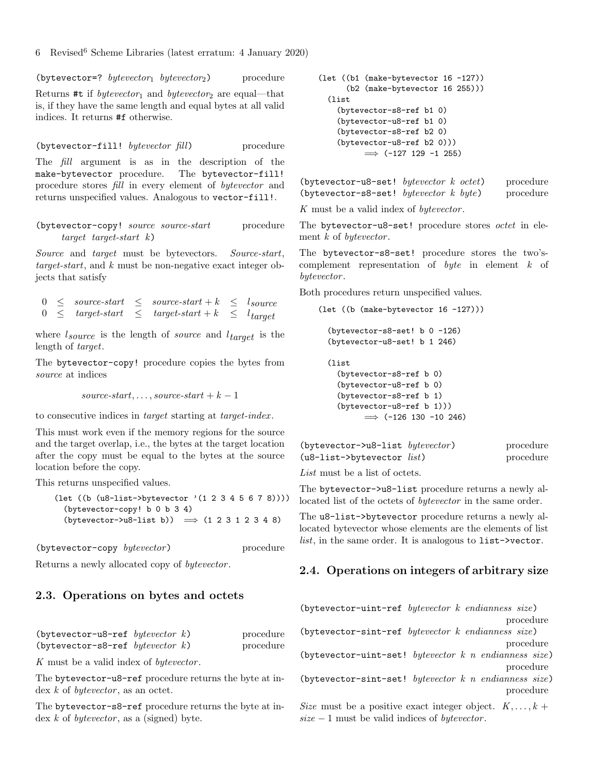(bytevector=? bytevector<sub>1</sub> bytevector<sub>2</sub>) procedure

Returns #t if bytevector<sub>1</sub> and bytevector<sub>2</sub> are equal—that is, if they have the same length and equal bytes at all valid indices. It returns #f otherwise.

(bytevector-fill! bytevector fill) procedure

The fill argument is as in the description of the make-bytevector procedure. The bytevector-fill! procedure stores fill in every element of bytevector and returns unspecified values. Analogous to vector-fill!.

(bytevector-copy! source source-start procedure target target-start k)

Source and target must be bytevectors. Source-start, target-start, and k must be non-negative exact integer objects that satisfy

|          | $\leq$ source-start | $\leq$ source-start + $k \leq$ lsource                 |  |
|----------|---------------------|--------------------------------------------------------|--|
| $\theta$ | $\leq$ target-start | $\therefore$ $\leq$ target-start + $k \leq l_{target}$ |  |

where  $l_{source}$  is the length of *source* and  $l_{target}$  is the length of target.

The bytevector-copy! procedure copies the bytes from source at indices

 $source\text{-}start, \ldots, source\text{-}start + k - 1$ 

to consecutive indices in target starting at target-index .

This must work even if the memory regions for the source and the target overlap, i.e., the bytes at the target location after the copy must be equal to the bytes at the source location before the copy.

This returns unspecified values.

|  | $(\text{let } ((b (u8-list->bytevector '(1 2 3 4 5 6 7 8))))$      |  |  |  |  |  |  |
|--|--------------------------------------------------------------------|--|--|--|--|--|--|
|  | $(\text{bytevector-copy! } b \space 0 \space b \space 3 \space 4)$ |  |  |  |  |  |  |
|  | (bytevector->u8-list b)) $\implies$ (1 2 3 1 2 3 4 8)              |  |  |  |  |  |  |

(bytevector-copy bytevector) procedure

<span id="page-5-0"></span>Returns a newly allocated copy of bytevector .

# 2.3. Operations on bytes and octets

| (bytevector-u8-ref bytevector $k$ ) |  | procedure |
|-------------------------------------|--|-----------|
| (bytevector-s8-ref bytevector $k$ ) |  | procedure |

K must be a valid index of *bytevector*.

The bytevector-u8-ref procedure returns the byte at in- $\text{dex } k$  of *bytevector*, as an octet.

The bytevector-s8-ref procedure returns the byte at index  $k$  of *bytevector*, as a (signed) byte.

```
(let ((b1 (make-bytevector 16 -127))
      (b2 (make-bytevector 16 255)))
  (1)(bytevector-s8-ref b1 0)
    (bytevector-u8-ref b1 0)
    (bytevector-s8-ref b2 0)
    (bytevector-u8-ref b2 0)))
          \implies (-127 129 -1 255)
```
(bytevector-u8-set! bytevector  $k$  octet) procedure (bytevector-s8-set! bytevector  $k$  byte) procedure

 $\boldsymbol{K}$  must be a valid index of  $bytevector.$ 

The bytevector-u8-set! procedure stores *octet* in element  $k$  of *bytevector*.

The bytevector-s8-set! procedure stores the two'scomplement representation of  $byte$  in element  $k$  of bytevector.

Both procedures return unspecified values.

```
(let ((b (make-bytevector 16 -127)))
 (bytevector-s8-set! b 0 -126)
 (bytevector-u8-set! b 1 246)
 (list
    (bytevector-s8-ref b 0)
    (bytevector-u8-ref b 0)
    (bytevector-s8-ref b 1)
   (bytevector-u8-ref b 1)))
         =⇒ (-126 130 -10 246)
```

| (bytevector->u8-list bytevector) | procedure |
|----------------------------------|-----------|
| $(u8-list->bytevector list)$     | procedure |

List must be a list of octets.

The bytevector->u8-list procedure returns a newly allocated list of the octets of bytevector in the same order.

The u8-list->bytevector procedure returns a newly allocated bytevector whose elements are the elements of list list, in the same order. It is analogous to list->vector.

# <span id="page-5-1"></span>2.4. Operations on integers of arbitrary size

(bytevector-uint-ref bytevector k endianness size) procedure

(bytevector-sint-ref bytevector k endianness size) procedure

(bytevector-uint-set! bytevector  $k$  n endianness size) procedure

(bytevector-sint-set! bytevector k n endianness size) procedure

Size must be a positive exact integer object.  $K, \ldots, k +$  $size - 1$  must be valid indices of bytevector.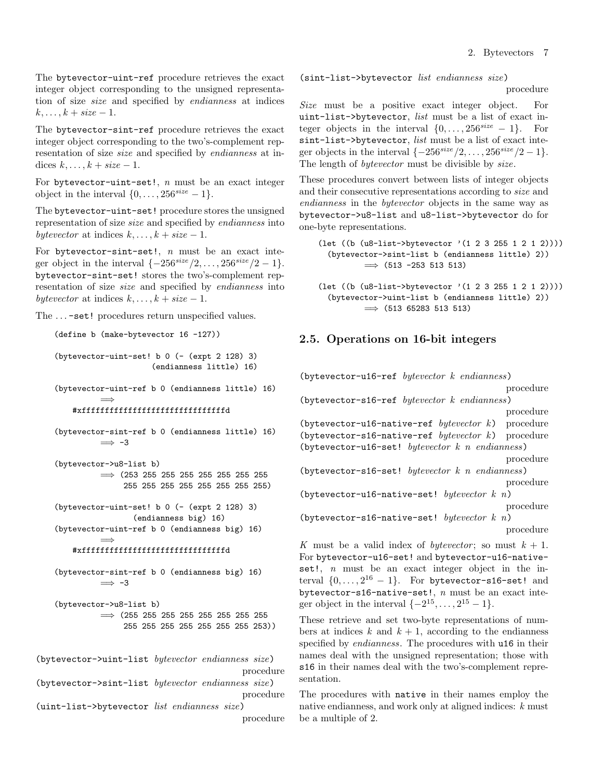The bytevector-uint-ref procedure retrieves the exact integer object corresponding to the unsigned representation of size size and specified by endianness at indices  $k, \ldots, k + size - 1.$ 

The bytevector-sint-ref procedure retrieves the exact integer object corresponding to the two's-complement representation of size size and specified by endianness at indices  $k, \ldots, k + size - 1$ .

For bytevector-uint-set!,  $n$  must be an exact integer object in the interval  $\{0, \ldots, 256^{size} - 1\}.$ 

The bytevector-uint-set! procedure stores the unsigned representation of size size and specified by endianness into bytevector at indices  $k, \ldots, k + size - 1$ .

For bytevector-sint-set!,  $n$  must be an exact integer object in the interval  $\{-256^{size}/2, ..., 256^{size}/2 - 1\}.$ bytevector-sint-set! stores the two's-complement representation of size size and specified by endianness into bytevector at indices  $k, \ldots, k + size - 1$ .

The ... -set! procedures return unspecified values.

```
(define b (make-bytevector 16 -127))
```
(bytevector-uint-set! b 0 (- (expt 2 128) 3) (endianness little) 16)

(bytevector-uint-ref b 0 (endianness little) 16) =⇒ #xfffffffffffffffffffffffffffffffd

```
(bytevector-sint-ref b 0 (endianness little) 16)
          \implies -3
```
(bytevector->u8-list b)

=⇒

```
=⇒ (253 255 255 255 255 255 255 255
    255 255 255 255 255 255 255 255)
```

```
(bytevector-uint-set! b \ 0 (- (expt 2 128) 3)
                 (endianness big) 16)
(bytevector-uint-ref b 0 (endianness big) 16)
```
#### #xfffffffffffffffffffffffffffffffd

```
(bytevector-sint-ref b 0 (endianness big) 16)
          \implies -3
```

```
(bytevector->u8-list b)
         =⇒ (255 255 255 255 255 255 255 255
              255 255 255 255 255 255 255 253))
```

```
(bytevector->uint-list bytevector endianness size)
                                            procedure
(bytevector->sint-list bytevector endianness size)
                                            procedure
(uint-list->bytevector list endianness size)
                                            procedure
```
(sint-list->bytevector list endianness size)

procedure

Size must be a positive exact integer object. For uint-list->bytevector,  $list$  must be a list of exact integer objects in the interval  $\{0, \ldots, 256^{size} - 1\}$ . For sint-list->bytevector, *list* must be a list of exact integer objects in the interval  $\{-256^{size}/2, ..., 256^{size}/2 - 1\}.$ The length of bytevector must be divisible by size.

These procedures convert between lists of integer objects and their consecutive representations according to size and endianness in the bytevector objects in the same way as bytevector->u8-list and u8-list->bytevector do for one-byte representations.

```
(let ((b (u8-list->bytevector '(1 2 3 255 1 2 1 2))))
  (bytevector->sint-list b (endianness little) 2))
          \implies (513 -253 513 513)
```
(let ((b (u8-list->bytevector '(1 2 3 255 1 2 1 2)))) (bytevector->uint-list b (endianness little) 2))  $\implies$  (513 65283 513 513)

# <span id="page-6-0"></span>2.5. Operations on 16-bit integers

 $(\text{bytevector}-u16-\text{ref }bytevector k \text{ endiannes})$ 

procedure (bytevector-s16-ref bytevector k endianness) procedure (bytevector-u16-native-ref bytevector  $k$ ) procedure

(bytevector-s16-native-ref bytevector  $k$ ) procedure (bytevector-u16-set! bytevector k n endianness)

procedure

(bytevector-s16-set! bytevector k n endianness) procedure

(bytevector-u16-native-set! bytevector  $k$  n) procedure

(bytevector-s16-native-set! bytevector  $k$  n) procedure

K must be a valid index of bytevector; so must  $k + 1$ . For bytevector-u16-set! and bytevector-u16-nativeset!,  $n$  must be an exact integer object in the interval  $\{0,\ldots,2^{16}-1\}$ . For bytevector-s16-set! and bytevector-s16-native-set!,  $n$  must be an exact integer object in the interval  $\{-2^{15}, \ldots, 2^{15} - 1\}.$ 

These retrieve and set two-byte representations of numbers at indices  $k$  and  $k + 1$ , according to the endianness specified by endianness. The procedures with u16 in their names deal with the unsigned representation; those with s16 in their names deal with the two's-complement representation.

The procedures with native in their names employ the native endianness, and work only at aligned indices: k must be a multiple of 2.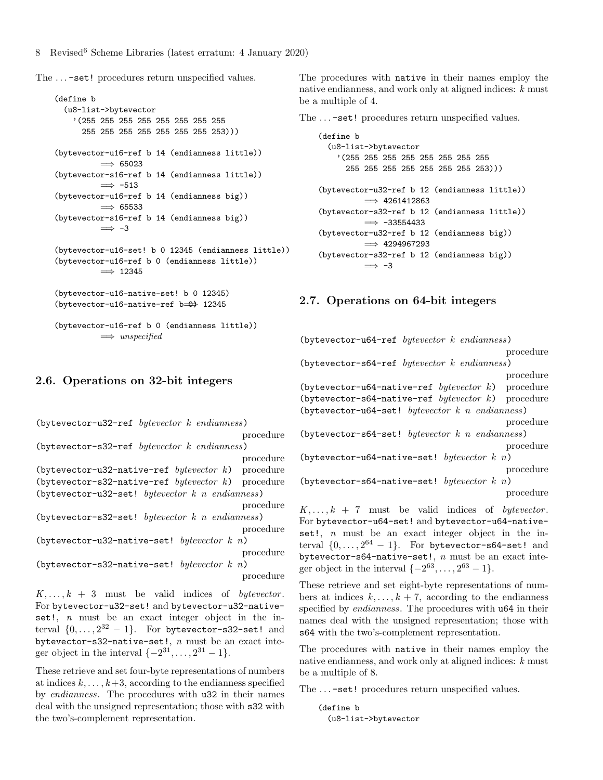The ... -set! procedures return unspecified values.

```
(define b
  (u8-list->bytevector
    '(255 255 255 255 255 255 255 255
      255 255 255 255 255 255 255 253)))
(bytevector-u16-ref b 14 (endianness little))
          =⇒ 65023
(bytevector-s16-ref b 14 (endianness little))
         \implies -513
(bytevector-u16-ref b 14 (endianness big))
          \implies 65533
(bytevector-s16-ref b 14 (endianness big))
          \implies -3(bytevector-u16-set! b 0 12345 (endianness little))
(bytevector-u16-ref b 0 (endianness little))
          =⇒ 12345
(bytevector-u16-native-set! b 0 12345)
(bytevector-u16-native-ref b=\theta) 12345
(bytevector-u16-ref b 0 (endianness little))
```
# $\implies$  unspecified

# <span id="page-7-0"></span>2.6. Operations on 32-bit integers

(bytevector-u32-ref bytevector k endianness)

procedure (bytevector-s32-ref bytevector k endianness) procedure

(bytevector-u32-native-ref bytevector  $k$ ) procedure (bytevector-s32-native-ref  $bytevector k$ ) procedure (bytevector-u32-set! bytevector  $k$  n endianness) procedure

(bytevector-s32-set! bytevector  $k$  n endianness) procedure

(bytevector-u32-native-set! bytevector  $k$  n) procedure

(bytevector-s32-native-set! bytevector  $k$  n) procedure

 $K, \ldots, k + 3$  must be valid indices of bytevector. For bytevector-u32-set! and bytevector-u32-nativeset!,  $n$  must be an exact integer object in the interval  $\{0, \ldots, 2^{32} - 1\}$ . For bytevector-s32-set! and bytevector-s32-native-set!,  $n$  must be an exact integer object in the interval  $\{-2^{31}, \ldots, 2^{31} - 1\}.$ 

These retrieve and set four-byte representations of numbers at indices  $k, \ldots, k+3$ , according to the endianness specified by endianness. The procedures with u32 in their names deal with the unsigned representation; those with s32 with the two's-complement representation.

The procedures with native in their names employ the native endianness, and work only at aligned indices: k must be a multiple of 4.

The ... -set! procedures return unspecified values.

```
(define b
 (u8-list->bytevector
   '(255 255 255 255 255 255 255 255
     255 255 255 255 255 255 255 253)))
(bytevector-u32-ref b 12 (endianness little))
         \implies 4261412863
(bytevector-s32-ref b 12 (endianness little))
          =⇒ -33554433
(bytevector-u32-ref b 12 (endianness big))
          =⇒ 4294967293
(bytevector-s32-ref b 12 (endianness big))
          =⇒ -3
```
# <span id="page-7-1"></span>2.7. Operations on 64-bit integers

(bytevector-u64-ref bytevector k endianness) procedure

(bytevector-s64-ref bytevector k endianness) procedure

(bytevector-u64-native-ref bytevector  $k$ ) procedure

(bytevector-s64-native-ref bytevector  $k$ ) procedure (bytevector-u64-set! bytevector k n endianness)

procedure

(bytevector-s64-set! bytevector k n endianness) procedure

(bytevector-u64-native-set! bytevector  $k$  n) procedure

(bytevector-s64-native-set! bytevector  $k$  n) procedure

 $K, \ldots, k + 7$  must be valid indices of bytevector. For bytevector-u64-set! and bytevector-u64-nativeset!,  $n$  must be an exact integer object in the interval  $\{0,\ldots,2^{64}-1\}$ . For bytevector-s64-set! and bytevector-s64-native-set!,  $n$  must be an exact integer object in the interval  $\{-2^{63}, \ldots, 2^{63} - 1\}.$ 

These retrieve and set eight-byte representations of numbers at indices  $k, \ldots, k + 7$ , according to the endianness specified by *endianness*. The procedures with  $\mu$ 64 in their names deal with the unsigned representation; those with s64 with the two's-complement representation.

The procedures with native in their names employ the native endianness, and work only at aligned indices:  $k$  must be a multiple of 8.

The ...-set! procedures return unspecified values.

(define b (u8-list->bytevector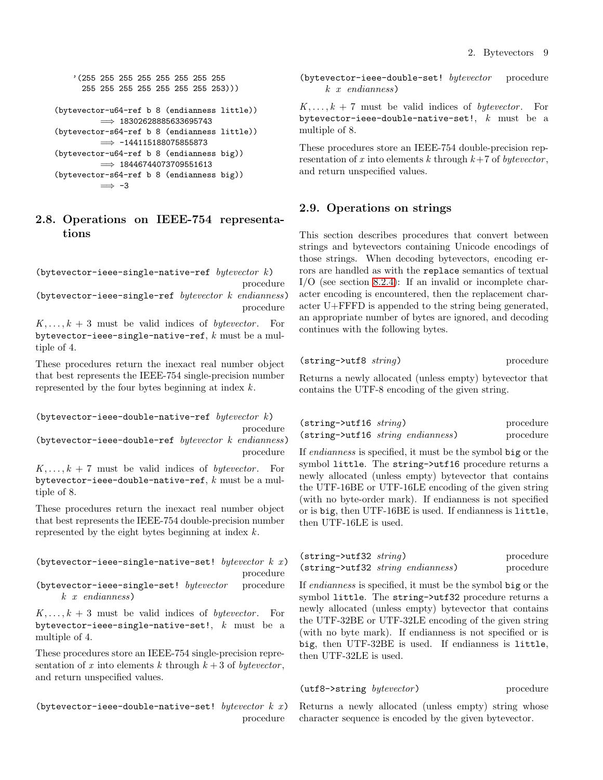```
'(255 255 255 255 255 255 255 255
      255 255 255 255 255 255 255 253)))
(bytevector-u64-ref b 8 (endianness little))
          \implies 18302628885633695743
(bytevector-s64-ref b 8 (endianness little))
          \implies -144115188075855873
(bytevector-u64-ref b 8 (endianness big))
          \implies 18446744073709551613
(bytevector-s64-ref b 8 (endianness big))
          \implies -3
```
# <span id="page-8-0"></span>2.8. Operations on IEEE-754 representations

(bytevector-ieee-single-native-ref bytevector  $k$ ) procedure

(bytevector-ieee-single-ref bytevector k endianness) procedure

 $K, \ldots, k + 3$  must be valid indices of bytevector. For bytevector-ieee-single-native-ref,  $k$  must be a multiple of 4.

These procedures return the inexact real number object that best represents the IEEE-754 single-precision number represented by the four bytes beginning at index  $k$ .

(bytevector-ieee-double-native-ref  $bytevector k$ ) procedure

(bytevector-ieee-double-ref bytevector k endianness) procedure

 $K, \ldots, k + 7$  must be valid indices of bytevector. For bytevector-ieee-double-native-ref,  $k$  must be a multiple of 8.

These procedures return the inexact real number object that best represents the IEEE-754 double-precision number represented by the eight bytes beginning at index k.

# (bytevector-ieee-single-native-set! bytevector  $k(x)$ ) procedure

(bytevector-ieee-single-set! bytevector procedure k x endianness)

 $K, \ldots, k + 3$  must be valid indices of *bytevector*. For bytevector-ieee-single-native-set!,  $k$  must be a multiple of 4.

These procedures store an IEEE-754 single-precision representation of x into elements k through  $k + 3$  of bytevector, and return unspecified values.

(bytevector-ieee-double-native-set! bytevector  $k(x)$ ) procedure

(bytevector-ieee-double-set!  $bytevector$  procedure k x endianness)

 $K, \ldots, k + 7$  must be valid indices of bytevector. For bytevector-ieee-double-native-set!,  $k$  must be a multiple of 8.

These procedures store an IEEE-754 double-precision representation of x into elements k through  $k+7$  of bytevector, and return unspecified values.

# <span id="page-8-1"></span>2.9. Operations on strings

This section describes procedures that convert between strings and bytevectors containing Unicode encodings of those strings. When decoding bytevectors, encoding errors are handled as with the replace semantics of textual I/O (see section [8.2.4\)](#page-31-0): If an invalid or incomplete character encoding is encountered, then the replacement character U+FFFD is appended to the string being generated, an appropriate number of bytes are ignored, and decoding continues with the following bytes.

(string->utf8 string) procedure

Returns a newly allocated (unless empty) bytevector that contains the UTF-8 encoding of the given string.

| $(string\text{-}butf16 \, string)$ |                                      | procedure |
|------------------------------------|--------------------------------------|-----------|
|                                    | $(string$ ->utf16 string endianness) | procedure |

If endianness is specified, it must be the symbol big or the symbol little. The string->utf16 procedure returns a newly allocated (unless empty) bytevector that contains the UTF-16BE or UTF-16LE encoding of the given string (with no byte-order mark). If endianness is not specified or is big, then UTF-16BE is used. If endianness is little, then UTF-16LE is used.

| $(string\text{-}vutf32 \ string)$ |                                   | procedure |
|-----------------------------------|-----------------------------------|-----------|
|                                   | (string->utf32 string endianness) | procedure |

If endianness is specified, it must be the symbol big or the symbol little. The string->utf32 procedure returns a newly allocated (unless empty) bytevector that contains the UTF-32BE or UTF-32LE encoding of the given string (with no byte mark). If endianness is not specified or is big, then UTF-32BE is used. If endianness is little, then UTF-32LE is used.

#### (utf8->string bytevector) procedure

Returns a newly allocated (unless empty) string whose character sequence is encoded by the given bytevector.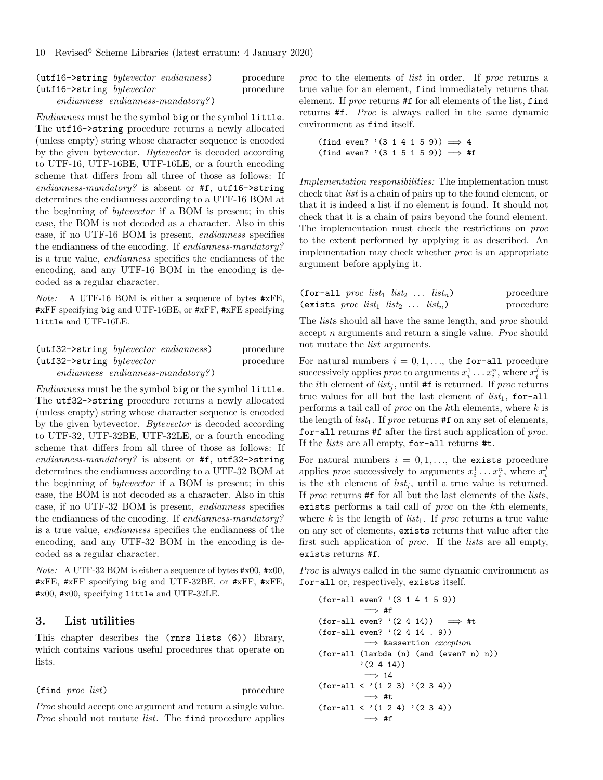|                                    | (utf16->string bytevector endianness) | procedure |
|------------------------------------|---------------------------------------|-----------|
| $(\text{utf16->string}~bytevector$ |                                       | procedure |
|                                    | $endianness\ endianness-man datory?$  |           |

Endianness must be the symbol big or the symbol little. The utf16->string procedure returns a newly allocated (unless empty) string whose character sequence is encoded by the given bytevector. Bytevector is decoded according to UTF-16, UTF-16BE, UTF-16LE, or a fourth encoding scheme that differs from all three of those as follows: If endianness-mandatory? is absent or  $#f$ , utf16->string determines the endianness according to a UTF-16 BOM at the beginning of bytevector if a BOM is present; in this case, the BOM is not decoded as a character. Also in this case, if no UTF-16 BOM is present, endianness specifies the endianness of the encoding. If endianness-mandatory? is a true value, endianness specifies the endianness of the encoding, and any UTF-16 BOM in the encoding is decoded as a regular character.

Note: A UTF-16 BOM is either a sequence of bytes #xFE, #xFF specifying big and UTF-16BE, or #xFF, #xFE specifying little and UTF-16LE.

| (utf32->string bytevector endianness)      |                                      | procedure |
|--------------------------------------------|--------------------------------------|-----------|
| $(\text{utf32->string} \text{bytevector})$ |                                      | procedure |
|                                            | $endianness\ endianness-man datory?$ |           |

Endianness must be the symbol big or the symbol little. The utf32->string procedure returns a newly allocated (unless empty) string whose character sequence is encoded by the given bytevector. Bytevector is decoded according to UTF-32, UTF-32BE, UTF-32LE, or a fourth encoding scheme that differs from all three of those as follows: If endianness-mandatory? is absent or  $#f$ , utf32->string determines the endianness according to a UTF-32 BOM at the beginning of bytevector if a BOM is present; in this case, the BOM is not decoded as a character. Also in this case, if no UTF-32 BOM is present, endianness specifies the endianness of the encoding. If endianness-mandatory? is a true value, endianness specifies the endianness of the encoding, and any UTF-32 BOM in the encoding is decoded as a regular character.

<span id="page-9-0"></span>Note: A UTF-32 BOM is either a sequence of bytes  $\text{\#x00}, \text{\#x00},$ #xFE, #xFF specifying big and UTF-32BE, or #xFF, #xFE, #x00, #x00, specifying little and UTF-32LE.

#### 3. List utilities

This chapter describes the (rnrs lists (6)) library, which contains various useful procedures that operate on lists.

(find proc list) procedure

Proc should accept one argument and return a single value. Proc should not mutate *list*. The find procedure applies proc to the elements of list in order. If proc returns a true value for an element, find immediately returns that element. If *proc* returns #f for all elements of the list, find returns #f. Proc is always called in the same dynamic environment as find itself.

(find even? '(3 1 4 1 5 9))  $\implies$  4  $(find even?$  '(3 1 5 1 5 9))  $\implies$  #f

Implementation responsibilities: The implementation must check that list is a chain of pairs up to the found element, or that it is indeed a list if no element is found. It should not check that it is a chain of pairs beyond the found element. The implementation must check the restrictions on proc to the extent performed by applying it as described. An implementation may check whether proc is an appropriate argument before applying it.

| (for-all <i>proc</i> $list_1$ $list_2$ $list_n$ )                    | procedure |
|----------------------------------------------------------------------|-----------|
| (exists proc list <sub>1</sub> list <sub>2</sub> list <sub>n</sub> ) | procedure |

The lists should all have the same length, and proc should accept n arguments and return a single value. Proc should not mutate the *list* arguments.

For natural numbers  $i = 0, 1, \ldots$ , the for-all procedure successively applies *proc* to arguments  $x_i^1 \dots x_i^n$ , where  $x_i^j$  is the *i*th element of *list<sub>i</sub>*, until #f is returned. If *proc* returns true values for all but the last element of  $list_1$ , for-all performs a tail call of *proc* on the kth elements, where  $k$  is the length of *list*<sub>1</sub>. If proc returns  $#f$  on any set of elements, for-all returns #f after the first such application of proc. If the lists are all empty, for-all returns #t.

For natural numbers  $i = 0, 1, \ldots$ , the exists procedure applies *proc* successively to arguments  $x_i^1 \dots x_i^n$ , where  $x_i^j$ is the *i*th element of  $list_i$ , until a true value is returned. If proc returns #f for all but the last elements of the lists, exists performs a tail call of proc on the kth elements, where k is the length of  $list_1$ . If proc returns a true value on any set of elements, exists returns that value after the first such application of *proc*. If the *lists* are all empty, exists returns #f.

Proc is always called in the same dynamic environment as for-all or, respectively, exists itself.

```
(for-all even? '(3 1 4 1 5 9))
           \implies #f
(for-all even? '(2 4 14)) \implies #t
(for-all even? '(2 4 14 . 9))
           \implies &assertion exception
(for-all (lambda (n) (and (even? n) n))
          '(2 4 14))
           \implies 14
(for-all < '(1 2 3) '(2 3 4))\implies#t
(for-all < ' (1 2 4) ' (2 3 4))\implies #f
```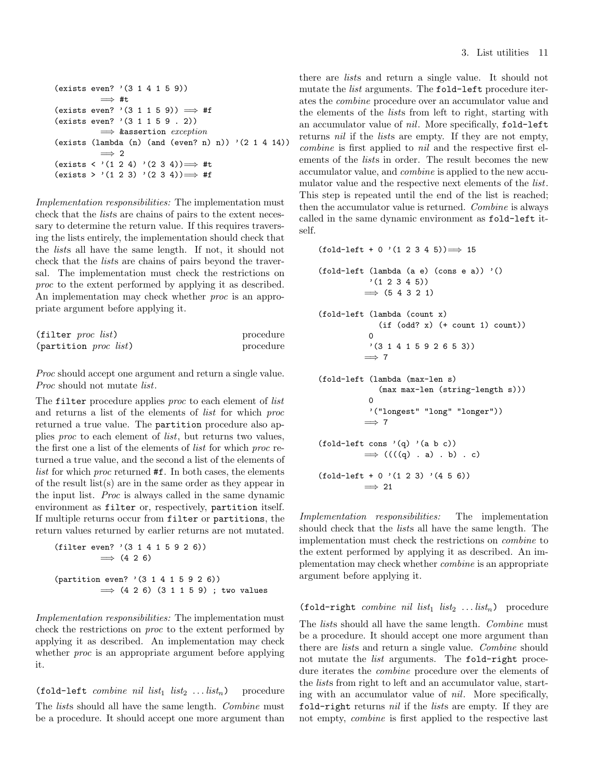```
(exists even? '(3 1 4 1 5 9))
           \implies#t
(exists even? '(3 1 1 5 9)) \implies #f
(exists even? '(3 1 1 5 9 . 2))
           \implies &assertion exception
(exists (lambda (n) (and (even? n) n)) '(2 \ 1 \ 4 \ 14))\implies 2
(exists \langle (1 2 4) (2 3 4)) \implies #t(exists > '(1 2 3) '(2 3 4)) \implies #f
```
Implementation responsibilities: The implementation must check that the lists are chains of pairs to the extent necessary to determine the return value. If this requires traversing the lists entirely, the implementation should check that the lists all have the same length. If not, it should not check that the lists are chains of pairs beyond the traversal. The implementation must check the restrictions on proc to the extent performed by applying it as described. An implementation may check whether proc is an appropriate argument before applying it.

| $(fitter\;proc\;list)$ | procedure |
|------------------------|-----------|
| (partition proc list)  | procedure |

Proc should accept one argument and return a single value. Proc should not mutate *list*.

The filter procedure applies proc to each element of list and returns a list of the elements of list for which proc returned a true value. The partition procedure also applies proc to each element of list, but returns two values, the first one a list of the elements of list for which proc returned a true value, and the second a list of the elements of list for which *proc* returned #f. In both cases, the elements of the result list(s) are in the same order as they appear in the input list. Proc is always called in the same dynamic environment as filter or, respectively, partition itself. If multiple returns occur from filter or partitions, the return values returned by earlier returns are not mutated.

(filter even? '(3 1 4 1 5 9 2 6))  $\implies$  (4 2 6) (partition even? '(3 1 4 1 5 9 2 6))  $\implies$  (4 2 6) (3 1 1 5 9) ; two values

Implementation responsibilities: The implementation must check the restrictions on proc to the extent performed by applying it as described. An implementation may check whether *proc* is an appropriate argument before applying it.

(fold-left combine nil list<sub>1</sub> list<sub>2</sub> ... list<sub>n</sub>) procedure The lists should all have the same length. Combine must be a procedure. It should accept one more argument than there are lists and return a single value. It should not mutate the *list* arguments. The fold-left procedure iterates the combine procedure over an accumulator value and the elements of the lists from left to right, starting with an accumulator value of nil. More specifically, fold-left returns *nil* if the *lists* are empty. If they are not empty, combine is first applied to nil and the respective first elements of the lists in order. The result becomes the new accumulator value, and combine is applied to the new accumulator value and the respective next elements of the list. This step is repeated until the end of the list is reached; then the accumulator value is returned. Combine is always called in the same dynamic environment as fold-left itself.

```
(fold-left + 0 '(1 2 3 4 5)) ⇒ 15(fold-left (lambda (a e) (cons e a)) '()
           '(1 2 3 4 5))
          \implies (5 4 3 2 1)
(fold-left (lambda (count x)
              (if (odd? x) (+ count 1) count))
           \Omega'(3 1 4 1 5 9 2 6 5 3))
          \implies 7
(fold-left (lambda (max-len s)
              (max max-len (string-length s)))
            0
            '("longest" "long" "longer"))
          \implies 7
(fold-left cons '(q) '(a b c))
          \implies ((((q) . a) . b) . c)
(fold-left + 0 '(1 2 3) '(4 5 6))\implies 21
```
Implementation responsibilities: The implementation should check that the lists all have the same length. The implementation must check the restrictions on combine to the extent performed by applying it as described. An implementation may check whether combine is an appropriate argument before applying it.

(fold-right combine nil list<sub>1</sub> list<sub>2</sub> ... list<sub>n</sub>) procedure

The lists should all have the same length. Combine must be a procedure. It should accept one more argument than there are lists and return a single value. Combine should not mutate the *list* arguments. The fold-right procedure iterates the combine procedure over the elements of the lists from right to left and an accumulator value, starting with an accumulator value of nil. More specifically, fold-right returns *nil* if the *lists* are empty. If they are not empty, *combine* is first applied to the respective last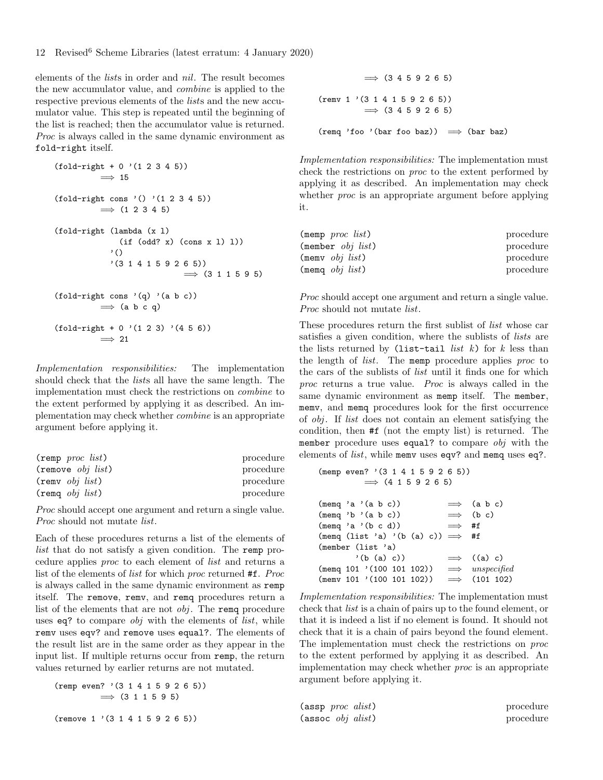elements of the lists in order and nil. The result becomes the new accumulator value, and combine is applied to the respective previous elements of the lists and the new accumulator value. This step is repeated until the beginning of the list is reached; then the accumulator value is returned. Proc is always called in the same dynamic environment as fold-right itself.

```
(fold-right + 0 '(1 2 3 4 5))
          \implies 15
(fold-right cons '() '(1 2 3 4 5))\implies (1 2 3 4 5)
(fold-right (lambda (x l)
               (if (odd? x) (cons x 1) 1))'()
             '(3 1 4 1 5 9 2 6 5))
                              \implies (3 1 1 5 9 5)
(fold-right cons '(q) '(a b c))
          \implies (a b c q)
(fold-right + 0 '(1 2 3) '(4 5 6))\implies 21
```
Implementation responsibilities: The implementation should check that the lists all have the same length. The implementation must check the restrictions on combine to the extent performed by applying it as described. An implementation may check whether combine is an appropriate argument before applying it.

| $(\text{remp } proc \; list)$                  | procedure |
|------------------------------------------------|-----------|
| $(r$ emove <i>obj list</i> )                   | procedure |
| $(\texttt{remv } \textit{obj } \textit{list})$ | procedure |
| $(\texttt{remq } \textit{obj } \textit{list})$ | procedure |

Proc should accept one argument and return a single value. Proc should not mutate list.

Each of these procedures returns a list of the elements of list that do not satisfy a given condition. The remp procedure applies proc to each element of list and returns a list of the elements of list for which proc returned #f. Proc is always called in the same dynamic environment as remp itself. The remove, remv, and remq procedures return a list of the elements that are not obj. The remq procedure uses eq? to compare *obj* with the elements of *list*, while remv uses eqv? and remove uses equal?. The elements of the result list are in the same order as they appear in the input list. If multiple returns occur from remp, the return values returned by earlier returns are not mutated.

```
(remp even? '(3 1 4 1 5 9 2 6 5))
          \implies (3 1 1 5 9 5)
(remove 1 '(3 1 4 1 5 9 2 6 5))
```

$$
\implies (3 \ 4 \ 5 \ 9 \ 2 \ 6 \ 5)
$$
\n
$$
(\text{remv 1 } '(3 \ 1 \ 4 \ 1 \ 5 \ 9 \ 2 \ 6 \ 5))
$$
\n
$$
\implies (3 \ 4 \ 5 \ 9 \ 2 \ 6 \ 5)
$$
\n
$$
(\text{remq 'foo } '(bar \ 60 \ 6az)) \implies (bar \ 6az)
$$

Implementation responsibilities: The implementation must check the restrictions on proc to the extent performed by applying it as described. An implementation may check whether *proc* is an appropriate argument before applying it.

| $(memp \; proc \; list)$  | procedure |
|---------------------------|-----------|
| $(member \; obj \; list)$ | procedure |
| $(menv \; obj \; list)$   | procedure |
| $(memq \; obj \; list)$   | procedure |

Proc should accept one argument and return a single value. Proc should not mutate *list*.

These procedures return the first sublist of *list* whose car satisfies a given condition, where the sublists of *lists* are the lists returned by  $(\text{list-tail } list k)$  for k less than the length of *list*. The memp procedure applies *proc* to the cars of the sublists of list until it finds one for which proc returns a true value. Proc is always called in the same dynamic environment as memp itself. The member, memv, and memq procedures look for the first occurrence of obj. If list does not contain an element satisfying the condition, then #f (not the empty list) is returned. The member procedure uses equal? to compare obj with the elements of list, while memv uses eqv? and memq uses eq?.

| (memp even? '(3 1 4 1 5 9 2 6 5))                |                      |
|--------------------------------------------------|----------------------|
| $\implies$ (4 1 5 9 2 6 5)                       |                      |
|                                                  |                      |
| $(\text{memq } a \lor (a b c))$                  | $\implies$ (a b c)   |
| (memq 'b ' (a b c))                              | $\implies$ (b c)     |
| $(\text{memq } a \lor (b \ c \ d))$              | $\implies$ #f        |
| (memq (list 'a) '(b (a) c)) $\implies$ #f        |                      |
| (member (list 'a))                               |                      |
| '(b(a) c))                                       | $\implies$ ((a) c)   |
| (memq 101 '(100 101 102)) $\implies$ unspecified |                      |
| (memv 101 '(100 101 102))                        | $\implies$ (101 102) |

Implementation responsibilities: The implementation must check that list is a chain of pairs up to the found element, or that it is indeed a list if no element is found. It should not check that it is a chain of pairs beyond the found element. The implementation must check the restrictions on proc to the extent performed by applying it as described. An implementation may check whether proc is an appropriate argument before applying it.

| $(\text{assp } proc \text{ }alist)$ | procedure |
|-------------------------------------|-----------|
| $(\text{assoc } obj \; alist)$      | procedure |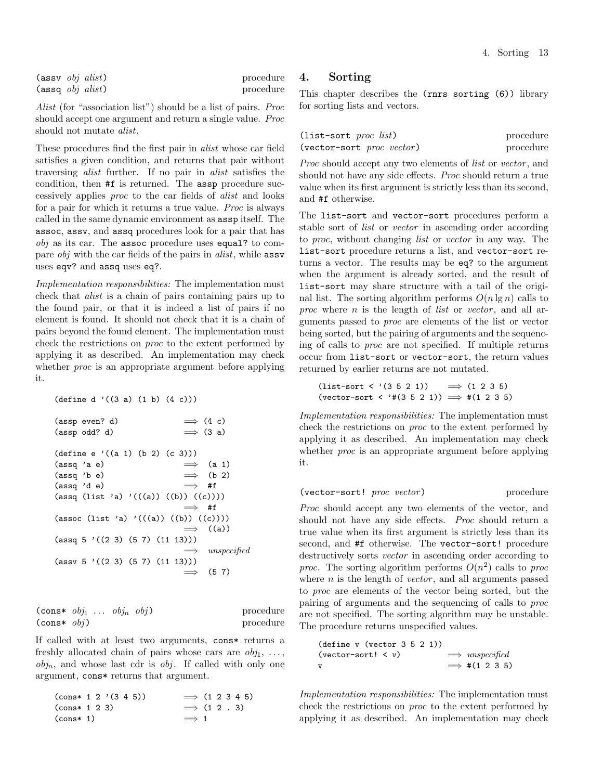| $(\text{assv } \text{obj } \text{alist})$ |  | procedure |
|-------------------------------------------|--|-----------|
| $(\text{assq } \text{obj } \text{alist})$ |  | procedure |

Alist (for "association list") should be a list of pairs. Proc should accept one argument and return a single value. Proc should not mutate alist.

These procedures find the first pair in alist whose car field satisfies a given condition, and returns that pair without traversing alist further. If no pair in alist satisfies the condition, then #f is returned. The assp procedure successively applies proc to the car fields of alist and looks for a pair for which it returns a true value. Proc is always called in the same dynamic environment as assp itself. The assoc, assv, and assq procedures look for a pair that has obj as its car. The assoc procedure uses equal? to compare *obj* with the car fields of the pairs in *alist*, while assv uses eqv? and assq uses eq?.

Implementation responsibilities: The implementation must check that alist is a chain of pairs containing pairs up to the found pair, or that it is indeed a list of pairs if no element is found. It should not check that it is a chain of pairs beyond the found element. The implementation must check the restrictions on proc to the extent performed by applying it as described. An implementation may check whether *proc* is an appropriate argument before applying it.

```
(\text{define } d'((3 a) (1 b) (4 c)))
```

| $\implies$ (4 c)                               |
|------------------------------------------------|
| $\implies$ (3 a)                               |
|                                                |
| $(\text{define } e \cdot ((a 1) (b 2) (c 3)))$ |
| $\implies$ (a 1)                               |
| $\implies$ (b 2)                               |
| $\implies$ #f                                  |
| $(\text{assq (list 'a) '(((a)) ((b)) ((c))))$  |
| $\implies$ #f                                  |
| (assoc (list 'a) '(((a)) ((b)) ((c))))         |
| $\implies$ ((a))                               |
| $(\text{assq } 5$ '((2 3) (5 7) (11 13)))      |
| $\implies$ unspecified                         |
| $(\text{assv } 5$ ' $((2 3) (5 7) (11 13)))$   |
| $\implies$ (5.7)                               |
|                                                |

|                              | $\text{(cons* } obj_1 \ldots \text{ obj}_n \text{ obj})$ |  | procedure |
|------------------------------|----------------------------------------------------------|--|-----------|
| $\text{(cons* } \text{obj)}$ |                                                          |  | procedure |

If called with at least two arguments, cons\* returns a freshly allocated chain of pairs whose cars are  $obj_1, \ldots,$  $obj_n$ , and whose last cdr is *obj*. If called with only one argument, cons\* returns that argument.

|                     | $\text{(cons* } 1 \ 2 \ \text{'}(3 \ 4 \ 5))$ | $\implies$ (1 2 3 4 5) |
|---------------------|-----------------------------------------------|------------------------|
|                     | $\frac{1}{2}$ (cons $\frac{1}{2}$ 2 3)        | $\implies$ (1 2 . 3)   |
| $\text{(cons* } 1)$ |                                               | $\implies$ 1           |

# <span id="page-12-0"></span>4. Sorting

This chapter describes the (rnrs sorting (6)) library for sorting lists and vectors.

| $(\text{list-sort } proc \; list)$ | procedure |
|------------------------------------|-----------|
| (vector-sort proc vector)          | procedure |

Proc should accept any two elements of *list* or *vector*, and should not have any side effects. Proc should return a true value when its first argument is strictly less than its second, and #f otherwise.

The list-sort and vector-sort procedures perform a stable sort of list or vector in ascending order according to proc, without changing list or vector in any way. The list-sort procedure returns a list, and vector-sort returns a vector. The results may be eq? to the argument when the argument is already sorted, and the result of list-sort may share structure with a tail of the original list. The sorting algorithm performs  $O(n \lg n)$  calls to proc where  $n$  is the length of *list* or vector, and all arguments passed to proc are elements of the list or vector being sorted, but the pairing of arguments and the sequencing of calls to proc are not specified. If multiple returns occur from list-sort or vector-sort, the return values returned by earlier returns are not mutated.

```
(listr-sort < '3 5 2 1) \implies (1 2 3 5)
(\text{vector-sort} < '#(3 5 2 1)) \implies #(1 2 3 5)
```
Implementation responsibilities: The implementation must check the restrictions on proc to the extent performed by applying it as described. An implementation may check whether *proc* is an appropriate argument before applying it.

#### (vector-sort! proc vector) procedure

Proc should accept any two elements of the vector, and should not have any side effects. Proc should return a true value when its first argument is strictly less than its second, and #f otherwise. The vector-sort! procedure destructively sorts vector in ascending order according to proc. The sorting algorithm performs  $O(n^2)$  calls to proc where  $n$  is the length of *vector*, and all arguments passed to proc are elements of the vector being sorted, but the pairing of arguments and the sequencing of calls to proc are not specified. The sorting algorithm may be unstable. The procedure returns unspecified values.

| $(\text{define } v \text{ (vector 3 5 2 1)})$ |                        |
|-----------------------------------------------|------------------------|
| $\text{(vector-sort!} \leq v)$                | $\implies$ unspecified |
|                                               | $\implies$ #(1 2 3 5)  |

Implementation responsibilities: The implementation must check the restrictions on proc to the extent performed by applying it as described. An implementation may check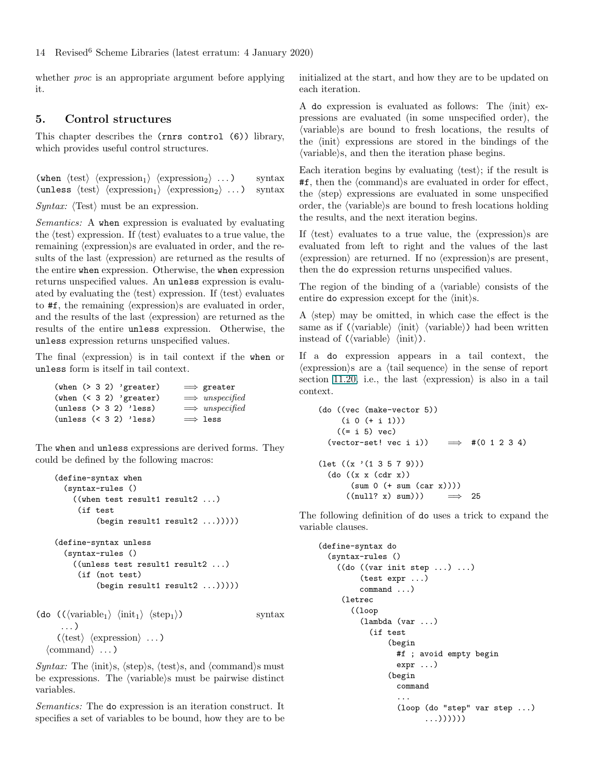<span id="page-13-0"></span>whether *proc* is an appropriate argument before applying it.

## 5. Control structures

This chapter describes the (rnrs control (6)) library, which provides useful control structures.

(when  $\langle \text{test} \rangle$   $\langle \text{expression}_1 \rangle$   $\langle \text{expression}_2 \rangle$  ...) syntax (unless  $\langle test \rangle$   $\langle expression_1 \rangle$   $\langle expression_2 \rangle$  ...) syntax

Syntax:  $\langle Test \rangle$  must be an expression.

Semantics: A when expression is evaluated by evaluating the  $\langle test \rangle$  expression. If  $\langle test \rangle$  evaluates to a true value, the remaining  $\langle$  expression $\rangle$ s are evaluated in order, and the results of the last  $\langle$  expression $\rangle$  are returned as the results of the entire when expression. Otherwise, the when expression returns unspecified values. An unless expression is evaluated by evaluating the  $\langle \text{test} \rangle$  expression. If  $\langle \text{test} \rangle$  evaluates to  $#f$ , the remaining  $\langle$  expression $\rangle$ s are evaluated in order, and the results of the last  $\langle$  expression $\rangle$  are returned as the results of the entire unless expression. Otherwise, the unless expression returns unspecified values.

The final  $\langle$  expression $\rangle$  is in tail context if the when or unless form is itself in tail context.

| (when $(> 3 2)$ 'greater) | $\implies$ greater     |
|---------------------------|------------------------|
| (when $(532)$ 'greater)   | $\implies$ unspecified |
| (unless $(> 3 2)$ 'less)  | $\implies$ unspecified |
| (unless $( < 3 2)$ 'less) | $\implies$ less        |

The when and unless expressions are derived forms. They could be defined by the following macros:

```
(define-syntax when
       (syntax-rules ()
          ((when test result1 result2 ...)
           (if test
                 (begin result1 result2 ...)))))
     (define-syntax unless
       (syntax-rules ()
          ((unless test result1 result2 ...)
           (if (not test)
                 (begin result1 result2 ...)))))
(do ((\langle \text{variable}_1 \rangle \langle \text{init}_1 \rangle \langle \text{step}_1 \rangle) syntax
      . . . )
     (\langle test \rangle \langle expression \rangle \dots)
```
Syntax: The  $\langle \text{init} \rangle$ s,  $\langle \text{step} \rangle$ s,  $\langle \text{test} \rangle$ s, and  $\langle \text{command} \rangle$ s must be expressions. The  $\langle$  variable $\rangle$ s must be pairwise distinct variables.

 $\langle \text{command} \rangle \dots \rangle$ 

Semantics: The do expression is an iteration construct. It specifies a set of variables to be bound, how they are to be initialized at the start, and how they are to be updated on each iteration.

A do expression is evaluated as follows: The  $\langle \text{init} \rangle$  expressions are evaluated (in some unspecified order), the  $\langle \text{variable} \rangle$  are bound to fresh locations, the results of the  $\langle \text{init} \rangle$  expressions are stored in the bindings of the  $\langle \text{variable} \rangle$ s, and then the iteration phase begins.

Each iteration begins by evaluating  $\langle test \rangle$ ; if the result is  $#f$ , then the  $\langle \text{command} \rangle$  are evaluated in order for effect, the  $\langle \text{step} \rangle$  expressions are evaluated in some unspecified order, the  $\langle \text{variable} \rangle$ s are bound to fresh locations holding the results, and the next iteration begins.

If  $\langle test \rangle$  evaluates to a true value, the  $\langle expression \rangle$  are evaluated from left to right and the values of the last  $\langle$  expression $\rangle$  are returned. If no  $\langle$  expression $\rangle$ s are present, then the do expression returns unspecified values.

The region of the binding of a  $\langle$  variable $\rangle$  consists of the entire do expression except for the  $\langle \text{init} \rangle$ s.

A  $\langle$ step $\rangle$  may be omitted, in which case the effect is the same as if ( $\langle \text{variable} \rangle$   $\langle \text{init} \rangle$   $\langle \text{variable} \rangle$ ) had been written instead of  $(\langle variable \rangle \langle init \rangle)$ .

If a do expression appears in a tail context, the  $\langle$  expression $\rangle$ s are a  $\langle$  tail sequence $\rangle$  in the sense of report section 11.20, i.e., the last  $\langle$  expression $\rangle$  is also in a tail context.

```
(do ((vec (make-vector 5))
     (i 0 (+ i 1)))((- i 5) vec)(vector-set! vec i i)) \implies #(0 1 2 3 4)
(let ((x '(1 3 5 7 9)))
  (do ((x x (cdr x))
       (sum 0 (+ sum (car x))))((null? x) sum))) \implies 25
```
The following definition of do uses a trick to expand the variable clauses.

```
(define-syntax do
 (syntax-rules ()
   ((do ((var init step ...) ...)
         (test expr ...)
         command ...)
     (letrec
       ((loop
         (lambda (var ...)
           (if test
               (begin
                 #f ; avoid empty begin
                 expr ...)
               (begin
                 command
                 ...
                 (loop (do "step" var step ...)
                       ...))))))
```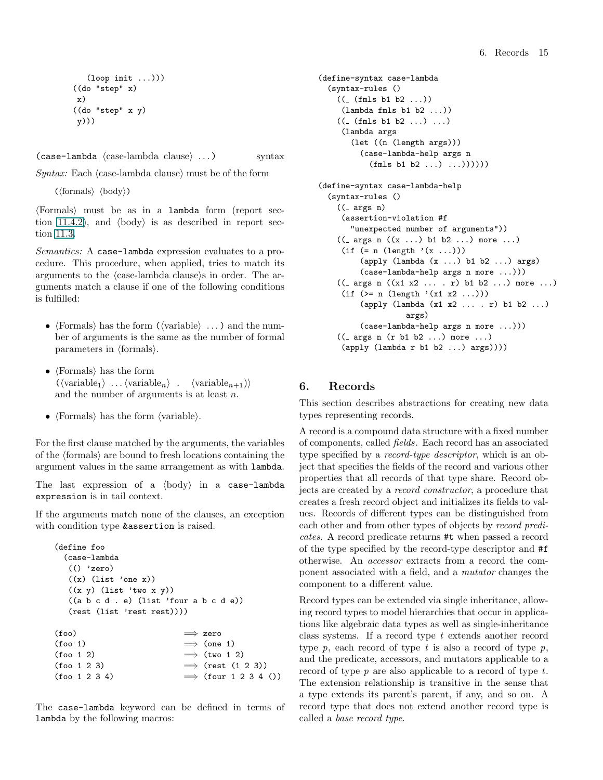```
(loop init ...)))
((do "step" x)
x)
((do "step" x y)
y)))
```
 $(\text{case-lambda } \langle \text{case-lambda } \text{ clause} \rangle \dots)$  syntax

Syntax: Each  $\langle \text{case-lambda clause} \rangle$  must be of the form

 $(\langle \text{formals} \rangle \langle \text{body} \rangle)$ 

 $\langle$ Formals $\rangle$  must be as in a lambda form (report section 11.4.2), and  $\langle body \rangle$  is as described in report section [11.3.](#page-45-0)

Semantics: A case-lambda expression evaluates to a procedure. This procedure, when applied, tries to match its arguments to the  $\langle \text{case-lambda clause} \rangle$ s in order. The arguments match a clause if one of the following conditions is fulfilled:

- $\langle$  Formals $\rangle$  has the form  $(\langle \text{variable} \rangle \dots)$  and the number of arguments is the same as the number of formal parameters in  $\langle$  formals $\rangle$ .
- $\langle$  Formals $\rangle$  has the form  $(\langle \text{variable}_1 \rangle \dots \langle \text{variable}_n \rangle \cdot \langle \text{variable}_{n+1} \rangle)$ and the number of arguments is at least n.
- $\langle$  Formals $\rangle$  has the form  $\langle$  variable $\rangle$ .

For the first clause matched by the arguments, the variables of the  $\langle$  formals $\rangle$  are bound to fresh locations containing the argument values in the same arrangement as with lambda.

The last expression of a  $\langle body \rangle$  in a case-lambda expression is in tail context.

If the arguments match none of the clauses, an exception with condition type &assertion is raised.

```
(define foo
 (case-lambda
  (() 'zero)
  ((x) (list 'one x))
  ((x y) (list 'two x y))
  ((a b c d . e) (list 'four a b c d e))
  (rest (list 'rest rest))))
(foo) \Rightarrow zero(foo 1) \implies (one 1)
(foo 1 2) \implies (two 1 2)(foo 1 2 3) \implies (rest (1 2 3))(foo 1 2 3 4) \implies (four 1 2 3 4 0)
```
The case-lambda keyword can be defined in terms of lambda by the following macros:

```
(define-syntax case-lambda
  (syntax-rules ()
    (( (fmls b1 b2 ...))(lambda fmls b1 b2 ...))
    (( (fmls b1 b2 ... ) ... )(lambda args
       (let ((n (length args)))
         (case-lambda-help args n
           (fmls b1 b2 ... ) ... )))))(define-syntax case-lambda-help
  (syntax-rules ()
    ((- \operatorname{args} n)(assertion-violation #f
       "unexpected number of arguments"))
    (( \text{args n } ((x ... ) b1 b2 ... ) more ...))(if (= n \text{ (length } (x ...)))(apply (lambda (x ...) b1 b2 ...) args)
         (case-lambda-help args n more ...)))
    (( \text{args n } ((x1 x2 ... r) b1 b2 ...) more ...))(if (>= n (length '(x1 x2 ...)))(apply (lambda (x1 x2 ... . r) b1 b2 ...)
                    args)
         (case-lambda-help args n more ...)))
    (( args n (r b1 b2 ...) more ...)
     (apply (lambda r b1 b2 ...) args))))
```
# <span id="page-14-0"></span>6. Records

This section describes abstractions for creating new data types representing records.

A record is a compound data structure with a fixed number of components, called fields. Each record has an associated type specified by a record-type descriptor, which is an object that specifies the fields of the record and various other properties that all records of that type share. Record objects are created by a record constructor, a procedure that creates a fresh record object and initializes its fields to values. Records of different types can be distinguished from each other and from other types of objects by record predicates. A record predicate returns #t when passed a record of the type specified by the record-type descriptor and #f otherwise. An accessor extracts from a record the component associated with a field, and a mutator changes the component to a different value.

Record types can be extended via single inheritance, allowing record types to model hierarchies that occur in applications like algebraic data types as well as single-inheritance class systems. If a record type t extends another record type p, each record of type t is also a record of type  $p$ , and the predicate, accessors, and mutators applicable to a record of type  $p$  are also applicable to a record of type  $t$ . The extension relationship is transitive in the sense that a type extends its parent's parent, if any, and so on. A record type that does not extend another record type is called a base record type.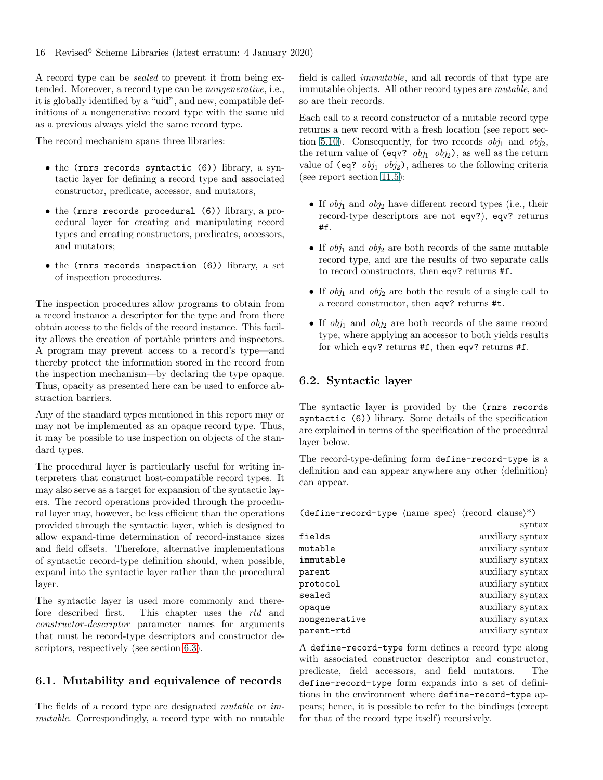A record type can be sealed to prevent it from being extended. Moreover, a record type can be nongenerative, i.e., it is globally identified by a "uid", and new, compatible definitions of a nongenerative record type with the same uid as a previous always yield the same record type.

The record mechanism spans three libraries:

- the (rnrs records syntactic (6)) library, a syntactic layer for defining a record type and associated constructor, predicate, accessor, and mutators,
- the (rnrs records procedural (6)) library, a procedural layer for creating and manipulating record types and creating constructors, predicates, accessors, and mutators;
- the (rnrs records inspection (6)) library, a set of inspection procedures.

The inspection procedures allow programs to obtain from a record instance a descriptor for the type and from there obtain access to the fields of the record instance. This facility allows the creation of portable printers and inspectors. A program may prevent access to a record's type—and thereby protect the information stored in the record from the inspection mechanism—by declaring the type opaque. Thus, opacity as presented here can be used to enforce abstraction barriers.

Any of the standard types mentioned in this report may or may not be implemented as an opaque record type. Thus, it may be possible to use inspection on objects of the standard types.

The procedural layer is particularly useful for writing interpreters that construct host-compatible record types. It may also serve as a target for expansion of the syntactic layers. The record operations provided through the procedural layer may, however, be less efficient than the operations provided through the syntactic layer, which is designed to allow expand-time determination of record-instance sizes and field offsets. Therefore, alternative implementations of syntactic record-type definition should, when possible, expand into the syntactic layer rather than the procedural layer.

The syntactic layer is used more commonly and therefore described first. This chapter uses the rtd and constructor-descriptor parameter names for arguments that must be record-type descriptors and constructor descriptors, respectively (see section [6.3\)](#page-19-0).

# <span id="page-15-0"></span>6.1. Mutability and equivalence of records

The fields of a record type are designated *mutable* or *im*mutable. Correspondingly, a record type with no mutable field is called immutable, and all records of that type are immutable objects. All other record types are mutable, and so are their records.

Each call to a record constructor of a mutable record type returns a new record with a fresh location (see report section 5.10). Consequently, for two records  $obj_1$  and  $obj_2$ , the return value of (eqv?  $obj_1$   $obj_2$ ), as well as the return value of (eq?  $obj_1$   $obj_2$ ), adheres to the following criteria (see report section 11.5):

- If  $obj_1$  and  $obj_2$  have different record types (i.e., their record-type descriptors are not eqv?), eqv? returns #f.
- If  $obj_1$  and  $obj_2$  are both records of the same mutable record type, and are the results of two separate calls to record constructors, then eqv? returns #f.
- If  $obj_1$  and  $obj_2$  are both the result of a single call to a record constructor, then eqv? returns #t.
- If  $obj_1$  and  $obj_2$  are both records of the same record type, where applying an accessor to both yields results for which eqv? returns #f, then eqv? returns #f.

# <span id="page-15-1"></span>6.2. Syntactic layer

The syntactic layer is provided by the (rnrs records syntactic (6)) library. Some details of the specification are explained in terms of the specification of the procedural layer below.

The record-type-defining form define-record-type is a definition and can appear anywhere any other  $\langle$  definition $\rangle$ can appear.

| $\text{(define-record-type } \langle \text{name } spec \rangle \langle \text{record } clause \rangle^*$ |  |  |  |  |  |
|---------------------------------------------------------------------------------------------------------|--|--|--|--|--|
|---------------------------------------------------------------------------------------------------------|--|--|--|--|--|

|               | syntax           |
|---------------|------------------|
| fields        | auxiliary syntax |
| mutable       | auxiliary syntax |
| immutable     | auxiliary syntax |
| parent        | auxiliary syntax |
| protocol      | auxiliary syntax |
| sealed        | auxiliary syntax |
| opaque        | auxiliary syntax |
| nongenerative | auxiliary syntax |
| parent-rtd    | auxiliary syntax |
|               |                  |

A define-record-type form defines a record type along with associated constructor descriptor and constructor, predicate, field accessors, and field mutators. The define-record-type form expands into a set of definitions in the environment where define-record-type appears; hence, it is possible to refer to the bindings (except for that of the record type itself) recursively.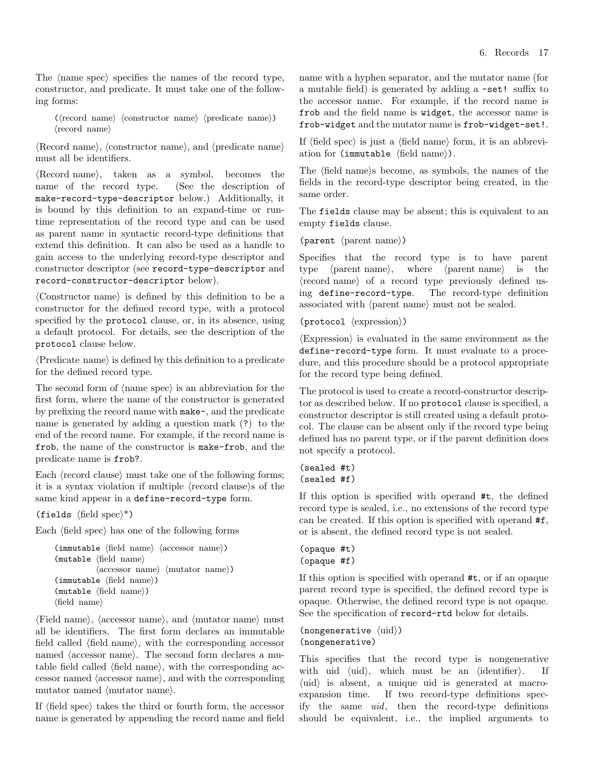The  $\langle$  name spec $\rangle$  specifies the names of the record type, constructor, and predicate. It must take one of the following forms:

 $(\langle record \ name \rangle \langle constructor \ name \rangle \langle predicted \ name) )$  $\langle$ record name $\rangle$ 

 $\langle Record \ name \rangle$ ,  $\langle constructor \ name \rangle$ , and  $\langle predicted \ name \rangle$ must all be identifiers.

 $\langle$ Record name $\rangle$ , taken as a symbol, becomes the name of the record type. (See the description of make-record-type-descriptor below.) Additionally, it is bound by this definition to an expand-time or runtime representation of the record type and can be used as parent name in syntactic record-type definitions that extend this definition. It can also be used as a handle to gain access to the underlying record-type descriptor and constructor descriptor (see record-type-descriptor and record-constructor-descriptor below).

 $\langle$ Constructor name $\rangle$  is defined by this definition to be a constructor for the defined record type, with a protocol specified by the protocol clause, or, in its absence, using a default protocol. For details, see the description of the protocol clause below.

 $\langle$ Predicate name $\rangle$  is defined by this definition to a predicate for the defined record type.

The second form of  $\langle$  hame spec $\rangle$  is an abbreviation for the first form, where the name of the constructor is generated by prefixing the record name with make-, and the predicate name is generated by adding a question mark (?) to the end of the record name. For example, if the record name is frob, the name of the constructor is make-frob, and the predicate name is frob?.

Each  $\langle$  record clause $\rangle$  must take one of the following forms; it is a syntax violation if multiple  $\langle$  record clause $\rangle$ s of the same kind appear in a define-record-type form.

(fields  $\langle \text{field spec} \rangle^*$ )

Each  $\langle$  field spec $\rangle$  has one of the following forms

```
(immutable \langle field name \rangle \langle accessor name \rangle)(mutable \langle field \ name \rangle)\langle accessor name\rangle \langle mutator name\rangle)
(immutable \langle field name \rangle)(mutable \langle field \ name \rangle)\langlefield name\rangle
```
 $\langle$ Field name $\rangle$ ,  $\langle$  accessor name $\rangle$ , and  $\langle$  mutator name $\rangle$  must all be identifiers. The first form declares an immutable field called  $\langle$  field name $\rangle$ , with the corresponding accessor named  $\langle$  accessor name $\rangle$ . The second form declares a mutable field called  $\langle$  field name $\rangle$ , with the corresponding accessor named  $\langle$  accessor name $\rangle$ , and with the corresponding mutator named  $\langle$  mutator name $\rangle$ .

If  $\langle$  field spec $\rangle$  takes the third or fourth form, the accessor name is generated by appending the record name and field name with a hyphen separator, and the mutator name (for a mutable field) is generated by adding a -set! suffix to the accessor name. For example, if the record name is frob and the field name is widget, the accessor name is frob-widget and the mutator name is frob-widget-set!.

If  $\langle$  field spec $\rangle$  is just a  $\langle$  field name $\rangle$  form, it is an abbreviation for (immutable  $\langle$  field name $\rangle$ ).

The  $\langle$  field name $\rangle$ s become, as symbols, the names of the fields in the record-type descriptor being created, in the same order.

The fields clause may be absent; this is equivalent to an empty fields clause.

 $\{\text{parent } \langle \text{parent } \text{name} \rangle\}$ 

Specifies that the record type is to have parent type  $\langle$  parent name $\rangle$ , where  $\langle$  parent name $\rangle$  is the  $\langle$ record name $\rangle$  of a record type previously defined using define-record-type. The record-type definition associated with  $\langle$  parent name $\rangle$  must not be sealed.

 $(\text{protocol } \langle \text{expression} \rangle)$ 

 $\langle$ Expression $\rangle$  is evaluated in the same environment as the define-record-type form. It must evaluate to a procedure, and this procedure should be a protocol appropriate for the record type being defined.

The protocol is used to create a record-constructor descriptor as described below. If no protocol clause is specified, a constructor descriptor is still created using a default protocol. The clause can be absent only if the record type being defined has no parent type, or if the parent definition does not specify a protocol.

#### (sealed #t) (sealed #f)

If this option is specified with operand #t, the defined record type is sealed, i.e., no extensions of the record type can be created. If this option is specified with operand #f, or is absent, the defined record type is not sealed.

# (opaque #t) (opaque #f)

If this option is specified with operand #t, or if an opaque parent record type is specified, the defined record type is opaque. Otherwise, the defined record type is not opaque. See the specification of record-rtd below for details.

#### $(nongenerative \langleuid \rangle)$ (nongenerative)

This specifies that the record type is nongenerative with uid  $\langle$ uid $\rangle$ , which must be an  $\langle$ identifier $\rangle$ . If  $\langle \text{uid} \rangle$  is absent, a unique uid is generated at macroexpansion time. If two record-type definitions specify the same uid, then the record-type definitions should be equivalent, i.e., the implied arguments to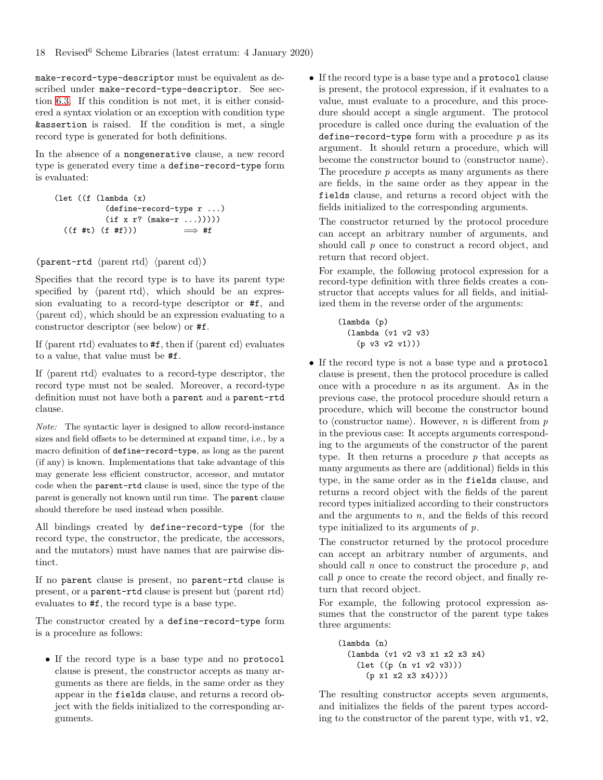make-record-type-descriptor must be equivalent as described under make-record-type-descriptor. See section [6.3.](#page-19-0) If this condition is not met, it is either considered a syntax violation or an exception with condition type &assertion is raised. If the condition is met, a single record type is generated for both definitions.

In the absence of a nongenerative clause, a new record type is generated every time a define-record-type form is evaluated:

```
(let ((f (lambda (x)
          (define-record-type r ...)
          (if x r? (make-r ...))))((f *t) (f *f))) \implies #f
```
(parent-rtd  $\langle$  parent rtd $\rangle$   $\langle$  parent cd $\rangle$ )

Specifies that the record type is to have its parent type specified by  $\langle$  parent rtd $\rangle$ , which should be an expression evaluating to a record-type descriptor or #f, and  $\langle$  parent cd $\rangle$ , which should be an expression evaluating to a constructor descriptor (see below) or #f.

If  $\langle$  parent rtd $\rangle$  evaluates to #f, then if  $\langle$  parent cd $\rangle$  evaluates to a value, that value must be #f.

If  $\langle$  parent rtd $\rangle$  evaluates to a record-type descriptor, the record type must not be sealed. Moreover, a record-type definition must not have both a parent and a parent-rtd clause.

Note: The syntactic layer is designed to allow record-instance sizes and field offsets to be determined at expand time, i.e., by a macro definition of define-record-type, as long as the parent (if any) is known. Implementations that take advantage of this may generate less efficient constructor, accessor, and mutator code when the parent-rtd clause is used, since the type of the parent is generally not known until run time. The parent clause should therefore be used instead when possible.

All bindings created by define-record-type (for the record type, the constructor, the predicate, the accessors, and the mutators) must have names that are pairwise distinct.

If no parent clause is present, no parent-rtd clause is present, or a parent-rtd clause is present but  $\langle$  parent rtd $\rangle$ evaluates to #f, the record type is a base type.

The constructor created by a define-record-type form is a procedure as follows:

• If the record type is a base type and no protocol clause is present, the constructor accepts as many arguments as there are fields, in the same order as they appear in the fields clause, and returns a record object with the fields initialized to the corresponding arguments.

• If the record type is a base type and a protocol clause is present, the protocol expression, if it evaluates to a value, must evaluate to a procedure, and this procedure should accept a single argument. The protocol procedure is called once during the evaluation of the define-record-type form with a procedure  $p$  as its argument. It should return a procedure, which will become the constructor bound to  $\langle$  constructor name $\rangle$ . The procedure  $p$  accepts as many arguments as there are fields, in the same order as they appear in the fields clause, and returns a record object with the fields initialized to the corresponding arguments.

The constructor returned by the protocol procedure can accept an arbitrary number of arguments, and should call p once to construct a record object, and return that record object.

For example, the following protocol expression for a record-type definition with three fields creates a constructor that accepts values for all fields, and initialized them in the reverse order of the arguments:

```
(lambda (p)
  (lambda (v1 v2 v3)
    (p v3 v2 v1)))
```
• If the record type is not a base type and a protocol clause is present, then the protocol procedure is called once with a procedure  $n$  as its argument. As in the previous case, the protocol procedure should return a procedure, which will become the constructor bound to  $\langle$  constructor name $\rangle$ . However, *n* is different from *p* in the previous case: It accepts arguments corresponding to the arguments of the constructor of the parent type. It then returns a procedure  $p$  that accepts as many arguments as there are (additional) fields in this type, in the same order as in the fields clause, and returns a record object with the fields of the parent record types initialized according to their constructors and the arguments to  $n$ , and the fields of this record type initialized to its arguments of p.

The constructor returned by the protocol procedure can accept an arbitrary number of arguments, and should call  $n$  once to construct the procedure  $p$ , and call p once to create the record object, and finally return that record object.

For example, the following protocol expression assumes that the constructor of the parent type takes three arguments:

```
(lambda (n)
  (lambda (v1 v2 v3 x1 x2 x3 x4)
    (let ((p (n v1 v2 v3)))
      (p x1 x2 x3 x4))))
```
The resulting constructor accepts seven arguments, and initializes the fields of the parent types according to the constructor of the parent type, with v1, v2,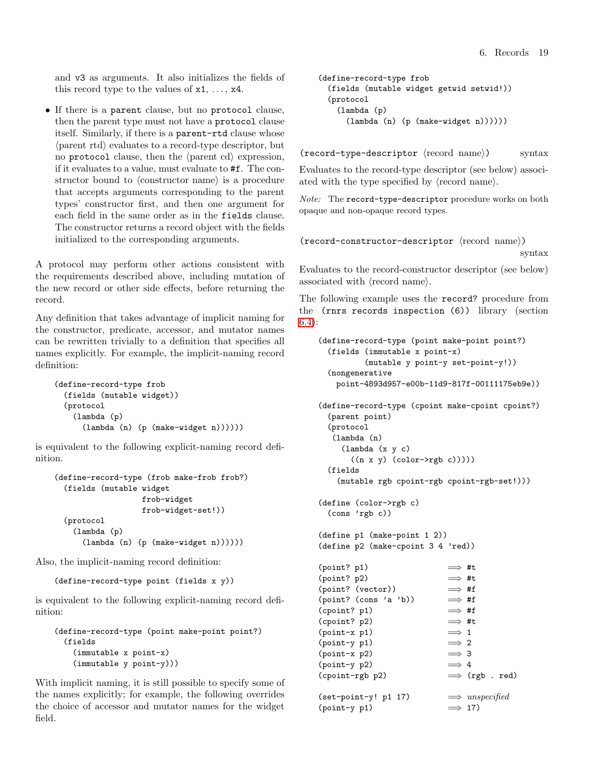and v3 as arguments. It also initializes the fields of this record type to the values of  $x1, \ldots, x4$ .

• If there is a parent clause, but no protocol clause, then the parent type must not have a protocol clause itself. Similarly, if there is a parent-rtd clause whose  $\langle$  parent rtd $\rangle$  evaluates to a record-type descriptor, but no protocol clause, then the  $\langle$  parent cd $\rangle$  expression, if it evaluates to a value, must evaluate to #f. The constructor bound to  $\langle$  constructor name $\rangle$  is a procedure that accepts arguments corresponding to the parent types' constructor first, and then one argument for each field in the same order as in the fields clause. The constructor returns a record object with the fields initialized to the corresponding arguments.

A protocol may perform other actions consistent with the requirements described above, including mutation of the new record or other side effects, before returning the record.

Any definition that takes advantage of implicit naming for the constructor, predicate, accessor, and mutator names can be rewritten trivially to a definition that specifies all names explicitly. For example, the implicit-naming record definition:

```
(define-record-type frob
  (fields (mutable widget))
  (protocol
    (lambda (p)
      (lambda (n) (p (make-widget n))))))
```
is equivalent to the following explicit-naming record definition.

```
(define-record-type (frob make-frob frob?)
  (fields (mutable widget
                   frob-widget
                   frob-widget-set!))
  (protocol
    (lambda (p)
      (lambda (n) (p (make-widget n))))))
```
Also, the implicit-naming record definition:

```
(define-record-type point (fields x y))
```
is equivalent to the following explicit-naming record definition:

```
(define-record-type (point make-point point?)
  (fields
    (immutable x point-x)
    (immutable y point-y)))
```
With implicit naming, it is still possible to specify some of the names explicitly; for example, the following overrides the choice of accessor and mutator names for the widget field.

```
(define-record-type frob
 (fields (mutable widget getwid setwid!))
 (protocol
   (lambda (p)
     (lambda (n) (p (make-widget n))))))
```
 $(record-type-descriptor$   $\langle record~name\rangle)$  syntax

Evaluates to the record-type descriptor (see below) associated with the type specified by  $\langle$  record name $\rangle$ .

Note: The record-type-descriptor procedure works on both opaque and non-opaque record types.

 $(record-constructor-descriptor$   $\langle record-name \rangle$ ) syntax

Evaluates to the record-constructor descriptor (see below) associated with  $\langle$  record name $\rangle$ .

The following example uses the record? procedure from the (rnrs records inspection (6)) library (section [6.4\)](#page-22-0):

```
(define-record-type (point make-point point?)
 (fields (immutable x point-x)
         (mutable y point-y set-point-y!))
 (nongenerative
   point-4893d957-e00b-11d9-817f-00111175eb9e))
(define-record-type (cpoint make-cpoint cpoint?)
 (parent point)
 (protocol
  (lambda (n)
    (lambda (x y c)
      ((n \times y) (color->rgb c))))(fields
   (mutable rgb cpoint-rgb cpoint-rgb-set!)))
(define (color->rgb c)
 (cons 'rgb c))
(define p1 (make-point 1 2))
(define p2 (make-cpoint 3 4 'red))
(point? p1) \implies #t
(point? p2) \implies #t
(point? (vector)) \implies #f
(point? (cons 'a 'b)) \implies #f\text{(cpoint? p1)} \implies \text{#f}\text{(cpoint? p2)} \implies \text{\#t}\text{(point-x p1)} \implies 1(point-y p1) \implies 2
\text{(point-x p2)} \implies 3(point-y p2) \implies 4
(cpoint-rgb p2) \implies (rgb . red)(set-point-y! p1 17) \implies unspecified
(point-y p1) \implies 17)
```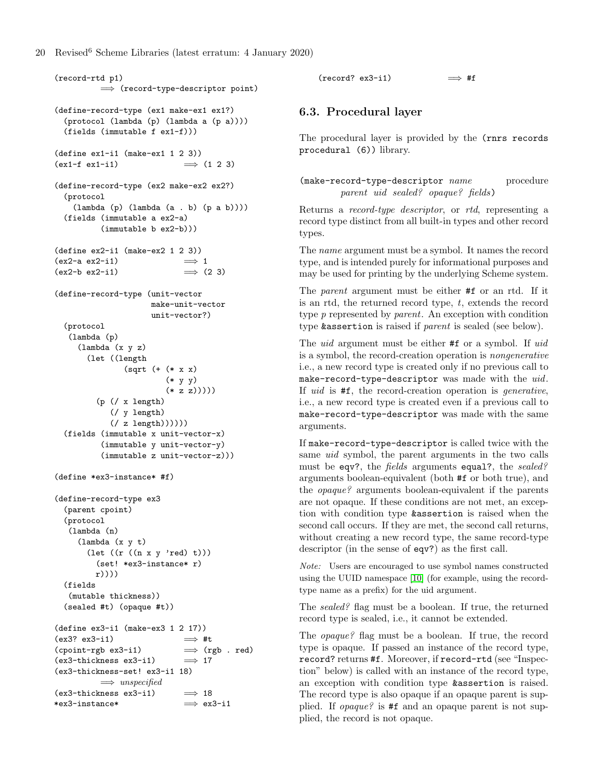```
(record-rtd p1)
         \implies (record-type-descriptor point)
(define-record-type (ex1 make-ex1 ex1?)
  (protocol (lambda (p) (lambda a (p a))))
  (fields (immutable f ex1-f)))
(define ex1-i1 (make-ex1 1 2 3))
(ex1-f ex1-1) \implies (1 2 3)
(define-record-type (ex2 make-ex2 ex2?)
  (protocol
    (lambda (p) (lambda (a . b) (p a b))))
  (fields (immutable a ex2-a)
          (immutable b ex2-b)))
(define ex2-i1 (make-ex2 1 2 3))
(ex2-a ex2-i1) \implies 1
(ex2-b ex2-i1) \implies (2 3)
(define-record-type (unit-vector
                    make-unit-vector
                    unit-vector?)
  (protocol
   (lambda (p)
     (lambda (x y z)
       (let ((length
               (sqrt (+ (* x x)
                        (* y y)
                        (* z z))))(p (/ x length)
            (/ y length)
            (/ z length))))))
  (fields (immutable x unit-vector-x)
          (immutable y unit-vector-y)
          (immutable z unit-vector-z)))
(define *ex3-instance* #f)
(define-record-type ex3
  (parent cpoint)
  (protocol
  (lambda (n)
    (lambda (x y t)
       (let ((r ((n x y 'red) t)))
         (set! *ex3-instance* r)
        r))))
  (fields
   (mutable thickness))
  (sealed #t) (opaque #t))
(define ex3-i1 (make-ex3 1 2 17))
(ex3? ex3-i1) \implies #t
(cpoint-rgb ex3-i1) \Rightarrow (rgb . red)(ex3-thickness ex3-i1) \Rightarrow 17(ex3-thickness-set! ex3-i1 18)
         \implies unspecified
(ex3-thickness ex3-i1) \implies 18
*ex3-instance* \implies ex3-i1
```
 $(record? ex3-i1) \Rightarrow #f$ 

```
6.3. Procedural layer
```
The procedural layer is provided by the (rnrs records procedural (6)) library.

 $(make-record-type-descriptor$   $name$  procedure parent uid sealed? opaque? fields)

Returns a record-type descriptor, or rtd, representing a record type distinct from all built-in types and other record types.

The name argument must be a symbol. It names the record type, and is intended purely for informational purposes and may be used for printing by the underlying Scheme system.

The parent argument must be either #f or an rtd. If it is an rtd, the returned record type, t, extends the record type p represented by parent. An exception with condition type &assertion is raised if *parent* is sealed (see below).

The *uid* argument must be either **#f** or a symbol. If *uid* is a symbol, the record-creation operation is nongenerative i.e., a new record type is created only if no previous call to make-record-type-descriptor was made with the uid. If uid is #f, the record-creation operation is generative, i.e., a new record type is created even if a previous call to make-record-type-descriptor was made with the same arguments.

If make-record-type-descriptor is called twice with the same uid symbol, the parent arguments in the two calls must be eqv?, the *fields* arguments equal?, the *sealed?* arguments boolean-equivalent (both #f or both true), and the opaque? arguments boolean-equivalent if the parents are not opaque. If these conditions are not met, an exception with condition type &assertion is raised when the second call occurs. If they are met, the second call returns, without creating a new record type, the same record-type descriptor (in the sense of eqv?) as the first call.

Note: Users are encouraged to use symbol names constructed using the UUID namespace [\[10\]](#page-65-3) (for example, using the recordtype name as a prefix) for the uid argument.

The sealed? flag must be a boolean. If true, the returned record type is sealed, i.e., it cannot be extended.

The opaque? flag must be a boolean. If true, the record type is opaque. If passed an instance of the record type, record? returns #f. Moreover, if record-rtd (see "Inspection" below) is called with an instance of the record type, an exception with condition type &assertion is raised. The record type is also opaque if an opaque parent is supplied. If opaque? is #f and an opaque parent is not supplied, the record is not opaque.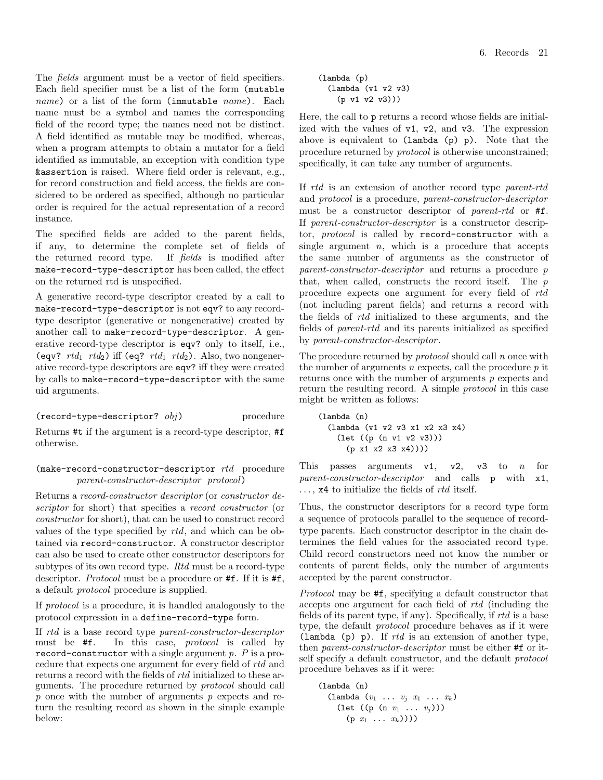The fields argument must be a vector of field specifiers. Each field specifier must be a list of the form (mutable name) or a list of the form (immutable name). Each name must be a symbol and names the corresponding field of the record type; the names need not be distinct. A field identified as mutable may be modified, whereas, when a program attempts to obtain a mutator for a field identified as immutable, an exception with condition type &assertion is raised. Where field order is relevant, e.g., for record construction and field access, the fields are considered to be ordered as specified, although no particular order is required for the actual representation of a record instance.

The specified fields are added to the parent fields, if any, to determine the complete set of fields of the returned record type. If fields is modified after make-record-type-descriptor has been called, the effect on the returned rtd is unspecified.

A generative record-type descriptor created by a call to make-record-type-descriptor is not eqv? to any recordtype descriptor (generative or nongenerative) created by another call to make-record-type-descriptor. A generative record-type descriptor is eqv? only to itself, i.e., (eqv?  $rtd_1$   $rtd_2$ ) iff (eq?  $rtd_1$   $rtd_2$ ). Also, two nongenerative record-type descriptors are eqv? iff they were created by calls to make-record-type-descriptor with the same uid arguments.

## $(record-type-descriptor? obj)$  procedure

Returns #t if the argument is a record-type descriptor, #f otherwise.

## (make-record-constructor-descriptor rtd procedure parent-constructor-descriptor protocol)

Returns a record-constructor descriptor (or constructor descriptor for short) that specifies a record constructor (or constructor for short), that can be used to construct record values of the type specified by rtd, and which can be obtained via record-constructor. A constructor descriptor can also be used to create other constructor descriptors for subtypes of its own record type. Rtd must be a record-type descriptor. Protocol must be a procedure or #f. If it is #f, a default protocol procedure is supplied.

If protocol is a procedure, it is handled analogously to the protocol expression in a define-record-type form.

If rtd is a base record type parent-constructor-descriptor must be #f. In this case, protocol is called by record-constructor with a single argument  $p$ .  $P$  is a procedure that expects one argument for every field of rtd and returns a record with the fields of rtd initialized to these arguments. The procedure returned by protocol should call p once with the number of arguments p expects and return the resulting record as shown in the simple example below:

(lambda (p) (lambda (v1 v2 v3) (p v1 v2 v3)))

Here, the call to p returns a record whose fields are initialized with the values of v1, v2, and v3. The expression above is equivalent to (lambda (p) p). Note that the procedure returned by protocol is otherwise unconstrained; specifically, it can take any number of arguments.

If rtd is an extension of another record type parent-rtd and protocol is a procedure, parent-constructor-descriptor must be a constructor descriptor of parent-rtd or #f. If parent-constructor-descriptor is a constructor descriptor, protocol is called by record-constructor with a single argument  $n$ , which is a procedure that accepts the same number of arguments as the constructor of parent-constructor-descriptor and returns a procedure p that, when called, constructs the record itself. The  $p$ procedure expects one argument for every field of rtd (not including parent fields) and returns a record with the fields of rtd initialized to these arguments, and the fields of parent-rtd and its parents initialized as specified by parent-constructor-descriptor .

The procedure returned by *protocol* should call n once with the number of arguments  $n$  expects, call the procedure  $p$  it returns once with the number of arguments p expects and return the resulting record. A simple protocol in this case might be written as follows:

```
(lambda (n)
 (lambda (v1 v2 v3 x1 x2 x3 x4)
   (let ((p (n v1 v2 v3)))
     (p x1 x2 x3 x4))))
```
This passes arguments  $v1$ ,  $v2$ ,  $v3$  to *n* for parent-constructor-descriptor and calls p with x1,  $\ldots$  x4 to initialize the fields of rtd itself.

Thus, the constructor descriptors for a record type form a sequence of protocols parallel to the sequence of recordtype parents. Each constructor descriptor in the chain determines the field values for the associated record type. Child record constructors need not know the number or contents of parent fields, only the number of arguments accepted by the parent constructor.

Protocol may be #f, specifying a default constructor that accepts one argument for each field of rtd (including the fields of its parent type, if any). Specifically, if rtd is a base type, the default protocol procedure behaves as if it were (lambda (p)  $p$ ). If *rtd* is an extension of another type, then parent-constructor-descriptor must be either #f or itself specify a default constructor, and the default protocol procedure behaves as if it were:

```
(lambda (n)
  (lambda (v_1 \ldots v_j x_1 \ldots x_k)(let ((p (n v_1 ... v_j)))(p \ x_1 \ \ldots \ x_k)))
```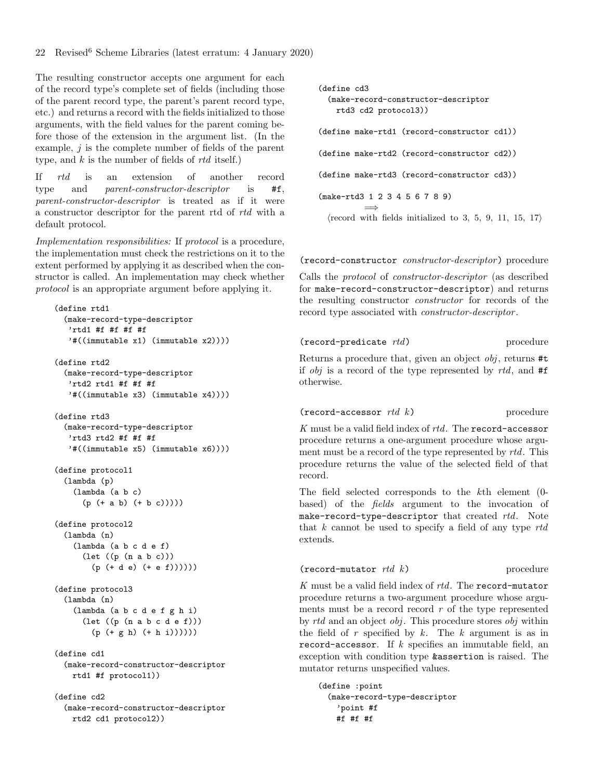The resulting constructor accepts one argument for each of the record type's complete set of fields (including those of the parent record type, the parent's parent record type, etc.) and returns a record with the fields initialized to those arguments, with the field values for the parent coming before those of the extension in the argument list. (In the example,  $j$  is the complete number of fields of the parent type, and  $k$  is the number of fields of  $rtd$  itself.)

If rtd is an extension of another record type and *parent-constructor-descriptor* is #f, parent-constructor-descriptor is treated as if it were a constructor descriptor for the parent rtd of rtd with a default protocol.

Implementation responsibilities: If protocol is a procedure, the implementation must check the restrictions on it to the extent performed by applying it as described when the constructor is called. An implementation may check whether protocol is an appropriate argument before applying it.

```
(define rtd1
  (make-record-type-descriptor
   'rtd1 #f #f #f #f
   '#((immutable x1) (immutable x2))))
(define rtd2
  (make-record-type-descriptor
   'rtd2 rtd1 #f #f #f
   '#((immutable x3) (immutable x4))))
(define rtd3
  (make-record-type-descriptor
   'rtd3 rtd2 #f #f #f
   '#((immutable x5) (immutable x6))))
(define protocol1
  (lambda (p)
    (lambda (a b c)
      (p (+ a b) (+ b c)))))
(define protocol2
  (lambda (n)
    (lambda (a b c d e f)
      (let ((p (n a b c)))
        (p (+ d e) (+ e f))))))
(define protocol3
  (lambda (n)
    (lambda (a b c d e f g h i)
      (let ((p (n a b c d e f)))
        (p (+ g h) (+ h i))))))(define cd1
  (make-record-constructor-descriptor
   rtd1 #f protocol1))
(define cd2
  (make-record-constructor-descriptor
   rtd2 cd1 protocol2))
```

```
(define cd3
  (make-record-constructor-descriptor
    rtd3 cd2 protocol3))
(define make-rtd1 (record-constructor cd1))
(define make-rtd2 (record-constructor cd2))
(define make-rtd3 (record-constructor cd3))
(make-rtd3 1 2 3 4 5 6 7 8 9)
           =⇒
  \langlerecord with fields initialized to 3, 5, 9, 11, 15, 17\rangle
```
(record-constructor constructor-descriptor) procedure Calls the protocol of constructor-descriptor (as described for make-record-constructor-descriptor) and returns the resulting constructor constructor for records of the record type associated with constructor-descriptor .

```
(record-predictate rtd) procedure
```
Returns a procedure that, given an object obj, returns #t if *obj* is a record of the type represented by  $rtd$ , and  $#f$ otherwise.

```
(record-accessor rtd k) procedure
```
 $K$  must be a valid field index of  $rtd$ . The record-accessor procedure returns a one-argument procedure whose argument must be a record of the type represented by rtd. This procedure returns the value of the selected field of that record.

The field selected corresponds to the kth element (0 based) of the fields argument to the invocation of make-record-type-descriptor that created rtd. Note that  $k$  cannot be used to specify a field of any type  $rtd$ extends.

```
(record-mutator rtd k) procedure
```
 $K$  must be a valid field index of  $rtd$ . The record-mutator procedure returns a two-argument procedure whose arguments must be a record record  $r$  of the type represented by rtd and an object obj. This procedure stores obj within the field of  $r$  specified by  $k$ . The  $k$  argument is as in record-accessor. If  $k$  specifies an immutable field, an exception with condition type &assertion is raised. The mutator returns unspecified values.

(define :point (make-record-type-descriptor 'point #f #f #f #f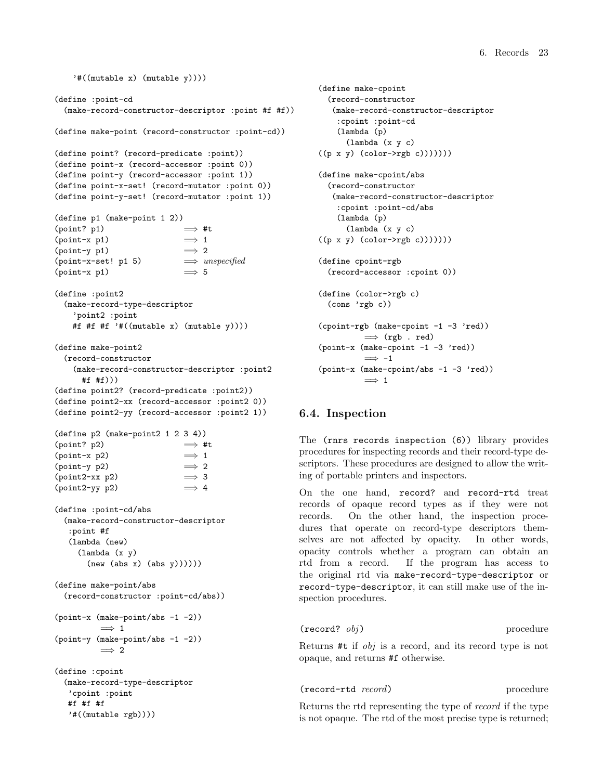```
'#((mutable x) (mutable y))))
(define :point-cd
  (make-record-constructor-descriptor :point #f #f))
(define make-point (record-constructor :point-cd))
(define point? (record-predicate :point))
(define point-x (record-accessor :point 0))
(define point-y (record-accessor :point 1))
(define point-x-set! (record-mutator :point 0))
(define point-y-set! (record-mutator :point 1))
(define p1 (make-point 1 2))
(point? p1) \implies #t
(point-x p1) \implies 1
(point-y p1) \implies 2
(point-x-set! p1 5) \implies unspecified
(point-x p1) \implies 5
(define :point2
  (make-record-type-descriptor
   'point2 :point
   #f #f #f '#((mutable x) (mutable y))))
(define make-point2
  (record-constructor
   (make-record-constructor-descriptor :point2
     #f #f)))
(define point2? (record-predicate :point2))
(define point2-xx (record-accessor :point2 0))
(define point2-yy (record-accessor :point2 1))
(define p2 (make-point2 1 2 3 4))
(point? p2) \implies #t
(point-x p2) \implies 1
(point-y p2) \implies 2<br>(point2-xx p2) \implies 3
(point2-xx p2)(point2-yy p2) \implies 4(define :point-cd/abs
 (make-record-constructor-descriptor
  :point #f
  (lambda (new)
    (lambda (x y)
      (new (abs x) (abs y))))))
(define make-point/abs
  (record-constructor :point-cd/abs))
(point-x (make-point/abs -1 -2))
         =⇒ 1
(point-y (make-point/abs -1 -2))
         \implies 2
(define :cpoint
  (make-record-type-descriptor
  'cpoint :point
  #f #f #f
```
'#((mutable rgb))))

```
(define make-cpoint
  (record-constructor
   (make-record-constructor-descriptor
    :cpoint :point-cd
    (lambda (p)
      (lambda (x y c)
((p \times y) (color->rgb c))))))(define make-cpoint/abs
  (record-constructor
   (make-record-constructor-descriptor
    :cpoint :point-cd/abs
    (lambda (p)
      (lambda (x y c)
((p x y) (color->rgb c))))))(define cpoint-rgb
  (record-accessor :cpoint 0))
(define (color->rgb c)
  (cons 'rgb c))
(cpoint-rgb (make-cpoint -1 -3 'red))
          \implies (rgb . red)
(point-x (make-cpoint -1 -3 'red))
          \implies -1(point-x (make-cpoint/abs -1 -3 'red))
          =⇒ 1
```
## <span id="page-22-0"></span>6.4. Inspection

The (rnrs records inspection (6)) library provides procedures for inspecting records and their record-type descriptors. These procedures are designed to allow the writing of portable printers and inspectors.

On the one hand, record? and record-rtd treat records of opaque record types as if they were not records. On the other hand, the inspection procedures that operate on record-type descriptors themselves are not affected by opacity. In other words, opacity controls whether a program can obtain an rtd from a record. If the program has access to the original rtd via make-record-type-descriptor or record-type-descriptor, it can still make use of the inspection procedures.

# $(record?$   $obj)$  procedure

Returns #t if obj is a record, and its record type is not opaque, and returns #f otherwise.

(record-rtd *record*) procedure

Returns the rtd representing the type of record if the type is not opaque. The rtd of the most precise type is returned;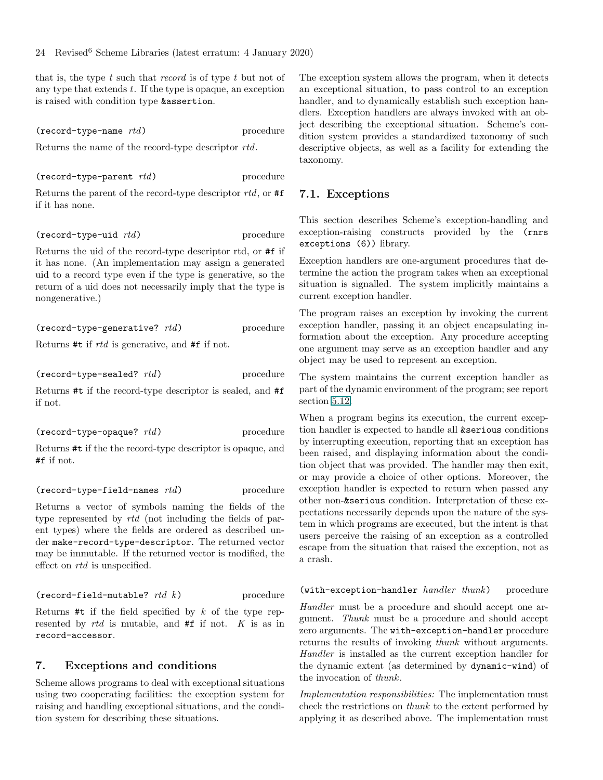that is, the type  $t$  such that record is of type  $t$  but not of any type that extends t. If the type is opaque, an exception is raised with condition type &assertion.

 $(record-type-name\ rtd)$  procedure

Returns the name of the record-type descriptor rtd.

 $(record-type-parameter$   $rtd)$  procedure

Returns the parent of the record-type descriptor  $rtd$ , or  $#f$ if it has none.

 $(record-type-uid$   $rtd)$  procedure

Returns the uid of the record-type descriptor rtd, or #f if it has none. (An implementation may assign a generated uid to a record type even if the type is generative, so the return of a uid does not necessarily imply that the type is nongenerative.)

 $(record-type-generative?$   $rtd)$  procedure

Returns #t if rtd is generative, and #f if not.

 $(record-type-sealed? rtd)$  procedure

Returns #t if the record-type descriptor is sealed, and #f if not.

 $(record-type$ -opaque?  $rtd$ ) procedure

Returns #t if the the record-type descriptor is opaque, and #f if not.

#### $(record-type-field-names\ rtd)$  procedure

Returns a vector of symbols naming the fields of the type represented by rtd (not including the fields of parent types) where the fields are ordered as described under make-record-type-descriptor. The returned vector may be immutable. If the returned vector is modified, the effect on rtd is unspecified.

 $(record-field-mutable?$   $rtd$  k) procedure

<span id="page-23-0"></span>Returns  $#t$  if the field specified by k of the type represented by  $rtd$  is mutable, and  $#f$  if not.  $K$  is as in record-accessor.

# 7. Exceptions and conditions

Scheme allows programs to deal with exceptional situations using two cooperating facilities: the exception system for raising and handling exceptional situations, and the condition system for describing these situations.

The exception system allows the program, when it detects an exceptional situation, to pass control to an exception handler, and to dynamically establish such exception handlers. Exception handlers are always invoked with an object describing the exceptional situation. Scheme's condition system provides a standardized taxonomy of such descriptive objects, as well as a facility for extending the taxonomy.

# <span id="page-23-1"></span>7.1. Exceptions

This section describes Scheme's exception-handling and exception-raising constructs provided by the (rnrs exceptions (6)) library.

Exception handlers are one-argument procedures that determine the action the program takes when an exceptional situation is signalled. The system implicitly maintains a current exception handler.

The program raises an exception by invoking the current exception handler, passing it an object encapsulating information about the exception. Any procedure accepting one argument may serve as an exception handler and any object may be used to represent an exception.

The system maintains the current exception handler as part of the dynamic environment of the program; see report section 5.12.

When a program begins its execution, the current exception handler is expected to handle all &serious conditions by interrupting execution, reporting that an exception has been raised, and displaying information about the condition object that was provided. The handler may then exit, or may provide a choice of other options. Moreover, the exception handler is expected to return when passed any other non-&serious condition. Interpretation of these expectations necessarily depends upon the nature of the system in which programs are executed, but the intent is that users perceive the raising of an exception as a controlled escape from the situation that raised the exception, not as a crash.

#### (with-exception-handler handler thunk) procedure

Handler must be a procedure and should accept one argument. Thunk must be a procedure and should accept zero arguments. The with-exception-handler procedure returns the results of invoking thunk without arguments. Handler is installed as the current exception handler for the dynamic extent (as determined by dynamic-wind) of the invocation of thunk.

Implementation responsibilities: The implementation must check the restrictions on thunk to the extent performed by applying it as described above. The implementation must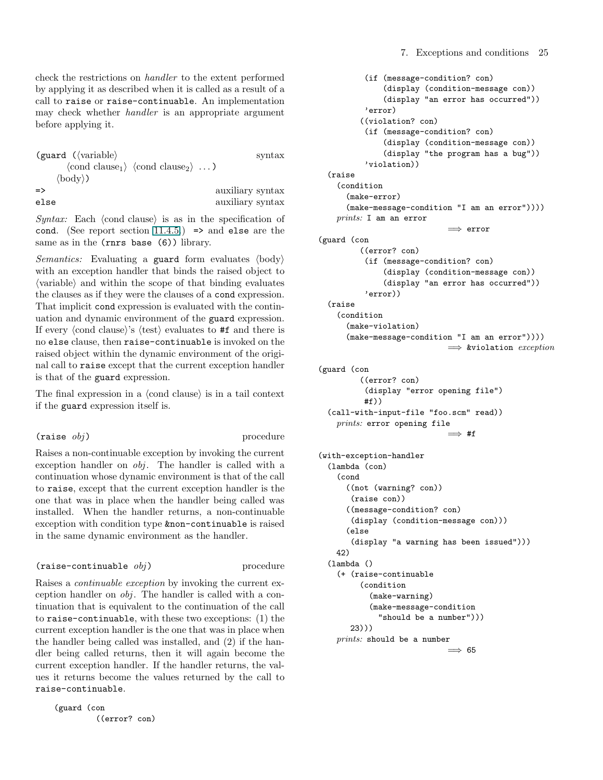check the restrictions on handler to the extent performed by applying it as described when it is called as a result of a call to raise or raise-continuable. An implementation may check whether handler is an appropriate argument before applying it.

```
(guard (\varphi)\langle \text{cond clause}_1 \rangle \langle \text{cond clause}_2 \rangle ...)
   \langle \text{body} \rangle=> auxiliary syntax
else auxiliary syntax
```
Syntax: Each  $\langle$  cond clause $\rangle$  is as in the specification of cond. (See report section 11.4.5.)  $\Rightarrow$  and else are the same as in the (rnrs base (6)) library.

Semantics: Evaluating a guard form evaluates  $\langle body \rangle$ with an exception handler that binds the raised object to  $\langle$  variable $\rangle$  and within the scope of that binding evaluates the clauses as if they were the clauses of a cond expression. That implicit cond expression is evaluated with the continuation and dynamic environment of the guard expression. If every  $\langle$  cond clause $\rangle$ 's  $\langle$  test $\rangle$  evaluates to #f and there is no else clause, then raise-continuable is invoked on the raised object within the dynamic environment of the original call to raise except that the current exception handler is that of the guard expression.

The final expression in a  $\langle$ cond clause $\rangle$  is in a tail context if the guard expression itself is.

 $(\text{raise } obj)$  procedure

Raises a non-continuable exception by invoking the current exception handler on obj. The handler is called with a continuation whose dynamic environment is that of the call to raise, except that the current exception handler is the one that was in place when the handler being called was installed. When the handler returns, a non-continuable exception with condition type &non-continuable is raised in the same dynamic environment as the handler.

# $(raise-continuable \t obj)$  procedure

Raises a continuable exception by invoking the current exception handler on obj. The handler is called with a continuation that is equivalent to the continuation of the call to raise-continuable, with these two exceptions: (1) the current exception handler is the one that was in place when the handler being called was installed, and (2) if the handler being called returns, then it will again become the current exception handler. If the handler returns, the values it returns become the values returned by the call to raise-continuable.

(guard (con ((error? con)

```
(if (message-condition? con)
              (display (condition-message con))
              (display "an error has occurred"))
          'error)
         ((violation? con)
          (if (message-condition? con)
              (display (condition-message con))
              (display "the program has a bug"))
          'violation))
 (raise
   (condition
      (make-error)
      (make-message-condition "I am an error"))))
   prints: I am an error
                             =⇒ error
(guard (con
         ((error? con)
          (if (message-condition? con)
              (display (condition-message con))
              (display "an error has occurred"))
          'error))
 (raise
    (condition
      (make-violation)
      (make-message-condition "I am an error"))))
                             \implies &violation exception
(guard (con
         ((error? con)
          (display "error opening file")
          #f))
 (call-with-input-file "foo.scm" read))
   prints: error opening file
                             \implies #f
(with-exception-handler
 (lambda (con)
    (cond
      ((not (warning? con))
       (raise con))
      ((message-condition? con)
       (display (condition-message con)))
      (else
       (display "a warning has been issued")))
   42)
 (lambda ()
    (+ (raise-continuable
         (condition
           (make-warning)
           (make-message-condition
             "should be a number")))
      23)))
   prints: should be a number
                             \implies 65
```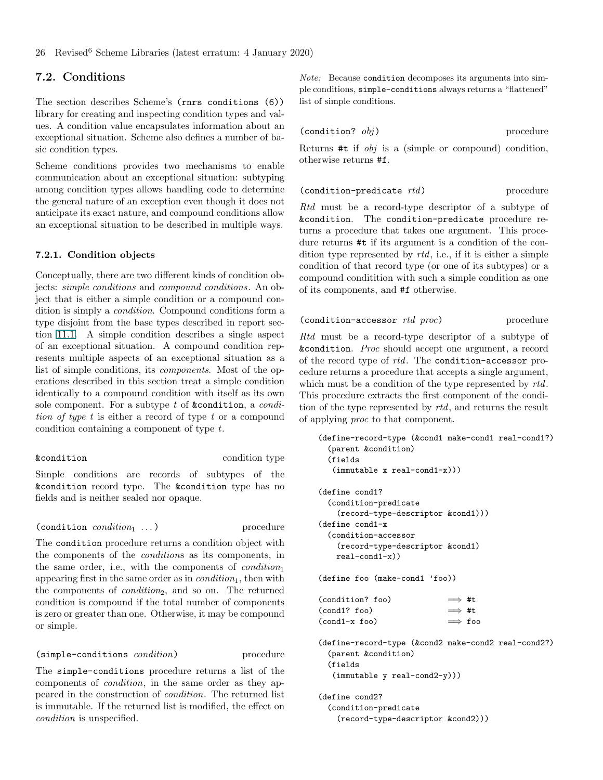# <span id="page-25-0"></span>7.2. Conditions

The section describes Scheme's (rnrs conditions (6)) library for creating and inspecting condition types and values. A condition value encapsulates information about an exceptional situation. Scheme also defines a number of basic condition types.

Scheme conditions provides two mechanisms to enable communication about an exceptional situation: subtyping among condition types allows handling code to determine the general nature of an exception even though it does not anticipate its exact nature, and compound conditions allow an exceptional situation to be described in multiple ways.

#### 7.2.1. Condition objects

Conceptually, there are two different kinds of condition objects: simple conditions and compound conditions. An object that is either a simple condition or a compound condition is simply a condition. Compound conditions form a type disjoint from the base types described in report section [11.1.](#page-42-3) A simple condition describes a single aspect of an exceptional situation. A compound condition represents multiple aspects of an exceptional situation as a list of simple conditions, its components. Most of the operations described in this section treat a simple condition identically to a compound condition with itself as its own sole component. For a subtype  $t$  of  $k$ condition, a *condi*tion of type  $t$  is either a record of type  $t$  or a compound condition containing a component of type t.

#### &condition condition type

Simple conditions are records of subtypes of the &condition record type. The &condition type has no fields and is neither sealed nor opaque.

#### (condition  $condition_1$  ...) procedure

The condition procedure returns a condition object with the components of the conditions as its components, in the same order, i.e., with the components of  $condition_1$ appearing first in the same order as in  $condition_1$ , then with the components of *condition*<sub>2</sub>, and so on. The returned condition is compound if the total number of components is zero or greater than one. Otherwise, it may be compound or simple.

#### (simple-conditions *condition*) procedure

The simple-conditions procedure returns a list of the components of condition, in the same order as they appeared in the construction of condition. The returned list is immutable. If the returned list is modified, the effect on condition is unspecified.

Note: Because condition decomposes its arguments into simple conditions, simple-conditions always returns a "flattened" list of simple conditions.

$$
(condition? \; obj)
$$

Returns  $\#t$  if  $obj$  is a (simple or compound) condition, otherwise returns #f.

$$
(condition-predictate\ rtd) \qquad \qquad \text{procedure}
$$

Rtd must be a record-type descriptor of a subtype of &condition. The condition-predicate procedure returns a procedure that takes one argument. This procedure returns  $#t$  if its argument is a condition of the condition type represented by  $rtd$ , i.e., if it is either a simple condition of that record type (or one of its subtypes) or a compound conditition with such a simple condition as one of its components, and #f otherwise.

```
(condition-accessor rtd proc) procedure
```
Rtd must be a record-type descriptor of a subtype of &condition. Proc should accept one argument, a record of the record type of rtd. The condition-accessor procedure returns a procedure that accepts a single argument, which must be a condition of the type represented by  $rtd$ . This procedure extracts the first component of the condition of the type represented by rtd, and returns the result of applying proc to that component.

```
(define-record-type (&cond1 make-cond1 real-cond1?)
 (parent &condition)
 (fields
  (immutable x real-cond1-x)))
(define cond1?
 (condition-predicate
    (record-type-descriptor &cond1)))
(define cond1-x
 (condition-accessor
    (record-type-descriptor &cond1)
   real-cond1-x))
(define foo (make-cond1 'foo))
(condition? foo) \implies #t\text{(cond1? foo)} \implies \text{#t}\text{(cond1-x } foo) \Rightarrow foo(define-record-type (&cond2 make-cond2 real-cond2?)
 (parent &condition)
 (fields
  (immutable y real-cond2-y)))
(define cond2?
 (condition-predicate
```

```
(record-type-descriptor &cond2)))
```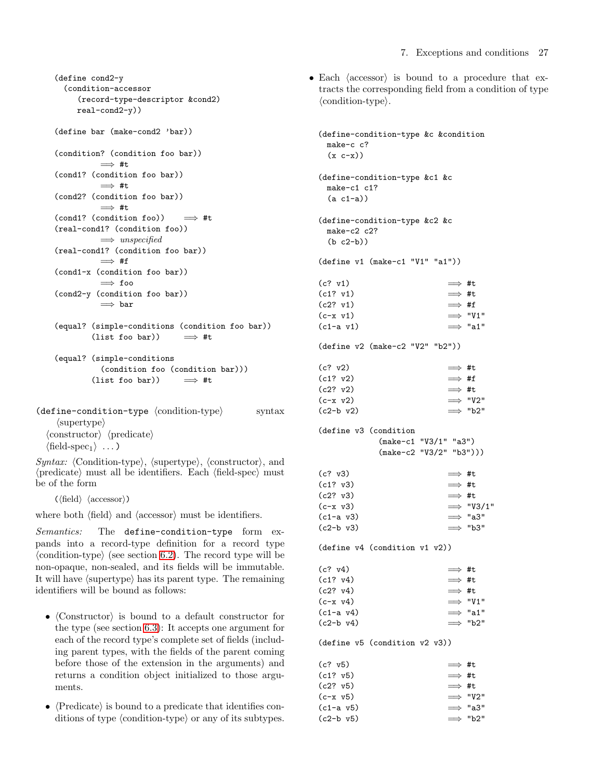(define cond2-y (condition-accessor (record-type-descriptor &cond2) real-cond2-y)) (define bar (make-cond2 'bar)) (condition? (condition foo bar))  $\implies$  #t. (cond1? (condition foo bar))  $\implies$  #t. (cond2? (condition foo bar))  $\implies$  #t.  $(cond1? (condition foo)) \implies #t$ (real-cond1? (condition foo))  $\implies$  unspecified (real-cond1? (condition foo bar))  $\implies$  #f (cond1-x (condition foo bar))  $\implies$  foo (cond2-y (condition foo bar))  $\implies$  bar (equal? (simple-conditions (condition foo bar)) (list foo bar))  $\implies$  #t

```
(equal? (simple-conditions
          (condition foo (condition bar)))
        (list foo bar)) \implies #t
```
 $(define-condition-type (condition-type)$  syntax  $\langle$ supertype $\rangle$  $\langle \text{constructor} \rangle$   $\langle \text{predicate} \rangle$  $\langle$ field-spec<sub>1</sub> $\rangle$  ...)

Syntax:  $\langle$ Condition-type $\rangle$ ,  $\langle$ supertype $\rangle$ ,  $\langle$ constructor $\rangle$ , and  $\langle$  predicate $\rangle$  must all be identifiers. Each  $\langle$  field-spec $\rangle$  must be of the form

 $(\langle \text{field} \rangle \langle \text{accessor} \rangle)$ 

where both  $\langle \text{field} \rangle$  and  $\langle \text{accessor} \rangle$  must be identifiers.

Semantics: The define-condition-type form expands into a record-type definition for a record type  $\langle$  condition-type $\rangle$  (see section [6.2\)](#page-15-1). The record type will be non-opaque, non-sealed, and its fields will be immutable. It will have  $\langle$  supertype $\rangle$  has its parent type. The remaining identifiers will be bound as follows:

- $\langle$  Constructor $\rangle$  is bound to a default constructor for the type (see section [6.3\)](#page-19-0): It accepts one argument for each of the record type's complete set of fields (including parent types, with the fields of the parent coming before those of the extension in the arguments) and returns a condition object initialized to those arguments.
- $\langle$  Predicate $\rangle$  is bound to a predicate that identifies conditions of type  $\langle$  condition-type $\rangle$  or any of its subtypes.

• Each  $\langle \text{accessor} \rangle$  is bound to a procedure that extracts the corresponding field from a condition of type  $\langle$  condition-type $\rangle$ .

```
(define-condition-type &c &condition
 make-c c?
 (x - x)(define-condition-type &c1 &c
 make-c1 c1?
 (a c1-a))
(define-condition-type &c2 &c
 make-c2 c2?
 (b c2-b))
(define v1 (make-c1 "V1" "a1"))
(c? v1) \implies #t
(ct? v1) \implies #t
(c2? v1) \implies #f
(c-x \text{ v1}) \implies "V1"<br>(c1-a \text{ v1}) \implies "a1"
(c1-a v1)(define v2 (make-c2 "V2" "b2"))
(c? v2) \implies #t
(ct? v2) \implies #f
(c2? v2) \implies #t
(c-x \t v2) \implies "V2"
(c2-b v2) \implies "b2"
(define v3 (condition
          (make-c1 "V3/1" "a3")
          (make-c2 "V3/2" "b3")))
(c? v3) \implies #t
(ct? v3) \implies #t
(c2? v3) \implies #t
(c-x \t v3) \implies "V3/1"
(ct-a v3) \implies "a3"
(c2-b v3) \implies "b3"
(define v4 (condition v1 v2))
(c? v4) \implies #t
(ct? v4) \implies #t
(c2? v4) \implies #t
(c-x \t v4) \implies "V1"<br>(c1-a \t v4) \implies "a1"
(c1-a v4)(c2-b v4) \implies "b2"
(define v5 (condition v2 v3))
(c? v5) \implies #t
(ct? v5) \implies #t
(c2? v5) \implies #t
(c-x \t v5) \implies "V2"
(ct-a \ v5) \implies "a3"
(c2-b \text{ v5}) \implies "b2"
```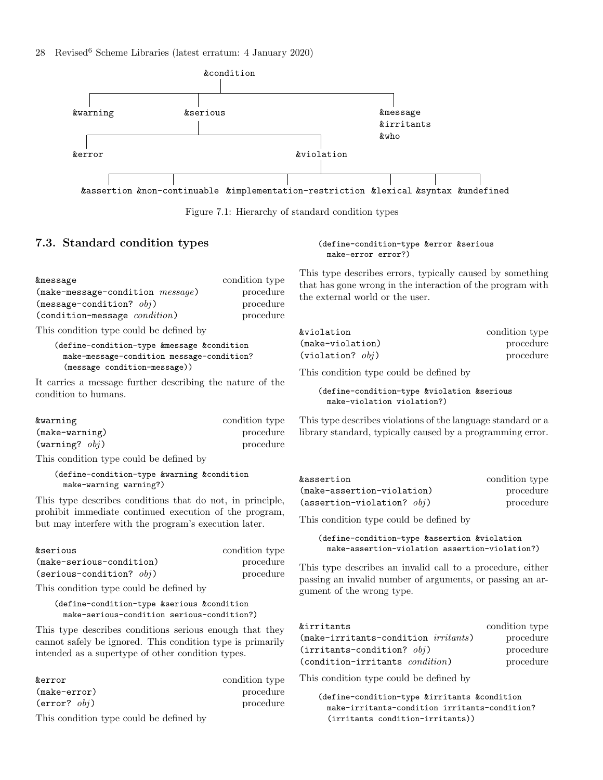

Figure 7.1: Hierarchy of standard condition types

# <span id="page-27-0"></span>7.3. Standard condition types

| <i>&amp;</i> message                      | condition type |
|-------------------------------------------|----------------|
| (make-message-condition message)          | procedure      |
| (message-condition? $obj$ )               | procedure      |
| $(condition \text{-}message \ condition)$ | procedure      |

This condition type could be defined by

```
(define-condition-type &message &condition
 make-message-condition message-condition?
  (message condition-message))
```
It carries a message further describing the nature of the condition to humans.

| <i>&amp;</i> warning | condition type |
|----------------------|----------------|
| (make-warning)       | procedure      |
| (warning? $obj$ )    | procedure      |

This condition type could be defined by

#### (define-condition-type &warning &condition make-warning warning?)

This type describes conditions that do not, in principle, prohibit immediate continued execution of the program, but may interfere with the program's execution later.

| <i>&amp;</i> serious          | condition type |
|-------------------------------|----------------|
| (make-serious-condition)      | procedure      |
| $(s$ erious-condition? $obj)$ | procedure      |

This condition type could be defined by

```
(define-condition-type &serious &condition
 make-serious-condition serious-condition?)
```
This type describes conditions serious enough that they cannot safely be ignored. This condition type is primarily intended as a supertype of other condition types.

| &error                                  | condition type |
|-----------------------------------------|----------------|
| (make-error)                            | procedure      |
| $(\text{error}?\ obi)$                  | procedure      |
| This condition type could be defined by |                |

This condition type could be defined by

#### (define-condition-type &error &serious make-error error?)

This type describes errors, typically caused by something that has gone wrong in the interaction of the program with the external world or the user.

| <i>k</i> violation   | condition type |
|----------------------|----------------|
| (make-violation)     | procedure      |
| $(violation?$ $obj)$ | procedure      |

This condition type could be defined by

```
(define-condition-type &violation &serious
 make-violation violation?)
```
This type describes violations of the language standard or a library standard, typically caused by a programming error.

| <i>kassertion</i>                    | condition type |
|--------------------------------------|----------------|
| (make-assertion-violation)           | procedure      |
| $(\text{assertion-violation? } obj)$ | procedure      |

This condition type could be defined by

```
(define-condition-type &assertion &violation
 make-assertion-violation assertion-violation?)
```
This type describes an invalid call to a procedure, either passing an invalid number of arguments, or passing an argument of the wrong type.

| &irritants                              | condition type |
|-----------------------------------------|----------------|
| (make-irritants-condition irritants)    | procedure      |
| $(irritants$ -condition? $obj)$         | procedure      |
| (condition-irritants <i>condition</i> ) | procedure      |

This condition type could be defined by

(define-condition-type &irritants &condition make-irritants-condition irritants-condition? (irritants condition-irritants))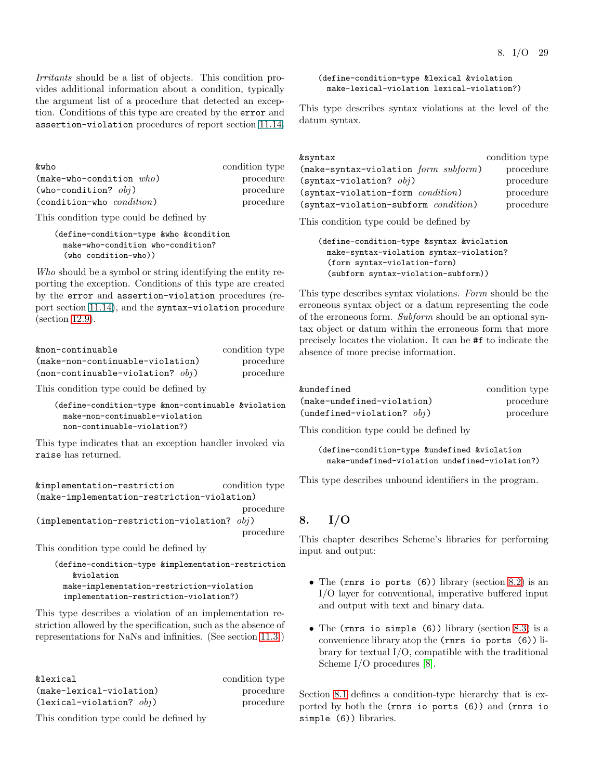Irritants should be a list of objects. This condition provides additional information about a condition, typically the argument list of a procedure that detected an exception. Conditions of this type are created by the error and assertion-violation procedures of report section 11.14.

| &who                           | condition type |
|--------------------------------|----------------|
| $(make-who-condition \; who)$  | procedure      |
| (who-condition? $obj$ )        | procedure      |
| $(condition = who\ condition)$ | procedure      |

This condition type could be defined by

(define-condition-type &who &condition make-who-condition who-condition? (who condition-who))

Who should be a symbol or string identifying the entity reporting the exception. Conditions of this type are created by the error and assertion-violation procedures (report section 11.14), and the syntax-violation procedure (section [12.9\)](#page-57-0).

| &non-continuable                    | condition type |
|-------------------------------------|----------------|
| (make-non-continuable-violation)    | procedure      |
| $non-continuable-violation?$ $obj)$ | procedure      |

This condition type could be defined by

(define-condition-type &non-continuable &violation make-non-continuable-violation non-continuable-violation?)

This type indicates that an exception handler invoked via raise has returned.

```
&implementation-restriction condition type
(make-implementation-restriction-violation)
                                       procedure
(implementation-restruction-violation? obj)procedure
```
This condition type could be defined by

```
(define-condition-type &implementation-restriction
   &violation
 make-implementation-restriction-violation
 implementation-restriction-violation?)
```
This type describes a violation of an implementation restriction allowed by the specification, such as the absence of representations for NaNs and infinities. (See section [11.3.](#page-45-0))

| &lexical                     | condition type |
|------------------------------|----------------|
| (make-lexical-violation)     | procedure      |
| $(lexical-violation?$ $obj)$ | procedure      |

This condition type could be defined by

#### (define-condition-type &lexical &violation make-lexical-violation lexical-violation?)

This type describes syntax violations at the level of the datum syntax.

| <i>&amp;</i> syntax                  | condition type |
|--------------------------------------|----------------|
| (make-syntax-violation form subform) | procedure      |
| (syntax-violation? $obj$ )           | procedure      |
| $(syntax-violation-form\ condition)$ | procedure      |
| (syntax-violation-subform condition) | procedure      |

This condition type could be defined by

(define-condition-type &syntax &violation make-syntax-violation syntax-violation? (form syntax-violation-form) (subform syntax-violation-subform))

This type describes syntax violations. Form should be the erroneous syntax object or a datum representing the code of the erroneous form. Subform should be an optional syntax object or datum within the erroneous form that more precisely locates the violation. It can be #f to indicate the absence of more precise information.

| &undefined                     | condition type |
|--------------------------------|----------------|
| (make-undefined-violation)     | procedure      |
| $(undefined-violation?$ $obj)$ | procedure      |

This condition type could be defined by

```
(define-condition-type &undefined &violation
 make-undefined-violation undefined-violation?)
```
<span id="page-28-0"></span>This type describes unbound identifiers in the program.

# 8. I/O

This chapter describes Scheme's libraries for performing input and output:

- The (rnrs io ports  $(6)$ ) library (section [8.2\)](#page-30-0) is an I/O layer for conventional, imperative buffered input and output with text and binary data.
- The (rnrs io simple (6)) library (section [8.3\)](#page-41-0) is a convenience library atop the (rnrs io ports (6)) library for textual I/O, compatible with the traditional Scheme I/O procedures [\[8\]](#page-65-1).

Section [8.1](#page-29-0) defines a condition-type hierarchy that is exported by both the (rnrs io ports (6)) and (rnrs io simple (6)) libraries.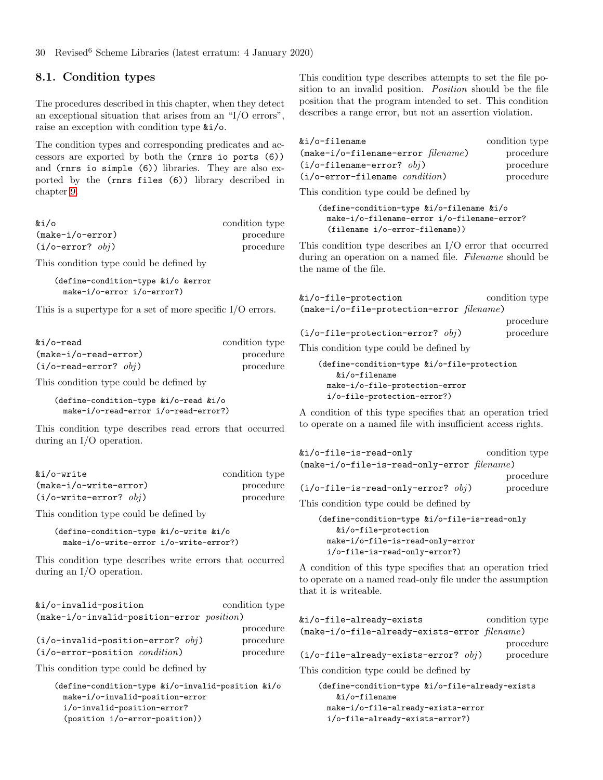# <span id="page-29-0"></span>8.1. Condition types

The procedures described in this chapter, when they detect an exceptional situation that arises from an "I/O errors", raise an exception with condition type &i/o.

The condition types and corresponding predicates and accessors are exported by both the (rnrs io ports (6)) and (rnrs io simple (6)) libraries. They are also exported by the (rnrs files (6)) library described in chapter [9.](#page-42-0)

| &i/o                  | condition type |
|-----------------------|----------------|
| $(maxe-i/o-error)$    | procedure      |
| $(i/0$ -error? $obj)$ | procedure      |

This condition type could be defined by

(define-condition-type &i/o &error make-i/o-error i/o-error?)

This is a supertype for a set of more specific I/O errors.

| &i/o-read                  | condition type |
|----------------------------|----------------|
| $(maxee-i/o-read-error)$   | procedure      |
| $(i/o$ -read-error? $obj)$ | procedure      |

This condition type could be defined by

(define-condition-type &i/o-read &i/o make-i/o-read-error i/o-read-error?)

This condition type describes read errors that occurred during an I/O operation.

| &i/o-write                 | condition type |
|----------------------------|----------------|
| $(make-i/o-write-error)$   | procedure      |
| $(i/O-write-error?$ $obj)$ | procedure      |

This condition type could be defined by

```
(define-condition-type &i/o-write &i/o
 make-i/o-write-error i/o-write-error?)
```
This condition type describes write errors that occurred during an I/O operation.

| &i/o-invalid-position                                                        | condition type                      |
|------------------------------------------------------------------------------|-------------------------------------|
| $(make-i/o-invalid-position-error$ $position)$                               |                                     |
| $(i/O$ -invalid-position-error? $obj$ )<br>$(i/O-error-position\ condition)$ | procedure<br>procedure<br>procedure |

This condition type could be defined by

```
(define-condition-type &i/o-invalid-position &i/o
 make-i/o-invalid-position-error
 i/o-invalid-position-error?
 (position i/o-error-position))
```
This condition type describes attempts to set the file position to an invalid position. Position should be the file position that the program intended to set. This condition describes a range error, but not an assertion violation.

| &i/o-filename                        | condition type |
|--------------------------------------|----------------|
| $(make-i/o-filename-error filename)$ | procedure      |
| $(i/O$ -filename-error? $obj)$       | procedure      |
| $(i/O-error-filename\ condition)$    | procedure      |
|                                      |                |

This condition type could be defined by

(define-condition-type &i/o-filename &i/o make-i/o-filename-error i/o-filename-error? (filename i/o-error-filename))

This condition type describes an I/O error that occurred during an operation on a named file. Filename should be the name of the file.

| &i/o-file-protection                      | condition type |
|-------------------------------------------|----------------|
| (make-i/o-file-protection-error filename) |                |
|                                           | procedure      |
| $(i/O$ -file-protection-error? $obj)$     | procedure      |
|                                           |                |

This condition type could be defined by

```
(define-condition-type &i/o-file-protection
   &i/o-filename
 make-i/o-file-protection-error
 i/o-file-protection-error?)
```
A condition of this type specifies that an operation tried to operate on a named file with insufficient access rights.

| &i/o-file-is-read-only                        | condition type |
|-----------------------------------------------|----------------|
| $(make-i/o-file-is-read-only-error filename)$ |                |
|                                               | procedure      |
| $(i/o$ -file-is-read-only-error? $obj$ )      | procedure      |
| This condition type could be defined by       |                |

(define-condition-type &i/o-file-is-read-only

```
&i/o-file-protection
make-i/o-file-is-read-only-error
i/o-file-is-read-only-error?)
```
A condition of this type specifies that an operation tried to operate on a named read-only file under the assumption that it is writeable.

| &i/o-file-already-exists                        | condition type         |
|-------------------------------------------------|------------------------|
| $(make-i/o-file-already-exists-error filename)$ |                        |
| $(i/O$ -file-already-exists-error? $obj$ )      | procedure<br>procedure |
| This condition type could be defined by         |                        |

```
(define-condition-type &i/o-file-already-exists
   &i/o-filename
 make-i/o-file-already-exists-error
 i/o-file-already-exists-error?)
```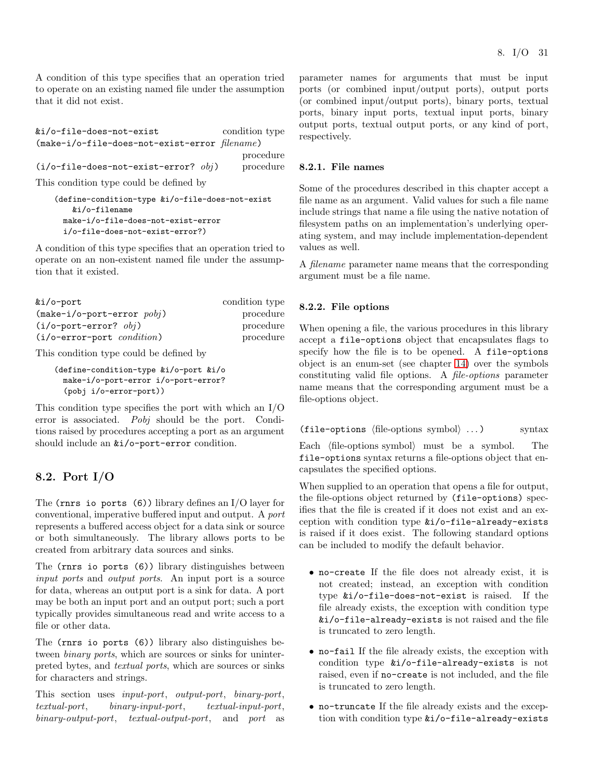A condition of this type specifies that an operation tried to operate on an existing named file under the assumption that it did not exist.

&i/o-file-does-not-exist condition type (make-i/o-file-does-not-exist-error filename) procedure  $(i/o$ -file-does-not-exist-error?  $obj$  procedure

This condition type could be defined by

```
(define-condition-type &i/o-file-does-not-exist
   &i/o-filename
 make-i/o-file-does-not-exist-error
 i/o-file-does-not-exist-error?)
```
A condition of this type specifies that an operation tried to operate on an non-existent named file under the assumption that it existed.

| &i/o-port                           | condition type |
|-------------------------------------|----------------|
| $(make-i/o-port-error pobj)$        | procedure      |
| $(i/O$ -port-error? $obj)$          | procedure      |
| $(i/\text{o-error-port condition})$ | procedure      |

This condition type could be defined by

```
(define-condition-type &i/o-port &i/o
 make-i/o-port-error i/o-port-error?
  (pobj i/o-error-port))
```
This condition type specifies the port with which an I/O error is associated. Pobj should be the port. Conditions raised by procedures accepting a port as an argument should include an &i/o-port-error condition.

# <span id="page-30-0"></span>8.2. Port I/O

The (rnrs io ports (6)) library defines an I/O layer for conventional, imperative buffered input and output. A port represents a buffered access object for a data sink or source or both simultaneously. The library allows ports to be created from arbitrary data sources and sinks.

The (rnrs io ports (6)) library distinguishes between input ports and output ports. An input port is a source for data, whereas an output port is a sink for data. A port may be both an input port and an output port; such a port typically provides simultaneous read and write access to a file or other data.

The (rnrs io ports (6)) library also distinguishes between binary ports, which are sources or sinks for uninterpreted bytes, and textual ports, which are sources or sinks for characters and strings.

This section uses input-port, output-port, binary-port, textual-port, binary-input-port, textual-input-port, binary-output-port, textual-output-port, and port as parameter names for arguments that must be input ports (or combined input/output ports), output ports (or combined input/output ports), binary ports, textual ports, binary input ports, textual input ports, binary output ports, textual output ports, or any kind of port, respectively.

# 8.2.1. File names

Some of the procedures described in this chapter accept a file name as an argument. Valid values for such a file name include strings that name a file using the native notation of filesystem paths on an implementation's underlying operating system, and may include implementation-dependent values as well.

A filename parameter name means that the corresponding argument must be a file name.

# <span id="page-30-1"></span>8.2.2. File options

When opening a file, the various procedures in this library accept a file-options object that encapsulates flags to specify how the file is to be opened. A file-options object is an enum-set (see chapter [14\)](#page-59-2) over the symbols constituting valid file options. A file-options parameter name means that the corresponding argument must be a file-options object.

(file-options  $\langle$  file-options symbol $\rangle$  ...) syntax

Each  $\langle$  file-options symbol $\rangle$  must be a symbol. The file-options syntax returns a file-options object that encapsulates the specified options.

When supplied to an operation that opens a file for output, the file-options object returned by (file-options) specifies that the file is created if it does not exist and an exception with condition type &i/o-file-already-exists is raised if it does exist. The following standard options can be included to modify the default behavior.

- no-create If the file does not already exist, it is not created; instead, an exception with condition type &i/o-file-does-not-exist is raised. If the file already exists, the exception with condition type &i/o-file-already-exists is not raised and the file is truncated to zero length.
- no-fail If the file already exists, the exception with condition type &i/o-file-already-exists is not raised, even if no-create is not included, and the file is truncated to zero length.
- no-truncate If the file already exists and the exception with condition type &i/o-file-already-exists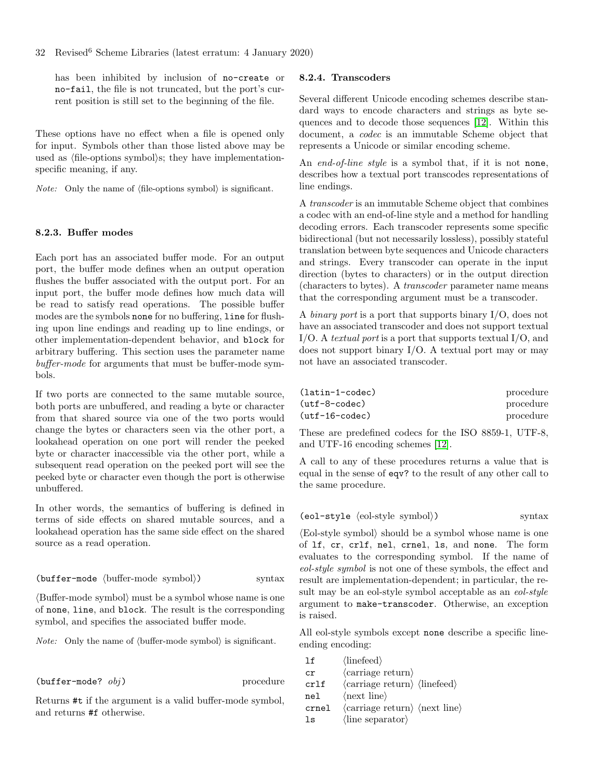has been inhibited by inclusion of no-create or no-fail, the file is not truncated, but the port's current position is still set to the beginning of the file.

These options have no effect when a file is opened only for input. Symbols other than those listed above may be used as  $\langle$ file-options symbol $\rangle$ s; they have implementationspecific meaning, if any.

*Note:* Only the name of  $\langle$  file-options symbol $\rangle$  is significant.

#### 8.2.3. Buffer modes

Each port has an associated buffer mode. For an output port, the buffer mode defines when an output operation flushes the buffer associated with the output port. For an input port, the buffer mode defines how much data will be read to satisfy read operations. The possible buffer modes are the symbols none for no buffering, line for flushing upon line endings and reading up to line endings, or other implementation-dependent behavior, and block for arbitrary buffering. This section uses the parameter name buffer-mode for arguments that must be buffer-mode symbols.

If two ports are connected to the same mutable source, both ports are unbuffered, and reading a byte or character from that shared source via one of the two ports would change the bytes or characters seen via the other port, a lookahead operation on one port will render the peeked byte or character inaccessible via the other port, while a subsequent read operation on the peeked port will see the peeked byte or character even though the port is otherwise unbuffered.

In other words, the semantics of buffering is defined in terms of side effects on shared mutable sources, and a lookahead operation has the same side effect on the shared source as a read operation.

 $(\text{buffer-mode } \langle \text{buffer-mode } \text{symbol} \rangle)$  syntax

 $\Delta$ Buffer-mode symbol) must be a symbol whose name is one of none, line, and block. The result is the corresponding symbol, and specifies the associated buffer mode.

*Note:* Only the name of  $\langle$  buffer-mode symbol $\rangle$  is significant.

| (buffer-mode? $obj$ ) |  | procedure |
|-----------------------|--|-----------|
|-----------------------|--|-----------|

Returns #t if the argument is a valid buffer-mode symbol, and returns #f otherwise.

#### <span id="page-31-0"></span>8.2.4. Transcoders

Several different Unicode encoding schemes describe standard ways to encode characters and strings as byte sequences and to decode those sequences [\[12\]](#page-65-2). Within this document, a codec is an immutable Scheme object that represents a Unicode or similar encoding scheme.

An end-of-line style is a symbol that, if it is not none, describes how a textual port transcodes representations of line endings.

A transcoder is an immutable Scheme object that combines a codec with an end-of-line style and a method for handling decoding errors. Each transcoder represents some specific bidirectional (but not necessarily lossless), possibly stateful translation between byte sequences and Unicode characters and strings. Every transcoder can operate in the input direction (bytes to characters) or in the output direction (characters to bytes). A transcoder parameter name means that the corresponding argument must be a transcoder.

A binary port is a port that supports binary I/O, does not have an associated transcoder and does not support textual I/O. A textual port is a port that supports textual I/O, and does not support binary I/O. A textual port may or may not have an associated transcoder.

| $(latin-1-codec)$ | procedure |
|-------------------|-----------|
| $(utf-8-codec)$   | procedure |
| $(utf-16-codec)$  | procedure |

These are predefined codecs for the ISO 8859-1, UTF-8, and UTF-16 encoding schemes [\[12\]](#page-65-2).

A call to any of these procedures returns a value that is equal in the sense of eqv? to the result of any other call to the same procedure.

| $(eo1-style \langle eol-style \, symbol \rangle)$ |  |  |  | $\frac{\text{svntax}}{\text{svntax}}$ |
|---------------------------------------------------|--|--|--|---------------------------------------|
|---------------------------------------------------|--|--|--|---------------------------------------|

 $\langle$ Eol-style symbol $\rangle$  should be a symbol whose name is one of lf, cr, crlf, nel, crnel, ls, and none. The form evaluates to the corresponding symbol. If the name of eol-style symbol is not one of these symbols, the effect and result are implementation-dependent; in particular, the result may be an eol-style symbol acceptable as an eol-style argument to make-transcoder. Otherwise, an exception is raised.

All eol-style symbols except none describe a specific lineending encoding:

| 7f    | $\langle$ linefeed $\rangle$                                      |
|-------|-------------------------------------------------------------------|
| cr    | $\langle$ carriage return $\rangle$                               |
| crlf  | $\langle$ carriage return $\rangle$ $\langle$ linefeed $\rangle$  |
| nel   | $\langle$ next line $\rangle$                                     |
| crnel | $\langle$ carriage return $\rangle$ $\langle$ next line $\rangle$ |
| 1 ຮ   | $\langle$ line separator $\rangle$                                |
|       |                                                                   |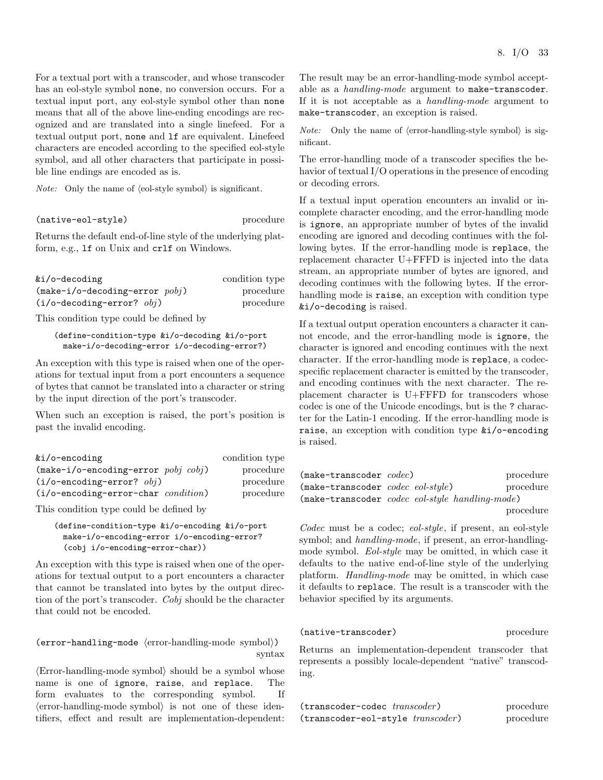For a textual port with a transcoder, and whose transcoder has an eol-style symbol none, no conversion occurs. For a textual input port, any eol-style symbol other than none means that all of the above line-ending encodings are recognized and are translated into a single linefeed. For a textual output port, none and lf are equivalent. Linefeed characters are encoded according to the specified eol-style symbol, and all other characters that participate in possible line endings are encoded as is.

*Note:* Only the name of  $\langle$  eol-style symbol $\rangle$  is significant.

#### (native-eol-style) procedure

Returns the default end-of-line style of the underlying platform, e.g., lf on Unix and crlf on Windows.

| &i/o-decoding                    | condition type |
|----------------------------------|----------------|
| $(make-i/o-decoding-error pobj)$ | procedure      |
| $(i/o-decoding-error? obj)$      | procedure      |

This condition type could be defined by

#### (define-condition-type &i/o-decoding &i/o-port make-i/o-decoding-error i/o-decoding-error?)

An exception with this type is raised when one of the operations for textual input from a port encounters a sequence of bytes that cannot be translated into a character or string by the input direction of the port's transcoder.

When such an exception is raised, the port's position is past the invalid encoding.

| &i/o-encoding                          | condition type |
|----------------------------------------|----------------|
| $(make-i/o-encoding-error pobj cobj)$  | procedure      |
| $(i/o\text{-encoding-error? } obj)$    | procedure      |
| $(i/o-encoding-error-char\ condition)$ | procedure      |
|                                        |                |

This condition type could be defined by

```
(define-condition-type &i/o-encoding &i/o-port
 make-i/o-encoding-error i/o-encoding-error?
  (cobj i/o-encoding-error-char))
```
An exception with this type is raised when one of the operations for textual output to a port encounters a character that cannot be translated into bytes by the output direction of the port's transcoder. Cobj should be the character that could not be encoded.

# $(error-handling-mode (error-handling-mode symbol))$ syntax

hError-handling-mode symboli should be a symbol whose name is one of ignore, raise, and replace. The form evaluates to the corresponding symbol. If  $\langle$  error-handling-mode symbol $\rangle$  is not one of these identifiers, effect and result are implementation-dependent:

The result may be an error-handling-mode symbol acceptable as a handling-mode argument to make-transcoder. If it is not acceptable as a handling-mode argument to make-transcoder, an exception is raised.

*Note:* Only the name of  $\langle$  error-handling-style symbol $\rangle$  is significant.

The error-handling mode of a transcoder specifies the behavior of textual I/O operations in the presence of encoding or decoding errors.

If a textual input operation encounters an invalid or incomplete character encoding, and the error-handling mode is ignore, an appropriate number of bytes of the invalid encoding are ignored and decoding continues with the following bytes. If the error-handling mode is replace, the replacement character U+FFFD is injected into the data stream, an appropriate number of bytes are ignored, and decoding continues with the following bytes. If the errorhandling mode is raise, an exception with condition type &i/o-decoding is raised.

If a textual output operation encounters a character it cannot encode, and the error-handling mode is ignore, the character is ignored and encoding continues with the next character. If the error-handling mode is replace, a codecspecific replacement character is emitted by the transcoder, and encoding continues with the next character. The replacement character is U+FFFD for transcoders whose codec is one of the Unicode encodings, but is the ? character for the Latin-1 encoding. If the error-handling mode is raise, an exception with condition type &i/o-encoding is raised.

| $(make-transcode rootec)$                  |                                                 | procedure |
|--------------------------------------------|-------------------------------------------------|-----------|
| $(make-transcoder\ code\ code\ eol-style)$ |                                                 | procedure |
|                                            | (make-transcoder codec eol-style handling-mode) |           |
|                                            |                                                 | procedure |

Codec must be a codec; eol-style, if present, an eol-style symbol; and *handling-mode*, if present, an error-handlingmode symbol. Eol-style may be omitted, in which case it defaults to the native end-of-line style of the underlying platform. Handling-mode may be omitted, in which case it defaults to replace. The result is a transcoder with the behavior specified by its arguments.

#### (native-transcoder) procedure

Returns an implementation-dependent transcoder that represents a possibly locale-dependent "native" transcoding.

| (transcoder-codec transcoder)     | procedure |
|-----------------------------------|-----------|
| (transcoder-eol-style transcoder) | procedure |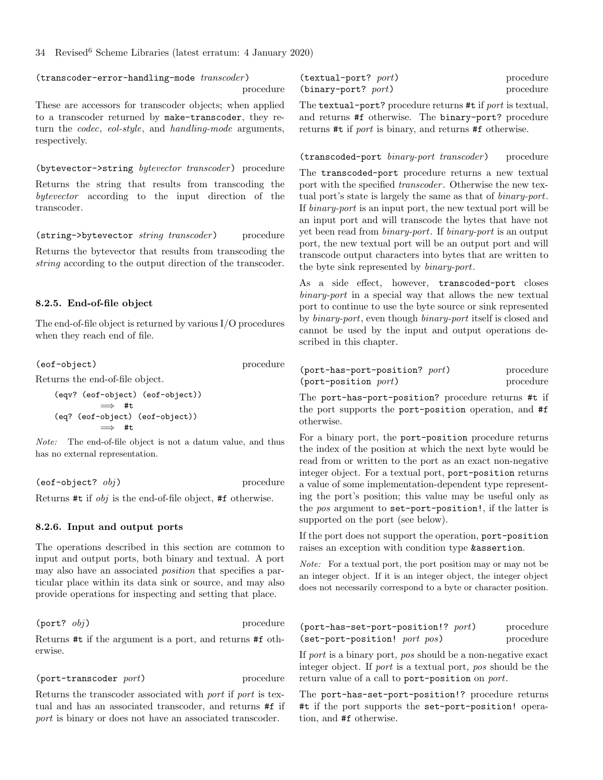(transcoder-error-handling-mode transcoder)

procedure

These are accessors for transcoder objects; when applied to a transcoder returned by make-transcoder, they return the codec, eol-style, and handling-mode arguments, respectively.

(bytevector->string bytevector transcoder) procedure

Returns the string that results from transcoding the bytevector according to the input direction of the transcoder.

(string->bytevector string transcoder) procedure

Returns the bytevector that results from transcoding the string according to the output direction of the transcoder.

#### 8.2.5. End-of-file object

The end-of-file object is returned by various I/O procedures when they reach end of file.

(eof-object) procedure

Returns the end-of-file object.

(eqv? (eof-object) (eof-object))  $\implies$  #t (eq? (eof-object) (eof-object))  $\implies$  #t

Note: The end-of-file object is not a datum value, and thus has no external representation.

 $(eof-object? \tobj)$  procedure

Returns #t if obj is the end-of-file object, #f otherwise.

#### 8.2.6. Input and output ports

The operations described in this section are common to input and output ports, both binary and textual. A port may also have an associated *position* that specifies a particular place within its data sink or source, and may also provide operations for inspecting and setting that place.

#### $(port? \; obj)$  procedure

Returns #t if the argument is a port, and returns #f otherwise.

(port-transcoder port) procedure

Returns the transcoder associated with port if port is textual and has an associated transcoder, and returns #f if port is binary or does not have an associated transcoder.

| $(textual-port?$ port) | procedure |
|------------------------|-----------|
| $(binary-port?$ port)  | procedure |

The textual-port? procedure returns #t if port is textual, and returns #f otherwise. The binary-port? procedure returns #t if port is binary, and returns #f otherwise.

(transcoded-port binary-port transcoder) procedure

The transcoded-port procedure returns a new textual port with the specified *transcoder*. Otherwise the new textual port's state is largely the same as that of binary-port. If binary-port is an input port, the new textual port will be an input port and will transcode the bytes that have not yet been read from binary-port. If binary-port is an output port, the new textual port will be an output port and will transcode output characters into bytes that are written to the byte sink represented by binary-port.

As a side effect, however, transcoded-port closes binary-port in a special way that allows the new textual port to continue to use the byte source or sink represented by binary-port, even though binary-port itself is closed and cannot be used by the input and output operations described in this chapter.

| $(port-has-port-position?$ port- | procedure |
|----------------------------------|-----------|
| $(port-position\ port)$          | procedure |

The port-has-port-position? procedure returns #t if the port supports the port-position operation, and #f otherwise.

For a binary port, the port-position procedure returns the index of the position at which the next byte would be read from or written to the port as an exact non-negative integer object. For a textual port, port-position returns a value of some implementation-dependent type representing the port's position; this value may be useful only as the pos argument to set-port-position!, if the latter is supported on the port (see below).

If the port does not support the operation, port-position raises an exception with condition type &assertion.

Note: For a textual port, the port position may or may not be an integer object. If it is an integer object, the integer object does not necessarily correspond to a byte or character position.

| $port-has-set-port-position$ ? port-has-set-port-position!? port) | procedure |
|-------------------------------------------------------------------|-----------|
| (set-port-position! port pos)                                     | procedure |

If port is a binary port, pos should be a non-negative exact integer object. If port is a textual port, pos should be the return value of a call to port-position on port.

The port-has-set-port-position!? procedure returns #t if the port supports the set-port-position! operation, and #f otherwise.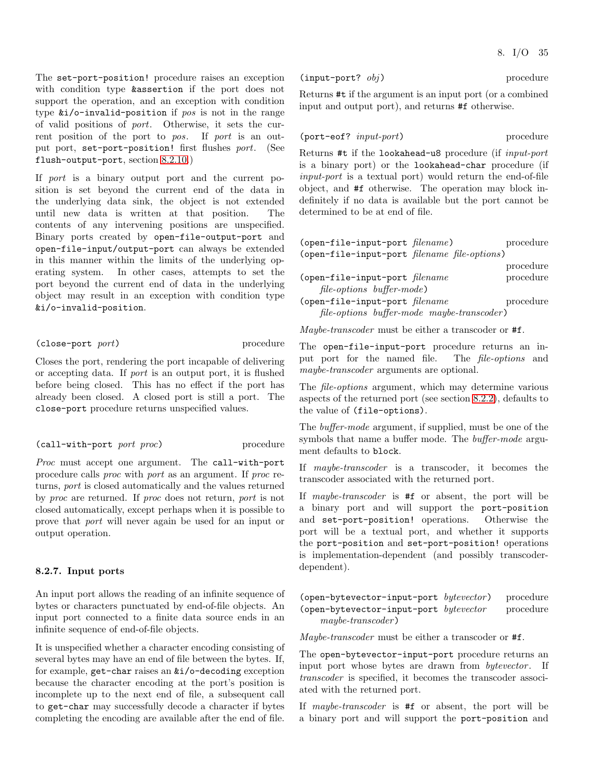The set-port-position! procedure raises an exception with condition type &assertion if the port does not support the operation, and an exception with condition type &i/o-invalid-position if pos is not in the range of valid positions of port. Otherwise, it sets the current position of the port to pos. If port is an output port, set-port-position! first flushes port. (See flush-output-port, section [8.2.10.](#page-38-0))

If port is a binary output port and the current position is set beyond the current end of the data in the underlying data sink, the object is not extended until new data is written at that position. The contents of any intervening positions are unspecified. Binary ports created by open-file-output-port and open-file-input/output-port can always be extended in this manner within the limits of the underlying operating system. In other cases, attempts to set the port beyond the current end of data in the underlying object may result in an exception with condition type &i/o-invalid-position.

#### (close-port *port*) procedure

Closes the port, rendering the port incapable of delivering or accepting data. If port is an output port, it is flushed before being closed. This has no effect if the port has already been closed. A closed port is still a port. The close-port procedure returns unspecified values.

#### (call-with-port port proc) procedure

Proc must accept one argument. The call-with-port procedure calls proc with port as an argument. If proc returns, port is closed automatically and the values returned by proc are returned. If proc does not return, port is not closed automatically, except perhaps when it is possible to prove that port will never again be used for an input or output operation.

# 8.2.7. Input ports

An input port allows the reading of an infinite sequence of bytes or characters punctuated by end-of-file objects. An input port connected to a finite data source ends in an infinite sequence of end-of-file objects.

It is unspecified whether a character encoding consisting of several bytes may have an end of file between the bytes. If, for example, get-char raises an &i/o-decoding exception because the character encoding at the port's position is incomplete up to the next end of file, a subsequent call to get-char may successfully decode a character if bytes completing the encoding are available after the end of file.

 $(input-port? *obj*)$  procedure

Returns #t if the argument is an input port (or a combined input and output port), and returns #f otherwise.

| (port-eof? <i>input-port</i> ) |  | procedure |
|--------------------------------|--|-----------|
|--------------------------------|--|-----------|

Returns #t if the lookahead-u8 procedure (if input-port is a binary port) or the lookahead-char procedure (if input-port is a textual port) would return the end-of-file object, and #f otherwise. The operation may block indefinitely if no data is available but the port cannot be determined to be at end of file.

| $(open-file-input-port\ filename)$           | procedure |
|----------------------------------------------|-----------|
| (open-file-input-port filename file-options) |           |
|                                              | procedure |

| $(\text{open-file-input-port}$ filename    | procedure |
|--------------------------------------------|-----------|
| file-options buffer-mode)                  |           |
| $(open-file-input-port\ filename)$         | procedure |
| file-options buffer-mode maybe-transcoder) |           |

Maybe-transcoder must be either a transcoder or #f.

The open-file-input-port procedure returns an input port for the named file. The file-options and maybe-transcoder arguments are optional.

The file-options argument, which may determine various aspects of the returned port (see section [8.2.2\)](#page-30-1), defaults to the value of (file-options).

The buffer-mode argument, if supplied, must be one of the symbols that name a buffer mode. The buffer-mode argument defaults to block.

If maybe-transcoder is a transcoder, it becomes the transcoder associated with the returned port.

If maybe-transcoder is #f or absent, the port will be a binary port and will support the port-position and set-port-position! operations. Otherwise the port will be a textual port, and whether it supports the port-position and set-port-position! operations is implementation-dependent (and possibly transcoderdependent).

### (open-bytevector-input-port bytevector) procedure (open-bytevector-input-port bytevector procedure maybe-transcoder)

Maybe-transcoder must be either a transcoder or #f.

The open-bytevector-input-port procedure returns an input port whose bytes are drawn from bytevector. If transcoder is specified, it becomes the transcoder associated with the returned port.

If maybe-transcoder is #f or absent, the port will be a binary port and will support the port-position and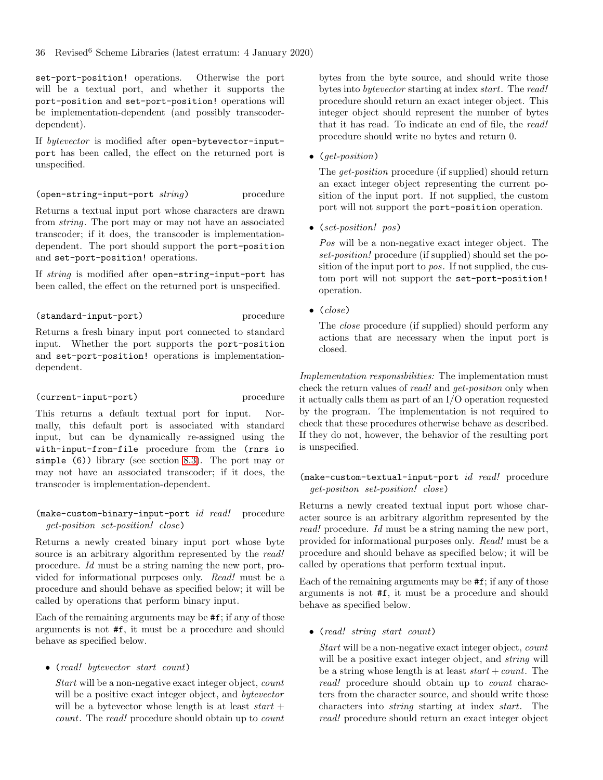set-port-position! operations. Otherwise the port will be a textual port, and whether it supports the port-position and set-port-position! operations will be implementation-dependent (and possibly transcoderdependent).

If bytevector is modified after open-bytevector-inputport has been called, the effect on the returned port is unspecified.

(open-string-input-port string) procedure

Returns a textual input port whose characters are drawn from string. The port may or may not have an associated transcoder; if it does, the transcoder is implementationdependent. The port should support the port-position and set-port-position! operations.

If string is modified after open-string-input-port has been called, the effect on the returned port is unspecified.

#### (standard-input-port) procedure

Returns a fresh binary input port connected to standard input. Whether the port supports the port-position and set-port-position! operations is implementationdependent.

#### (current-input-port) procedure

This returns a default textual port for input. Normally, this default port is associated with standard input, but can be dynamically re-assigned using the with-input-from-file procedure from the (rnrs io simple (6)) library (see section [8.3\)](#page-41-0). The port may or may not have an associated transcoder; if it does, the transcoder is implementation-dependent.

# $(make-custom-binary-input-port *id read!* procedure$ get-position set-position! close)

Returns a newly created binary input port whose byte source is an arbitrary algorithm represented by the *read!* procedure. Id must be a string naming the new port, provided for informational purposes only. Read! must be a procedure and should behave as specified below; it will be called by operations that perform binary input.

Each of the remaining arguments may be #f; if any of those arguments is not #f, it must be a procedure and should behave as specified below.

# • (read! bytevector start count)

Start will be a non-negative exact integer object, count will be a positive exact integer object, and *bytevector* will be a bytevector whose length is at least  $start +$ count. The read! procedure should obtain up to count

bytes from the byte source, and should write those bytes into bytevector starting at index start. The read! procedure should return an exact integer object. This integer object should represent the number of bytes that it has read. To indicate an end of file, the read! procedure should write no bytes and return 0.

•  $(get\text{-}position)$ 

The get-position procedure (if supplied) should return an exact integer object representing the current position of the input port. If not supplied, the custom port will not support the port-position operation.

• (set-position! pos)

Pos will be a non-negative exact integer object. The set-position! procedure (if supplied) should set the position of the input port to pos. If not supplied, the custom port will not support the set-port-position! operation.

 $\bullet$  (close)

The close procedure (if supplied) should perform any actions that are necessary when the input port is closed.

Implementation responsibilities: The implementation must check the return values of read! and get-position only when it actually calls them as part of an I/O operation requested by the program. The implementation is not required to check that these procedures otherwise behave as described. If they do not, however, the behavior of the resulting port is unspecified.

# (make-custom-textual-input-port id read! procedure get-position set-position! close)

Returns a newly created textual input port whose character source is an arbitrary algorithm represented by the read! procedure. Id must be a string naming the new port, provided for informational purposes only. Read! must be a procedure and should behave as specified below; it will be called by operations that perform textual input.

Each of the remaining arguments may be #f; if any of those arguments is not #f, it must be a procedure and should behave as specified below.

# • (read! string start count)

Start will be a non-negative exact integer object, count will be a positive exact integer object, and *string* will be a string whose length is at least  $start + count$ . The read! procedure should obtain up to *count* characters from the character source, and should write those characters into string starting at index start. The read! procedure should return an exact integer object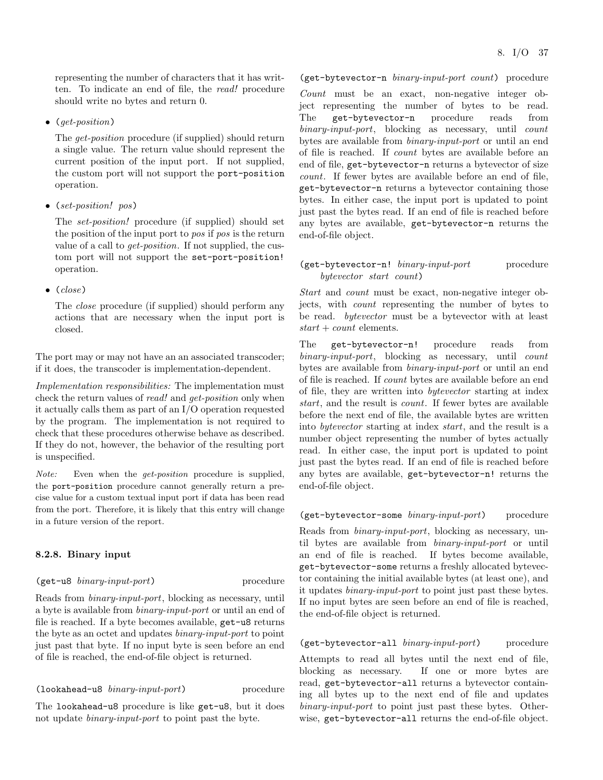<span id="page-36-0"></span>representing the number of characters that it has written. To indicate an end of file, the read! procedure should write no bytes and return 0.

 $\bullet$  (get-position)

The get-position procedure (if supplied) should return a single value. The return value should represent the current position of the input port. If not supplied, the custom port will not support the port-position operation.

• (set-position! pos)

The set-position! procedure (if supplied) should set the position of the input port to pos if pos is the return value of a call to get-position. If not supplied, the custom port will not support the set-port-position! operation.

 $\bullet$  (close)

The *close* procedure (if supplied) should perform any actions that are necessary when the input port is closed.

The port may or may not have an an associated transcoder; if it does, the transcoder is implementation-dependent.

Implementation responsibilities: The implementation must check the return values of read! and get-position only when it actually calls them as part of an I/O operation requested by the program. The implementation is not required to check that these procedures otherwise behave as described. If they do not, however, the behavior of the resulting port is unspecified.

Note: Even when the *get-position* procedure is supplied, the port-position procedure cannot generally return a precise value for a custom textual input port if data has been read from the port. Therefore, it is likely that this entry will change in a future version of the report.

# 8.2.8. Binary input

 $(get-u8 \ binary-input-port)$  procedure

Reads from binary-input-port, blocking as necessary, until a byte is available from binary-input-port or until an end of file is reached. If a byte becomes available, get-u8 returns the byte as an octet and updates binary-input-port to point just past that byte. If no input byte is seen before an end of file is reached, the end-of-file object is returned.

#### (lookahead-u8 binary-input-port) procedure

The lookahead-u8 procedure is like get-u8, but it does not update binary-input-port to point past the byte.

#### (get-bytevector-n binary-input-port count) procedure

Count must be an exact, non-negative integer object representing the number of bytes to be read. The get-bytevector-n procedure reads from binary-input-port, blocking as necessary, until count bytes are available from binary-input-port or until an end of file is reached. If count bytes are available before an end of file, get-bytevector-n returns a bytevector of size count. If fewer bytes are available before an end of file, get-bytevector-n returns a bytevector containing those bytes. In either case, the input port is updated to point just past the bytes read. If an end of file is reached before any bytes are available, get-bytevector-n returns the end-of-file object.

### (get-bytevector-n! binary-input-port procedure bytevector start count)

Start and count must be exact, non-negative integer objects, with count representing the number of bytes to be read. bytevector must be a bytevector with at least  $start + count$  elements.

The get-bytevector-n! procedure reads from binary-input-port, blocking as necessary, until count bytes are available from binary-input-port or until an end of file is reached. If count bytes are available before an end of file, they are written into bytevector starting at index start, and the result is count. If fewer bytes are available before the next end of file, the available bytes are written into bytevector starting at index start, and the result is a number object representing the number of bytes actually read. In either case, the input port is updated to point just past the bytes read. If an end of file is reached before any bytes are available, get-bytevector-n! returns the end-of-file object.

# (get-bytevector-some binary-input-port) procedure

Reads from binary-input-port, blocking as necessary, until bytes are available from binary-input-port or until an end of file is reached. If bytes become available, get-bytevector-some returns a freshly allocated bytevector containing the initial available bytes (at least one), and it updates binary-input-port to point just past these bytes. If no input bytes are seen before an end of file is reached, the end-of-file object is returned.

# $(get-bytevector-all \ binary-input-port)$  procedure

Attempts to read all bytes until the next end of file, blocking as necessary. If one or more bytes are read, get-bytevector-all returns a bytevector containing all bytes up to the next end of file and updates binary-input-port to point just past these bytes. Otherwise, get-bytevector-all returns the end-of-file object.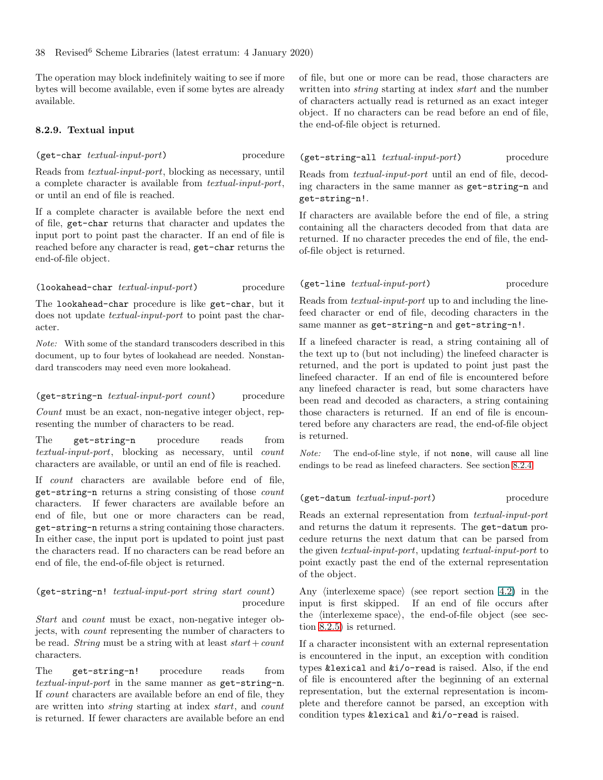<span id="page-37-1"></span>The operation may block indefinitely waiting to see if more bytes will become available, even if some bytes are already available.

### <span id="page-37-0"></span>8.2.9. Textual input

### $(get-char \text{ } textual-input-port)$  procedure

Reads from textual-input-port, blocking as necessary, until a complete character is available from textual-input-port, or until an end of file is reached.

If a complete character is available before the next end of file, get-char returns that character and updates the input port to point past the character. If an end of file is reached before any character is read, get-char returns the end-of-file object.

(lookahead-char textual-input-port) procedure

The lookahead-char procedure is like get-char, but it does not update textual-input-port to point past the character.

Note: With some of the standard transcoders described in this document, up to four bytes of lookahead are needed. Nonstandard transcoders may need even more lookahead.

# (get-string-n textual-input-port count) procedure

Count must be an exact, non-negative integer object, representing the number of characters to be read.

The get-string-n procedure reads from textual-input-port, blocking as necessary, until count characters are available, or until an end of file is reached.

If count characters are available before end of file, get-string-n returns a string consisting of those count characters. If fewer characters are available before an end of file, but one or more characters can be read, get-string-n returns a string containing those characters. In either case, the input port is updated to point just past the characters read. If no characters can be read before an end of file, the end-of-file object is returned.

# (get-string-n! textual-input-port string start count) procedure

Start and count must be exact, non-negative integer objects, with count representing the number of characters to be read. String must be a string with at least  $start + count$ characters.

The get-string-n! procedure reads from textual-input-port in the same manner as get-string-n. If count characters are available before an end of file, they are written into string starting at index start, and count is returned. If fewer characters are available before an end of file, but one or more can be read, those characters are written into *string* starting at index *start* and the number of characters actually read is returned as an exact integer object. If no characters can be read before an end of file, the end-of-file object is returned.

### (get-string-all textual-input-port) procedure

Reads from textual-input-port until an end of file, decoding characters in the same manner as get-string-n and get-string-n!.

If characters are available before the end of file, a string containing all the characters decoded from that data are returned. If no character precedes the end of file, the endof-file object is returned.

### $(get-line \text{ } textual-input-port)$  procedure

Reads from *textual-input-port* up to and including the linefeed character or end of file, decoding characters in the same manner as get-string-n and get-string-n!.

If a linefeed character is read, a string containing all of the text up to (but not including) the linefeed character is returned, and the port is updated to point just past the linefeed character. If an end of file is encountered before any linefeed character is read, but some characters have been read and decoded as characters, a string containing those characters is returned. If an end of file is encountered before any characters are read, the end-of-file object is returned.

Note: The end-of-line style, if not none, will cause all line endings to be read as linefeed characters. See section [8.2.4.](#page-31-0)

# $(get-datum *tetual-input-port*)$  procedure

Reads an external representation from textual-input-port and returns the datum it represents. The get-datum procedure returns the next datum that can be parsed from the given textual-input-port, updating textual-input-port to point exactly past the end of the external representation of the object.

Any  $\langle$  interlexeme space $\rangle$  (see report section 4.2) in the input is first skipped. If an end of file occurs after the  $\langle$  interlexeme space $\rangle$ , the end-of-file object (see section [8.2.5\)](#page-33-0) is returned.

If a character inconsistent with an external representation is encountered in the input, an exception with condition types &lexical and &i/o-read is raised. Also, if the end of file is encountered after the beginning of an external representation, but the external representation is incomplete and therefore cannot be parsed, an exception with condition types &lexical and &i/o-read is raised.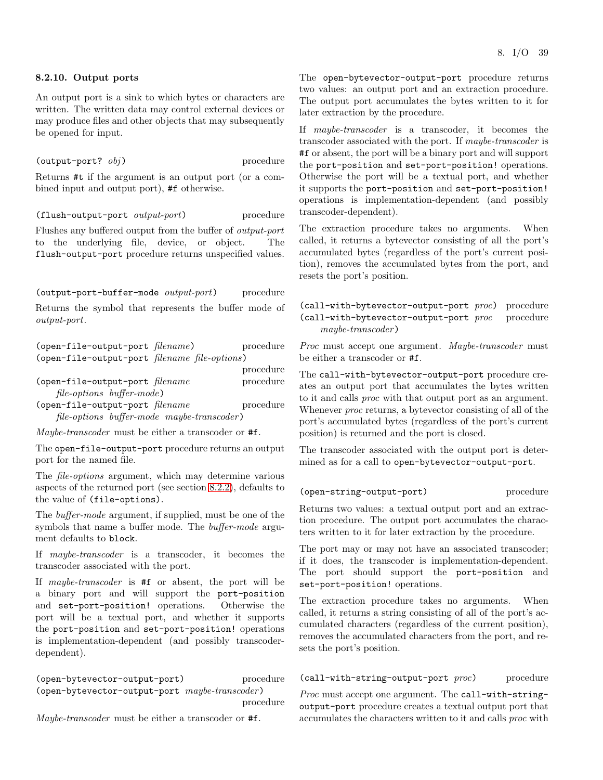## <span id="page-38-0"></span>8.2.10. Output ports

An output port is a sink to which bytes or characters are written. The written data may control external devices or may produce files and other objects that may subsequently be opened for input.

 $(\text{output-port? } obj)$  procedure

Returns #t if the argument is an output port (or a combined input and output port), #f otherwise.

(flush-output-port *output-port*) procedure

Flushes any buffered output from the buffer of output-port to the underlying file, device, or object. The flush-output-port procedure returns unspecified values.

 $(output-port-buffer-mode\ output-port)$  procedure

Returns the symbol that represents the buffer mode of output-port.

| (open-file-output-port filename)              | procedure |  |
|-----------------------------------------------|-----------|--|
| (open-file-output-port filename file-options) |           |  |
|                                               | procedure |  |
| (open-file-output-port filename)              | procedure |  |
| file-options buffer-mode)                     |           |  |
| (open-file-output-port filename               | procedure |  |
| file-options buffer-mode maybe-transcoder)    |           |  |

Maybe-transcoder must be either a transcoder or #f.

The open-file-output-port procedure returns an output port for the named file.

The file-options argument, which may determine various aspects of the returned port (see section [8.2.2\)](#page-30-0), defaults to the value of (file-options).

The buffer-mode argument, if supplied, must be one of the symbols that name a buffer mode. The buffer-mode argument defaults to block.

If maybe-transcoder is a transcoder, it becomes the transcoder associated with the port.

If maybe-transcoder is #f or absent, the port will be a binary port and will support the port-position and set-port-position! operations. Otherwise the port will be a textual port, and whether it supports the port-position and set-port-position! operations is implementation-dependent (and possibly transcoderdependent).

(open-bytevector-output-port) procedure (open-bytevector-output-port maybe-transcoder) procedure

Maybe-transcoder must be either a transcoder or  $#f$ .

The open-bytevector-output-port procedure returns two values: an output port and an extraction procedure. The output port accumulates the bytes written to it for later extraction by the procedure.

If maybe-transcoder is a transcoder, it becomes the transcoder associated with the port. If maybe-transcoder is #f or absent, the port will be a binary port and will support the port-position and set-port-position! operations. Otherwise the port will be a textual port, and whether it supports the port-position and set-port-position! operations is implementation-dependent (and possibly transcoder-dependent).

The extraction procedure takes no arguments. When called, it returns a bytevector consisting of all the port's accumulated bytes (regardless of the port's current position), removes the accumulated bytes from the port, and resets the port's position.

(call-with-bytevector-output-port proc) procedure (call-with-bytevector-output-port proc procedure maybe-transcoder)

Proc must accept one argument. Maybe-transcoder must be either a transcoder or #f.

The call-with-bytevector-output-port procedure creates an output port that accumulates the bytes written to it and calls proc with that output port as an argument. Whenever proc returns, a bytevector consisting of all of the port's accumulated bytes (regardless of the port's current position) is returned and the port is closed.

The transcoder associated with the output port is determined as for a call to open-bytevector-output-port.

(open-string-output-port) procedure

Returns two values: a textual output port and an extraction procedure. The output port accumulates the characters written to it for later extraction by the procedure.

The port may or may not have an associated transcoder; if it does, the transcoder is implementation-dependent. The port should support the port-position and set-port-position! operations.

The extraction procedure takes no arguments. When called, it returns a string consisting of all of the port's accumulated characters (regardless of the current position), removes the accumulated characters from the port, and resets the port's position.

(call-with-string-output-port proc) procedure

Proc must accept one argument. The call-with-stringoutput-port procedure creates a textual output port that accumulates the characters written to it and calls proc with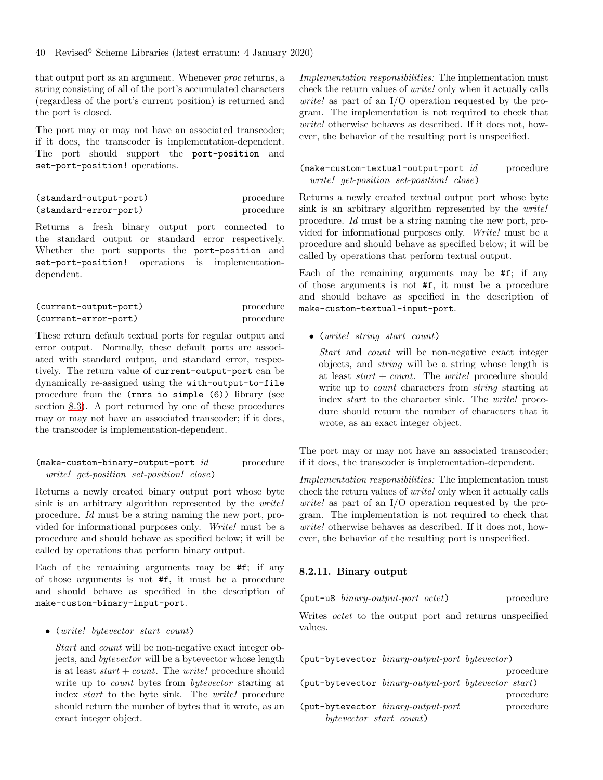<span id="page-39-0"></span>that output port as an argument. Whenever proc returns, a string consisting of all of the port's accumulated characters (regardless of the port's current position) is returned and the port is closed.

The port may or may not have an associated transcoder; if it does, the transcoder is implementation-dependent. The port should support the port-position and set-port-position! operations.

| (standard-output-port) | procedure |
|------------------------|-----------|
| (standard-error-port)  | procedure |

Returns a fresh binary output port connected to the standard output or standard error respectively. Whether the port supports the port-position and set-port-position! operations is implementationdependent.

| (current-output-port) | procedure |
|-----------------------|-----------|
| (current-error-port)  | procedure |

These return default textual ports for regular output and error output. Normally, these default ports are associated with standard output, and standard error, respectively. The return value of current-output-port can be dynamically re-assigned using the with-output-to-file procedure from the (rnrs io simple (6)) library (see section [8.3\)](#page-41-0). A port returned by one of these procedures may or may not have an associated transcoder; if it does, the transcoder is implementation-dependent.

```
(make-custom-binary-output-port <i>id</i> procedure
  write! get-position set-position! close)
```
Returns a newly created binary output port whose byte sink is an arbitrary algorithm represented by the write! procedure. Id must be a string naming the new port, provided for informational purposes only. Write! must be a procedure and should behave as specified below; it will be called by operations that perform binary output.

Each of the remaining arguments may be #f; if any of those arguments is not #f, it must be a procedure and should behave as specified in the description of make-custom-binary-input-port.

#### • (write! bytevector start count)

Start and count will be non-negative exact integer objects, and bytevector will be a bytevector whose length is at least  $start + count$ . The write! procedure should write up to count bytes from bytevector starting at index *start* to the byte sink. The *write!* procedure should return the number of bytes that it wrote, as an exact integer object.

Implementation responsibilities: The implementation must check the return values of write! only when it actually calls write! as part of an I/O operation requested by the program. The implementation is not required to check that write! otherwise behaves as described. If it does not, however, the behavior of the resulting port is unspecified.

 $(make-custom-textual-output-portid$  procedure write! get-position set-position! close)

Returns a newly created textual output port whose byte sink is an arbitrary algorithm represented by the *write!* procedure. Id must be a string naming the new port, provided for informational purposes only. Write! must be a procedure and should behave as specified below; it will be called by operations that perform textual output.

Each of the remaining arguments may be #f; if any of those arguments is not #f, it must be a procedure and should behave as specified in the description of make-custom-textual-input-port.

• (write! string start count)

Start and count will be non-negative exact integer objects, and string will be a string whose length is at least  $start + count$ . The write! procedure should write up to *count* characters from *string* starting at index *start* to the character sink. The *write!* procedure should return the number of characters that it wrote, as an exact integer object.

The port may or may not have an associated transcoder; if it does, the transcoder is implementation-dependent.

Implementation responsibilities: The implementation must check the return values of *write!* only when it actually calls write! as part of an I/O operation requested by the program. The implementation is not required to check that write! otherwise behaves as described. If it does not, however, the behavior of the resulting port is unspecified.

### 8.2.11. Binary output

|  | (put-u8 binary-output-port octet) |  | procedure |
|--|-----------------------------------|--|-----------|
|--|-----------------------------------|--|-----------|

Writes octet to the output port and returns unspecified values.

|                         | (put-bytevector binary-output-port bytevector)        |           |
|-------------------------|-------------------------------------------------------|-----------|
|                         | (put-bytevector binary-output-port bytevector start)  | procedure |
|                         |                                                       | procedure |
|                         | $(\text{put}-\text{bytevector} \ binary-output-port)$ | procedure |
| bytevector start count) |                                                       |           |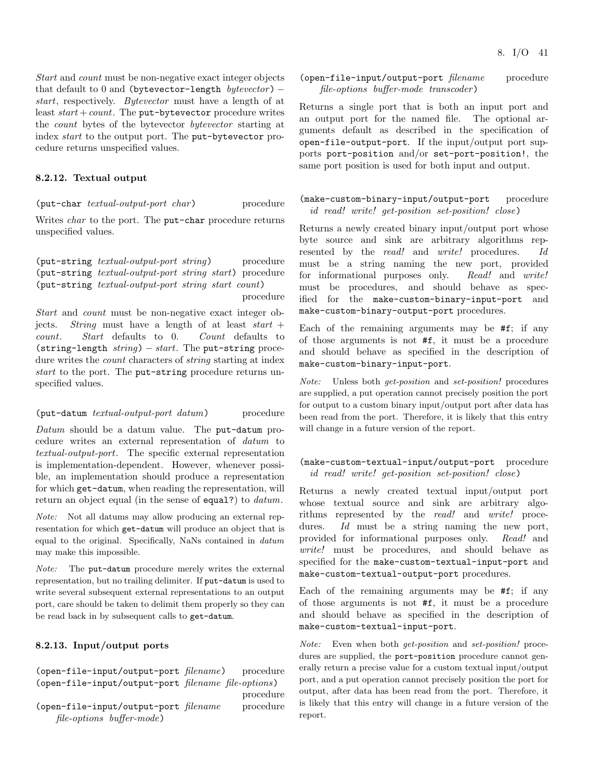<span id="page-40-1"></span>Start and count must be non-negative exact integer objects that default to 0 and (bytevector-length  $bytevector$ ) – start, respectively. Bytevector must have a length of at least  $start + count$ . The put-bytevector procedure writes the count bytes of the bytevector bytevector starting at index start to the output port. The put-bytevector procedure returns unspecified values.

### <span id="page-40-0"></span>8.2.12. Textual output

 $(\text{put--char } \textit{text} \textit{actual}-output\textit{-port } \textit{char})$  procedure

Writes *char* to the port. The put-char procedure returns unspecified values.

 $(\text{put-string } textual-output-port \, string)$  procedure (put-string textual-output-port string start) procedure (put-string textual-output-port string start count) procedure

Start and count must be non-negative exact integer objects. String must have a length of at least  $start +$ count. Start defaults to 0. Count defaults to (string-length  $string$ ) – start. The put-string procedure writes the *count* characters of *string* starting at index start to the port. The put-string procedure returns unspecified values.

#### $(\text{put-datum } \textit{tetual-output-port } \textit{datum})$  procedure

Datum should be a datum value. The put-datum procedure writes an external representation of datum to textual-output-port. The specific external representation is implementation-dependent. However, whenever possible, an implementation should produce a representation for which get-datum, when reading the representation, will return an object equal (in the sense of equal?) to  $\text{datum}$ .

Note: Not all datums may allow producing an external representation for which get-datum will produce an object that is equal to the original. Specifically, NaNs contained in datum may make this impossible.

Note: The put-datum procedure merely writes the external representation, but no trailing delimiter. If put-datum is used to write several subsequent external representations to an output port, care should be taken to delimit them properly so they can be read back in by subsequent calls to get-datum.

# 8.2.13. Input/output ports

(open-file-input/output-port filename) procedure (open-file-input/output-port filename file-options) procedure

(open-file-input/output-port filename procedure file-options buffer-mode)

(open-file-input/output-port filename procedure file-options buffer-mode transcoder)

Returns a single port that is both an input port and an output port for the named file. The optional arguments default as described in the specification of open-file-output-port. If the input/output port supports port-position and/or set-port-position!, the same port position is used for both input and output.

# (make-custom-binary-input/output-port procedure id read! write! get-position set-position! close)

Returns a newly created binary input/output port whose byte source and sink are arbitrary algorithms represented by the *read!* and *write!* procedures. Id must be a string naming the new port, provided for informational purposes only. Read! and write! must be procedures, and should behave as specified for the make-custom-binary-input-port and make-custom-binary-output-port procedures.

Each of the remaining arguments may be  $#f$ ; if any of those arguments is not #f, it must be a procedure and should behave as specified in the description of make-custom-binary-input-port.

Note: Unless both get-position and set-position! procedures are supplied, a put operation cannot precisely position the port for output to a custom binary input/output port after data has been read from the port. Therefore, it is likely that this entry will change in a future version of the report.

# (make-custom-textual-input/output-port procedure id read! write! get-position set-position! close)

Returns a newly created textual input/output port whose textual source and sink are arbitrary algorithms represented by the *read!* and *write!* procedures. Id must be a string naming the new port, provided for informational purposes only. Read! and write! must be procedures, and should behave as specified for the make-custom-textual-input-port and make-custom-textual-output-port procedures.

Each of the remaining arguments may be #f; if any of those arguments is not #f, it must be a procedure and should behave as specified in the description of make-custom-textual-input-port.

Note: Even when both get-position and set-position! procedures are supplied, the port-position procedure cannot generally return a precise value for a custom textual input/output port, and a put operation cannot precisely position the port for output, after data has been read from the port. Therefore, it is likely that this entry will change in a future version of the report.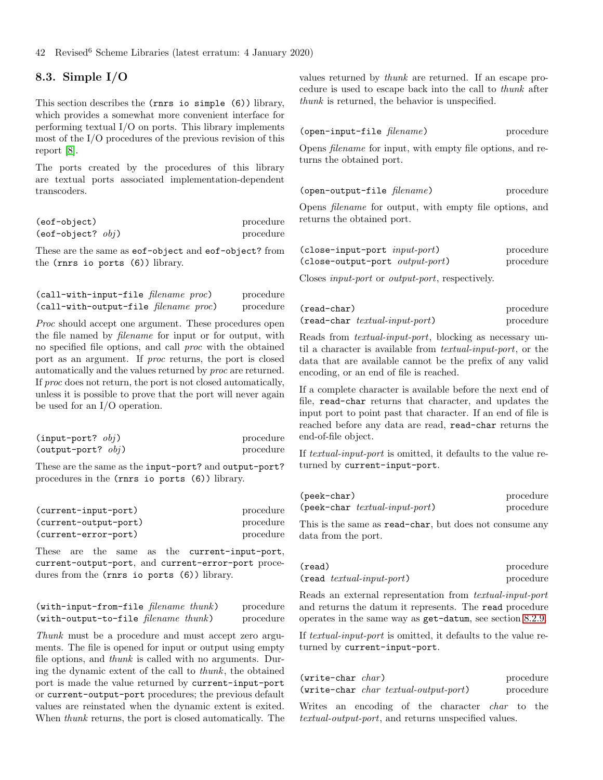# <span id="page-41-1"></span><span id="page-41-0"></span>8.3. Simple I/O

This section describes the (rnrs io simple (6)) library, which provides a somewhat more convenient interface for performing textual I/O on ports. This library implements most of the I/O procedures of the previous revision of this report [\[8\]](#page-65-0).

The ports created by the procedures of this library are textual ports associated implementation-dependent transcoders.

| (eof-object)           | procedure |
|------------------------|-----------|
| $($ eof-object? $obj)$ | procedure |

These are the same as eof-object and eof-object? from the (rnrs io ports (6)) library.

| (call-with-input-file filename proc)  | procedure |
|---------------------------------------|-----------|
| (call-with-output-file filename proc) | procedure |

Proc should accept one argument. These procedures open the file named by filename for input or for output, with no specified file options, and call proc with the obtained port as an argument. If proc returns, the port is closed automatically and the values returned by proc are returned. If proc does not return, the port is not closed automatically, unless it is possible to prove that the port will never again be used for an I/O operation.

| $(\text{input-port? } obj)$ | procedure |
|-----------------------------|-----------|
| (output-port? $obj$ )       | procedure |

These are the same as the input-port? and output-port? procedures in the (rnrs io ports (6)) library.

| (current-input-port)  | procedure |
|-----------------------|-----------|
| (current-output-port) | procedure |
| (current-error-port)  | procedure |

These are the same as the current-input-port, current-output-port, and current-error-port procedures from the (rnrs io ports (6)) library.

| $(with-input-from-file filename$ thunk) | procedure |
|-----------------------------------------|-----------|
| (with-output-to-file filename thunk)    | procedure |

Thunk must be a procedure and must accept zero arguments. The file is opened for input or output using empty file options, and thunk is called with no arguments. During the dynamic extent of the call to thunk, the obtained port is made the value returned by current-input-port or current-output-port procedures; the previous default values are reinstated when the dynamic extent is exited. When thunk returns, the port is closed automatically. The values returned by thunk are returned. If an escape procedure is used to escape back into the call to thunk after thunk is returned, the behavior is unspecified.

| $(open-input-file filename)$ |  | procedure |
|------------------------------|--|-----------|
|------------------------------|--|-----------|

Opens filename for input, with empty file options, and returns the obtained port.

| (open-output-file filename) | procedure |
|-----------------------------|-----------|
|                             |           |

Opens filename for output, with empty file options, and returns the obtained port.

| $(close-input-port input-port)$     | procedure |
|-------------------------------------|-----------|
| $(close-output-port \ output-port)$ | procedure |

Closes input-port or output-port, respectively.

| (read-char) |                                           | procedure |
|-------------|-------------------------------------------|-----------|
|             | $(read-char \textit{textual-input-port})$ | procedure |

Reads from textual-input-port, blocking as necessary until a character is available from textual-input-port, or the data that are available cannot be the prefix of any valid encoding, or an end of file is reached.

If a complete character is available before the next end of file, read-char returns that character, and updates the input port to point past that character. If an end of file is reached before any data are read, read-char returns the end-of-file object.

If textual-input-port is omitted, it defaults to the value returned by current-input-port.

| (peek-char) |                                          | procedure |
|-------------|------------------------------------------|-----------|
|             | $(\text{peek–char } textual-input-port)$ | procedure |

This is the same as read-char, but does not consume any data from the port.

| (read) |                                            | procedure |
|--------|--------------------------------------------|-----------|
|        | $(\text{read } textual-input\text{-}port)$ | procedure |

Reads an external representation from textual-input-port and returns the datum it represents. The read procedure operates in the same way as get-datum, see section [8.2.9.](#page-37-0)

If textual-input-port is omitted, it defaults to the value returned by current-input-port.

| $(write-char \ char)$ |                                             | procedure |
|-----------------------|---------------------------------------------|-----------|
|                       | $(write-char \ char \ textual-output-port)$ | procedure |

Writes an encoding of the character char to the textual-output-port, and returns unspecified values.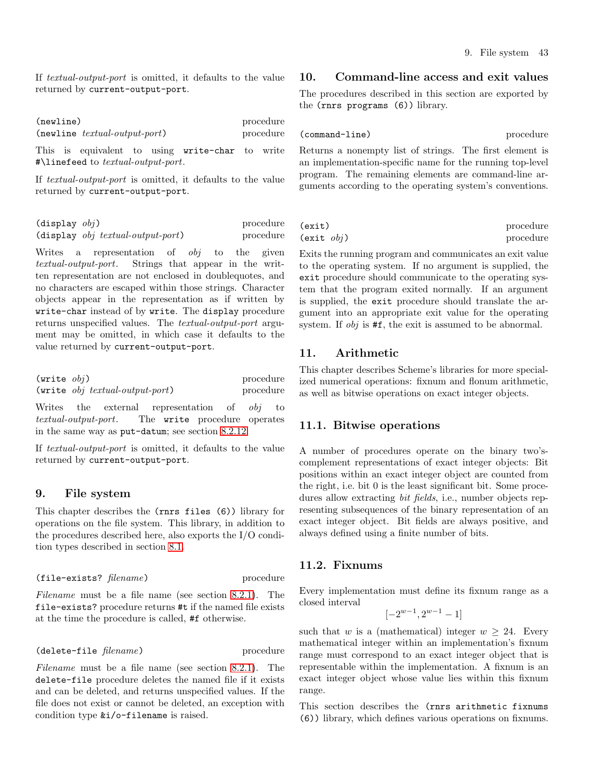<span id="page-42-0"></span>If textual-output-port is omitted, it defaults to the value returned by current-output-port.

| (newline) |                                   | procedure |     |
|-----------|-----------------------------------|-----------|-----|
|           | $(newline < textual-output-port)$ | procedure | C c |

This is equivalent to using write-char to write #\linefeed to textual-output-port.

If textual-output-port is omitted, it defaults to the value returned by current-output-port.

| $(display \; obj)$ |                                         | procedure |
|--------------------|-----------------------------------------|-----------|
|                    | $(display \ obj \ textual-output-port)$ | procedure |

Writes a representation of *obj* to the given textual-output-port. Strings that appear in the written representation are not enclosed in doublequotes, and no characters are escaped within those strings. Character objects appear in the representation as if written by write-char instead of by write. The display procedure returns unspecified values. The textual-output-port argument may be omitted, in which case it defaults to the value returned by current-output-port.

| (write $obj$ ) |                                     | procedure |
|----------------|-------------------------------------|-----------|
|                | $(write\ obj\ textual-output-port)$ | procedure |

Writes the external representation of obj to textual-output-port. The write procedure operates in the same way as put-datum; see section [8.2.12.](#page-40-0)

If textual-output-port is omitted, it defaults to the value returned by current-output-port.

# 9. File system

This chapter describes the (rnrs files (6)) library for operations on the file system. This library, in addition to the procedures described here, also exports the I/O condition types described in section [8.1.](#page-29-0)

(file-exists? filename) procedure

Filename must be a file name (see section [8.2.1\)](#page-30-1). The file-exists? procedure returns #t if the named file exists at the time the procedure is called, #f otherwise.

(delete-file *filename*) procedure

Filename must be a file name (see section [8.2.1\)](#page-30-1). The delete-file procedure deletes the named file if it exists and can be deleted, and returns unspecified values. If the file does not exist or cannot be deleted, an exception with condition type &i/o-filename is raised.

# 10. Command-line access and exit values

The procedures described in this section are exported by the (rnrs programs (6)) library.

#### (command-line) procedure

Returns a nonempty list of strings. The first element is an implementation-specific name for the running top-level program. The remaining elements are command-line arguments according to the operating system's conventions.

| (exit)        | procedure |
|---------------|-----------|
| $(exit\ obj)$ | procedure |

Exits the running program and communicates an exit value to the operating system. If no argument is supplied, the exit procedure should communicate to the operating system that the program exited normally. If an argument is supplied, the exit procedure should translate the argument into an appropriate exit value for the operating system. If *obj* is  $#f$ , the exit is assumed to be abnormal.

# 11. Arithmetic

This chapter describes Scheme's libraries for more specialized numerical operations: fixnum and flonum arithmetic, as well as bitwise operations on exact integer objects.

# 11.1. Bitwise operations

A number of procedures operate on the binary two'scomplement representations of exact integer objects: Bit positions within an exact integer object are counted from the right, i.e. bit 0 is the least significant bit. Some procedures allow extracting *bit fields*, i.e., number objects representing subsequences of the binary representation of an exact integer object. Bit fields are always positive, and always defined using a finite number of bits.

# 11.2. Fixnums

Every implementation must define its fixnum range as a closed interval

$$
[-2^{w-1}, 2^{w-1} - 1]
$$

such that w is a (mathematical) integer  $w > 24$ . Every mathematical integer within an implementation's fixnum range must correspond to an exact integer object that is representable within the implementation. A fixnum is an exact integer object whose value lies within this fixnum range.

This section describes the (rnrs arithmetic fixnums (6)) library, which defines various operations on fixnums.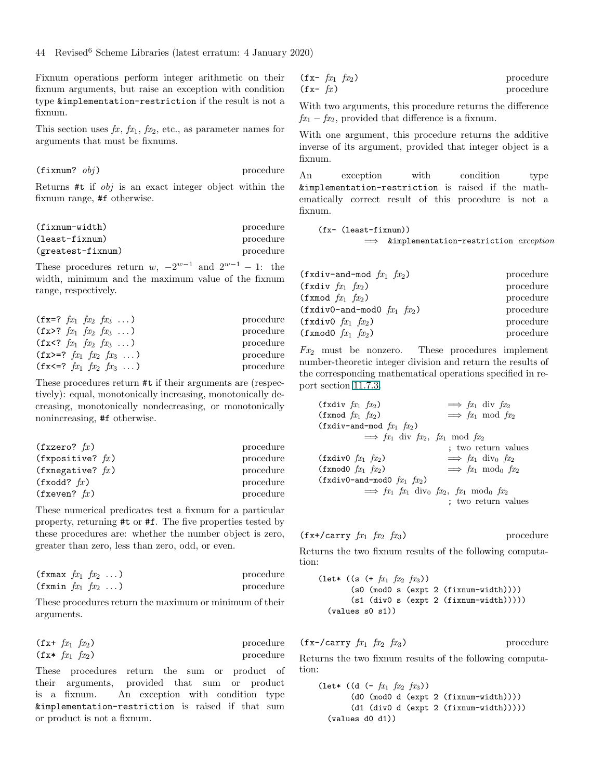<span id="page-43-0"></span>Fixnum operations perform integer arithmetic on their fixnum arguments, but raise an exception with condition type &implementation-restriction if the result is not a fixnum.

This section uses  $fx$ ,  $fx_1$ ,  $fx_2$ , etc., as parameter names for arguments that must be fixnums.

$$
\textbf{(fixnum? } obj) \qquad \qquad \text{procedure}
$$

Returns #t if obj is an exact integer object within the fixnum range, #f otherwise.

| (fixnum-width)    | procedure |
|-------------------|-----------|
| $(least-fixnum)$  | procedure |
| (greatest-fixnum) | procedure |

These procedures return  $w$ ,  $-2^{w-1}$  and  $2^{w-1} - 1$ : the width, minimum and the maximum value of the fixnum range, respectively.

| $(fx=?$ $fx_1$ $fx_2$ $fx_3$ )  | procedure |
|---------------------------------|-----------|
| $(fx)$ ? $fx_1$ $fx_2$ $fx_3$   | procedure |
| $(x<3 f x_1 f x_2 f x_3 )$      | procedure |
| $(fx)=?$ $fx_1$ $fx_2$ $fx_3$ ) | procedure |
| $f(x)=?$ $fx_1$ $fx_2$ $fx_3$ ) | procedure |

These procedures return #t if their arguments are (respectively): equal, monotonically increasing, monotonically decreasing, monotonically nondecreasing, or monotonically nonincreasing, #f otherwise.

| (fixzero?     | $fx$ ) | procedure |
|---------------|--------|-----------|
| (fixpositive? | $fx$ ) | procedure |
| (fixnegative? | $fx$ ) | procedure |
| (fixodd?      | $fx$ ) | procedure |
| (fixeven?     | $fx$ ) | procedure |

These numerical predicates test a fixnum for a particular property, returning #t or #f. The five properties tested by these procedures are: whether the number object is zero, greater than zero, less than zero, odd, or even.

$$
\begin{array}{ll}\n\text{(fxmax } fx_1 \ f x_2 \ \ldots) \\
\text{(fxmin } fx_1 \ f x_2 \ \ldots) \\
\text{procedure} \\
\end{array}
$$

These procedures return the maximum or minimum of their arguments.

| $(fx + fx_1 fx_2)$ | procedure |
|--------------------|-----------|
| $(fx * fx_1 fx_2)$ | procedure |

These procedures return the sum or product of their arguments, provided that sum or product is a fixnum. An exception with condition type &implementation-restriction is raised if that sum or product is not a fixnum.

$$
\begin{array}{ll}\n\text{(fx-} \ \ f x_1 \ \ f x_2) \\
\text{(fx-} \ \ f x) \quad \text{procedure} \\
\text{procedure}\n\end{array}
$$

With two arguments, this procedure returns the difference  $fx_1 - fx_2$ , provided that difference is a fixnum.

With one argument, this procedure returns the additive inverse of its argument, provided that integer object is a fixnum.

An exception with condition type &implementation-restriction is raised if the mathematically correct result of this procedure is not a fixnum.

$$
\begin{array}{lcl}\n\texttt{(fx- (least-fixnum))} & \texttt{\&} & \texttt{\&} & \texttt{\&} & \texttt{\&} & \texttt{\&} & \texttt{\&} & \texttt{\&} & \texttt{\&} & \texttt{\&} & \texttt{\&} & \texttt{\&} & \texttt{\&} & \texttt{\&} & \texttt{\&} & \texttt{\&} & \texttt{\&} & \texttt{\&} & \texttt{\&} & \texttt{\&} & \texttt{\&} & \texttt{\&} & \texttt{\&} & \texttt{\&} & \texttt{\&} & \texttt{\&} & \texttt{\&} & \texttt{\&} & \texttt{\&} & \texttt{\&} & \texttt{\&} & \texttt{\&} & \texttt{\&} & \texttt{\&} & \texttt{\&} & \texttt{\&} & \texttt{\&} & \texttt{\&} & \texttt{\&} & \texttt{\&} & \texttt{\&} & \texttt{\&} & \texttt{\&} & \texttt{\&} & \texttt{\&} & \texttt{\&} & \texttt{\&} & \texttt{\&} & \texttt{\&} & \texttt{\&} & \texttt{\&} & \texttt{\&} & \texttt{\&} & \texttt{\&} & \texttt{\&} & \texttt{\&} & \texttt{\&} & \texttt{\&} & \texttt{\&} & \texttt{\&} & \texttt{\&} & \texttt{\&} & \texttt{\&} & \texttt{\&} & \texttt{\&} & \texttt{\&} & \texttt{\&} & \texttt{\&} & \texttt{\&} & \texttt{\&} & \texttt{\&} & \texttt{\&} & \texttt{\&} & \texttt{\&} & \texttt{\&} & \texttt{\&} & \texttt{\&} & \texttt{\&} & \texttt{\&} & \texttt{\&} & \texttt{\&} & \texttt{\&} & \texttt{\&}
$$

| $(f \text{xdiv-and-mod } fx_1$ $fx_2)$    | procedure |
|-------------------------------------------|-----------|
| $(f \times div \, fx_1 \, fx_2)$          | procedure |
| $(fx \mod fx_1 \ fx_2)$                   | procedure |
| $(f \text{xdiv0-and-mode } fx_1 \ fx_2)$  | procedure |
| $(f \times div0 \ fx_1 \ fx_2)$           | procedure |
| $(fx \mod 0 \text{ } fx_1 \text{ } fx_2)$ | procedure |

 $Fx_2$  must be nonzero. These procedures implement number-theoretic integer division and return the results of the corresponding mathematical operations specified in report section 11.7.3.

$$
\begin{array}{ll}\n\text{(frativ }fx_1\ fx_2) & \implies fx_1\ \text{div }fx_2 \\
\text{(frmod }fx_1\ fx_2) & \implies fx_1\ \text{mod }fx_2 \\
\text{(frativ-and-mod }fx_1\ fx_2) & \implies fx_1\ \text{mod }fx_2 \\
& \implies fx_1\ \text{div }fx_2, \quad fx_1\ \text{mod }fx_2 \\
\text{(frativ 0 }fx_1\ fx_2) & \implies fx_1\ \text{div }fx_2 \\
\text{(frmod 0 }fx_1\ fx_2) & \implies fx_1\ \text{div }fx_2 \\
\text{(frativ 0-and-mod 0 }fx_1\ fx_2) & \implies fx_1\ \text{mod}_0\ fx_2 \\
\text{(frativ 0-and-mod 0 }fx_1\ fx_2) & \implies fx_1\ \text{div }fx_2, \quad fx_1\ \text{mod}_0\ fx_2 \\
& \implies fx_1\ \text{div }fx_2, \quad fx_1\ \text{mod}_0\ fx_2 \\
& \implies fx_1\ \text{div }fx_2, \quad fx_1\ \text{mod}_0\ fx_2 \\
& \implies fx_1\ \text{div }fx_2, \quad fx_1\ \text{mod}_0\ fx_2 \\
& \implies fx_1\ \text{div }fx_2, \quad fx_1\ \text{mod}_0\ fx_2 \\
& \implies fx_1\ \text{div }fx_2, \quad fx_1\ \text{mod}_0\ fx_2 \\
& \implies fx_1\ \text{div }fx_2, \quad fx_1\ \text{mod}_0\ fx_2 \\
& \implies fx_1\ \text{div }fx_2, \quad fx_1\ \text{mod}_0\ fx_2\n\end{array}
$$

 $(fx+/\text{carry } fx_1 \text{ } fx_2 \text{ } fx_3)$  p

$$
_{\rm procedure}
$$

Returns the two fixnum results of the following computation:

```
(let* ((s (+ f x_1 f x_2 f x_3))
       (s0 (mod0 s (expt 2 (fixnum-width))))
       (s1 (div0 s (expt 2 (fixnum-width)))))
  (values s0 s1))
```

$$
(fx-/carry \, fx_1 \, fx_2 \, fx_3)
$$
procedure

Returns the two fixnum results of the following computation:

```
\n(let* ((d (- 
$$
fx_1
$$
  $fx_2$   $fx_3))\n      (d0 (mod 0 d (expt 2 (fixnum-width))))\n      (d1 (div0 d (expt 2 (fixnum-width))))\n  (values d0 d1))\n$ 
```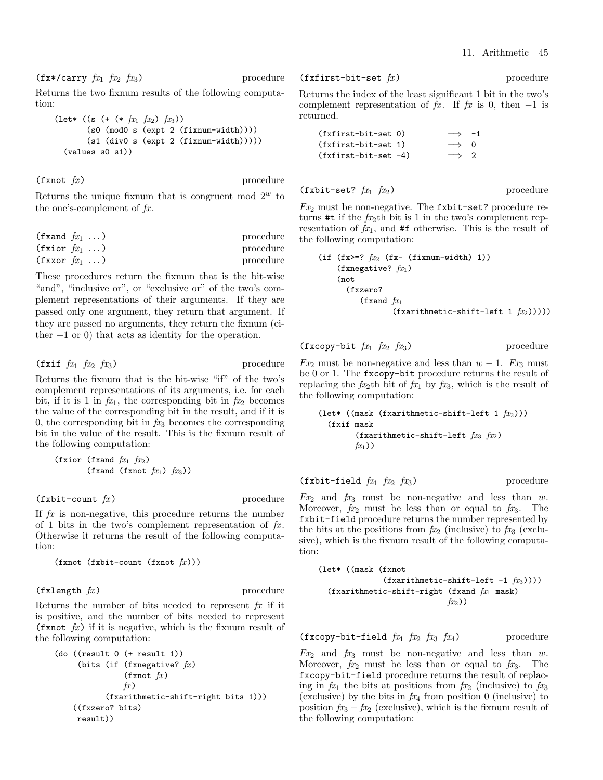<span id="page-44-0"></span>
$$
(\texttt{f}x*/\texttt{carry} \text{ f}x_1 \text{ f}x_2 \text{ f}x_3) \qquad \text{procedure}
$$

Returns the two fixnum results of the following computation:

```
(let* ((s (+ (* fx_1 fx_2) fx_3))
       (s0 (mod0 s (expt 2 (fixnum-width))))
       (s1 (div0 s (expt 2 (fixnum-width)))))
  (values s0 s1))
```
 $(f \text{xnot } fx)$  procedure

Returns the unique fixnum that is congruent mod  $2^w$  to the one's-complement of  $fx$ .

| (fxand $fx_1 \dots$ )     | procedure |
|---------------------------|-----------|
| (fxior $f_{x_1} \ldots$ ) | procedure |
| $(fxxor f x_1 \dots)$     | procedure |

These procedures return the fixnum that is the bit-wise "and", "inclusive or", or "exclusive or" of the two's complement representations of their arguments. If they are passed only one argument, they return that argument. If they are passed no arguments, they return the fixnum (either  $-1$  or 0) that acts as identity for the operation.

 $(f \text{ xif } fx_1 \text{ } fx_2 \text{ } fx_3)$  procedure

Returns the fixnum that is the bit-wise "if" of the two's complement representations of its arguments, i.e. for each bit, if it is 1 in  $fx_1$ , the corresponding bit in  $fx_2$  becomes the value of the corresponding bit in the result, and if it is 0, the corresponding bit in  $f_{x3}$  becomes the corresponding bit in the value of the result. This is the fixnum result of the following computation:

$$
\begin{array}{cc}\n\text{(fixior (fxand } fx_1 \text{ } fx_2) \\
\text{(fxand (fxnot } fx_1) \text{ } fx_3)\text{)}\n\end{array}
$$

 $(f \times \text{bit-count } fx)$  procedure

If  $fx$  is non-negative, this procedure returns the number of 1 bits in the two's complement representation of  $fx$ . Otherwise it returns the result of the following computation:

(fxnot (fxbit-count (fxnot  $fx$ )))

# $(fx \text{length } fx)$  procedure

Returns the number of bits needed to represent  $fx$  if it is positive, and the number of bits needed to represent (fxnot  $fx$ ) if it is negative, which is the fixnum result of the following computation:

```
(do ((result 0 (+ result 1))
     (bits (if (fxnegative? fx)
               (fxnot fx)f(x)(fxarithmetic-shift-right bits 1)))
    ((fxzero? bits)
    result))
```

$$
(\verb|fxfirst-bit-set| \textit{fx})
$$

procedure

Returns the index of the least significant 1 bit in the two's complement representation of  $fx$ . If  $fx$  is 0, then  $-1$  is returned.

 $(fxfirst-bit-set 0) \Rightarrow -1$  $(fxfirst-bit-set 1) \Rightarrow 0$  $(fxfirst-bit-set -4) \implies 2$ 

$$
(f \times \texttt{bit-set?} \textit{fx}_1 \textit{f}.
$$

 $(x_2)$  procedure

 $Fx_2$  must be non-negative. The fxbit-set? procedure returns #t if the  $f_{22}$ th bit is 1 in the two's complement representation of  $fx_1$ , and #f otherwise. This is the result of the following computation:

(if 
$$
(fx>=? fx_2 (fx-(fixnum-width) 1))
$$
  
\n(fxnegative?  $fx_1$ )  
\n(not  
\n(fxzero?  
\n(fxand  $fx_1$   
\n(fxarithmetic-shift-left 1  $fx_2)))))$ 

 $(fxcopy-bit f<sub>x1</sub> f<sub>x2</sub> f<sub>x3</sub>)$  procedure

 $Fx_2$  must be non-negative and less than  $w-1$ .  $Fx_3$  must be 0 or 1. The fxcopy-bit procedure returns the result of replacing the  $f_{x_2}$ th bit of  $f_{x_1}$  by  $f_{x_3}$ , which is the result of the following computation:

```
(let* ((mask (frarithmetic-shift-left 1 
$$
fx_2))
$$
)\n  (fxif mask\n    (frarithmetic-shift-left  $fx_3 fx_2$ )\n     $fx_1$ ))
```

 $(f \times \text{bit-field } fx_1 \ fx_2 \ fx_3)$  procedure

 $Fx_2$  and  $fx_3$  must be non-negative and less than w. Moreover,  $fx_2$  must be less than or equal to  $fx_3$ . The fxbit-field procedure returns the number represented by the bits at the positions from  $f_{x_2}$  (inclusive) to  $f_{x_3}$  (exclusive), which is the fixnum result of the following computation:

```
(let* ((mask (front\n               (fractiont-shift-left -1 
$$
fx_3))))
$$
\n(fxarithmetic-shift-right (frand  $fx_1$  mask)\n                $fx_2)$ )
```

 $(fxcopy-bit-field f<sub>x1</sub> f<sub>x2</sub> f<sub>x3</sub> f<sub>x4</sub>)$  procedure

 $Fx_2$  and  $fx_3$  must be non-negative and less than w. Moreover,  $fx_2$  must be less than or equal to  $fx_3$ . The fxcopy-bit-field procedure returns the result of replacing in  $fx_1$  the bits at positions from  $fx_2$  (inclusive) to  $fx_3$ (exclusive) by the bits in  $f_{x_4}$  from position 0 (inclusive) to position  $fx_3 - fx_2$  (exclusive), which is the fixnum result of the following computation: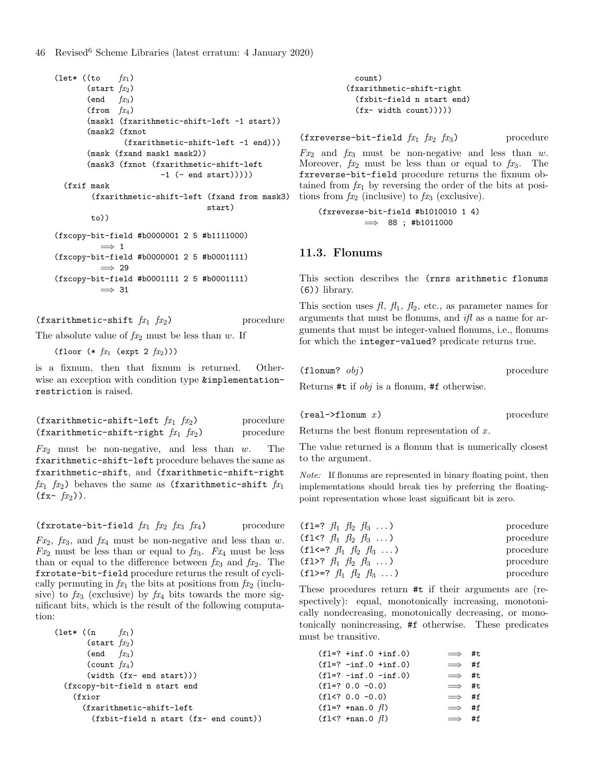```
(let* ((to fx_1)
       (\text{start} f_{x2})(\text{end } fx_3)(from fx_4)(mask1 (fxarithmetic-shift-left -1 start))
       (mask2 (fxnot
                (fxarithmetic-shift-left -1 end)))
       (mask (fxand mask1 mask2))
       (mask3 (fxnot (fxarithmetic-shift-left
                         -1 (- end start)))))
  (fxif mask
        (fxarithmetic-shift-left (fxand from mask3)
                                    start)
        to))
(fxcopy-bit-field #b0000001 2 5 #b1111000)
          \implies 1
(fxcopy-bit-field #b0000001 2 5 #b0001111)
          \implies 29
(fxcopy-bit-field #b0001111 2 5 #b0001111)
          \implies 31
```

| (fxarithmetic-shift $fx_1$ $fx_2$ ) |  |  | procedure |
|-------------------------------------|--|--|-----------|
|-------------------------------------|--|--|-----------|

The absolute value of  $fx_2$  must be less than w. If

(floor  $(*$   $fx_1$  (expt  $2$   $fx_2$ )))

is a fixnum, then that fixnum is returned. Otherwise an exception with condition type &implementationrestriction is raised.

| (fxarithmetic-shift-left $fx_1$ $fx_2$ )  | procedure |
|-------------------------------------------|-----------|
| (fxarithmetic-shift-right $fx_1$ $fx_2$ ) | procedure |

 $Fx_2$  must be non-negative, and less than w. The fxarithmetic-shift-left procedure behaves the same as fxarithmetic-shift, and (fxarithmetic-shift-right  $fx_1$   $fx_2$ ) behaves the same as (fxarithmetic-shift  $fx_1$  $(fx - fx_2)$ .

#### (fxrotate-bit-field  $fx_1$   $fx_2$   $fx_3$   $fx_4$ ) procedure

 $Fx_2, fx_3, and fx_4 must be non-negative and less than w.$  $Fx_2$  must be less than or equal to  $fx_3$ .  $Fx_4$  must be less than or equal to the difference between  $fx_3$  and  $fx_2$ . The fxrotate-bit-field procedure returns the result of cyclically permuting in  $fx_1$  the bits at positions from  $fx_2$  (inclusive) to  $f_{x_3}$  (exclusive) by  $f_{x_4}$  bits towards the more significant bits, which is the result of the following computation:

```
(let* ((n - fx_1))
       (start fx_2)
       (\text{end} fx_3)(count fx_4)
       (width (fx- end start)))
  (fxcopy-bit-field n start end
    (fxior
      (fxarithmetic-shift-left
         (fxbit-field n start (fx- end count))
```

```
count)
(fxarithmetic-shift-right
  (fxbit-field n start end)
  (fx- width count)))))
```
(fxreverse-bit-field  $fx_1$   $fx_2$   $fx_3$ ) procedure

 $Fx_2$  and  $fx_3$  must be non-negative and less than w. Moreover,  $fx_2$  must be less than or equal to  $fx_3$ . The fxreverse-bit-field procedure returns the fixnum obtained from  $fx_1$  by reversing the order of the bits at positions from  $f_{x_2}$  (inclusive) to  $f_{x_3}$  (exclusive).

(fxreverse-bit-field #b1010010 1 4)  $\implies$  88; #b1011000

### 11.3. Flonums

This section describes the (rnrs arithmetic flonums (6)) library.

This section uses  $f_1$ ,  $f_1$ ,  $f_2$ , etc., as parameter names for arguments that must be flonums, and  $if$  as a name for arguments that must be integer-valued flonums, i.e., flonums for which the integer-valued? predicate returns true.

 $(flonum? \tobi)$  procedure

Returns #t if  $obj$  is a flonum, #f otherwise.

 $(\text{real}\rightarrow\text{flonum }x)$  procedure

Returns the best flonum representation of  $x$ .

The value returned is a flonum that is numerically closest to the argument.

Note: If flonums are represented in binary floating point, then implementations should break ties by preferring the floatingpoint representation whose least significant bit is zero.

| (f1=? $f_1 f_2 f_3 \ldots$ )  | procedure |
|-------------------------------|-----------|
| (f1 <math f_1 $f_2$ $f_3$ )   | procedure |
| (f1<=? $f_1 f_2 f_3 \ldots$ ) | procedure |
| (f1>? $f_1$ $f_2$ $f_3$ )     | procedure |
| (f1>=? $f_1$ $f_2$ $f_3$ )    | procedure |

These procedures return #t if their arguments are (respectively): equal, monotonically increasing, monotonically nondecreasing, monotonically decreasing, or monotonically nonincreasing, #f otherwise. These predicates must be transitive.

| $(f1=? + inf.0 + inf.0)$ | $\implies$<br>#t |
|--------------------------|------------------|
| $(f1=? - inf.0 + inf.0)$ | $\implies$ #f    |
| $(f1=? - inf.0 - inf.0)$ | $\implies$ #t    |
| $(f1=? 0.0 -0.0)$        | $\implies$ #t    |
| $(f1$                    | $\implies$ #f    |
| $(f1=? + nan.0 f)$       | $\implies$ #f    |
| $(f1$                    | $\implies$ #f    |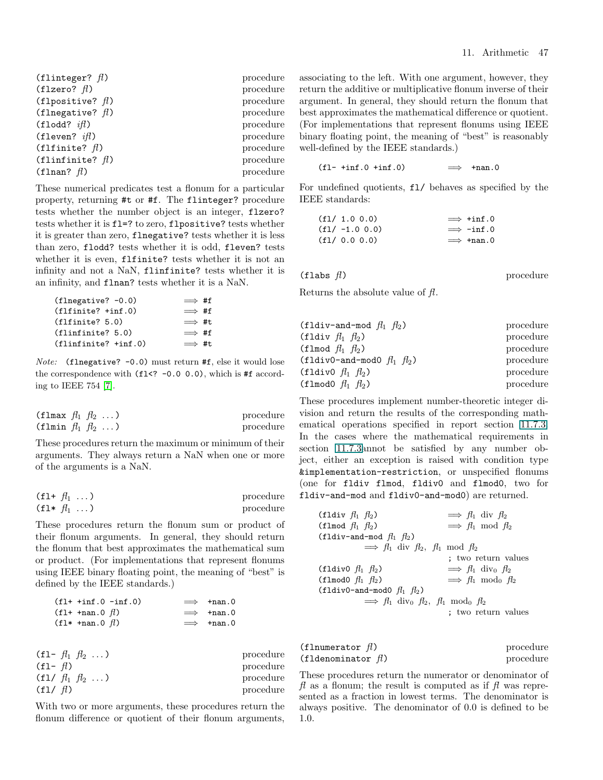<span id="page-46-0"></span>

| procedure |
|-----------|
| procedure |
| procedure |
| procedure |
| procedure |
| procedure |
| procedure |
| procedure |
| procedure |
|           |

These numerical predicates test a flonum for a particular property, returning #t or #f. The flinteger? procedure tests whether the number object is an integer, flzero? tests whether it is fl=? to zero, flpositive? tests whether it is greater than zero, flnegative? tests whether it is less than zero, flodd? tests whether it is odd, fleven? tests whether it is even, flfinite? tests whether it is not an infinity and not a NaN, flinfinite? tests whether it is an infinity, and flnan? tests whether it is a NaN.

| $(flnegative? -0.0)$  | $\implies$ #f |  |
|-----------------------|---------------|--|
| $(f1finite? + inf.0)$ | $\implies$ #f |  |
| (f1finite? 5.0)       | $\implies$ #t |  |
| (flimiter? 5.0)       | $\implies$ #f |  |
| $(flimite? + inf.0)$  | $\implies$ #t |  |

Note: (flnegative? -0.0) must return #f, else it would lose the correspondence with  $(f1 -0.0 0.0)</math, which is #f accord$ ing to IEEE 754 [\[7\]](#page-65-1).

| (flmax $f_1$ $f_2$ ) |  | procedure |
|----------------------|--|-----------|
| (flmin $f_1$ $f_2$ ) |  | procedure |

These procedures return the maximum or minimum of their arguments. They always return a NaN when one or more of the arguments is a NaN.

| $(f1 + fl_1 )$ |  | procedure |
|----------------|--|-----------|
| $(f1 * f_1 )$  |  | procedure |

These procedures return the flonum sum or product of their flonum arguments. In general, they should return the flonum that best approximates the mathematical sum or product. (For implementations that represent flonums using IEEE binary floating point, the meaning of "best" is defined by the IEEE standards.)

|                            | $(f1++inf.0 - inf.0)$ | $\implies$ +nan.0 |
|----------------------------|-----------------------|-------------------|
| $(f1+ +nan.0 \text{ } fl)$ |                       | $\implies$ +nan.0 |
| $(f1* +nan.0 f)$           |                       | $\implies$ +nan.0 |

| $(f1 - fl_1 fl_2 )$        | procedure |
|----------------------------|-----------|
| $(f1 - fl)$                | procedure |
| $(f1/ \n{h} \n{h} \n{h}$   | procedure |
| $(f1/ \text{ } \text{ft})$ | procedure |

With two or more arguments, these procedures return the flonum difference or quotient of their flonum arguments, associating to the left. With one argument, however, they return the additive or multiplicative flonum inverse of their argument. In general, they should return the flonum that best approximates the mathematical difference or quotient. (For implementations that represent flonums using IEEE binary floating point, the meaning of "best" is reasonably well-defined by the IEEE standards.)

 $(f1-$  +inf.0 +inf.0)  $\implies$  +nan.0

For undefined quotients, fl/ behaves as specified by the IEEE standards:

| (f1/1.0 0.0)    | $\implies$ +inf.0 |
|-----------------|-------------------|
| $(f1/-1.0 0.0)$ | $\implies$ -inf.0 |
| (f1/ 0.0 0.0)   | $\implies$ +nan.0 |

 $(f$ labs  $f$ ) procedure

Returns the absolute value of  $\beta$ .

| (fldiv-and-mod $fl_1$ $fl_2$ )   | procedure |
|----------------------------------|-----------|
| (fldiv $f_1$ $f_2$ )             | procedure |
| (flmod $fl_1$ $fl_2$ )           | procedure |
| (fldiv0-and-mod0 $fl_1$ $fl_2$ ) | procedure |
| (fldiv0 $fl_1$ $fl_2$ )          | procedure |
| (flmodO $f_1$ $f_2$ )            | procedure |

These procedures implement number-theoretic integer division and return the results of the corresponding mathematical operations specified in report section 11.7.3. In the cases where the mathematical requirements in section 11.7.3annot be satisfied by any number object, either an exception is raised with condition type &implementation-restriction, or unspecified flonums (one for fldiv flmod, fldiv0 and flmod0, two for fldiv-and-mod and fldiv0-and-mod0) are returned.

| (fldiv $fl_1$ $fl_2$ )                                                 | $\implies$ f <sub>1</sub> div f <sub>2</sub> |  |
|------------------------------------------------------------------------|----------------------------------------------|--|
| (flmod $fl_1$ $fl_2$ )                                                 | $\implies$ $fl_1 \mod fl_2$                  |  |
| (fldiv-and-mod $fl_1$ $fl_2$ )                                         |                                              |  |
| $\implies$ $f_1$ div $f_2$ , $f_1$ mod $f_2$                           |                                              |  |
|                                                                        | ; two return values                          |  |
| (fldiv $0$ $H_1$ $H_2$ )                                               | $\implies$ $fl_1$ div <sub>0</sub> $fl_2$    |  |
| (flmod0 $fl_1$ $fl_2$ )                                                | $\implies$ $fl_1 \mod_0$ $fl_2$              |  |
| (fldiv0-and-mod0 $fl_1$ $fl_2$ )                                       |                                              |  |
| $\implies$ $f_1$ div <sub>0</sub> $f_2$ , $f_1$ mod <sub>0</sub> $f_2$ |                                              |  |
|                                                                        | ; two return values                          |  |
|                                                                        |                                              |  |

| (flnumerator $f$ )    | procedure |
|-----------------------|-----------|
| (fldenominator $fl$ ) | procedure |

These procedures return the numerator or denominator of fl as a flonum; the result is computed as if fl was represented as a fraction in lowest terms. The denominator is always positive. The denominator of 0.0 is defined to be 1.0.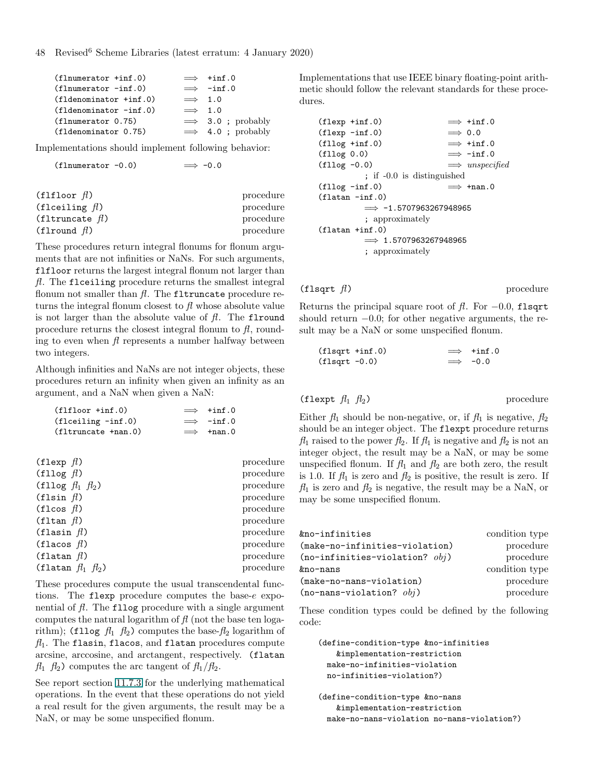<span id="page-47-0"></span>

| (flnumerator +inf.0)      | $\implies$ +inf.0        |
|---------------------------|--------------------------|
| $(flnumerator - inf.0)$   | $\implies$ -inf.0        |
| $(fldenominator + inf.0)$ | $\implies$ 1.0           |
| $(fldenominator - inf.0)$ | $\implies$ 1.0           |
| (flnumerator 0.75)        | $\implies$ 3.0; probably |
| (fldenominator 0.75)      | $\implies$ 4.0; probably |

Implementations should implement following behavior:

(flnumerator  $-0.0$ )  $\implies -0.0$ 

| $(flfloor for f\rceil)$ | procedure |
|-------------------------|-----------|
| (flceiling $fl$ )       | procedure |
| (fltruncate $fl$ )      | procedure |
| (flround $fl$ )         | procedure |

These procedures return integral flonums for flonum arguments that are not infinities or NaNs. For such arguments, flfloor returns the largest integral flonum not larger than  $f$ . The florating procedure returns the smallest integral flonum not smaller than  $fl$ . The fltruncate procedure returns the integral flonum closest to  $\beta$  whose absolute value is not larger than the absolute value of  $\beta$ . The flround procedure returns the closest integral flonum to  $f<sub>i</sub>$ , rounding to even when  $f\ell$  represents a number halfway between two integers.

Although infinities and NaNs are not integer objects, these procedures return an infinity when given an infinity as an argument, and a NaN when given a NaN:

| (flfloor             | $\implies$ +inf.0 |
|----------------------|-------------------|
| $(fleciling -inf.0)$ | $\implies$ -inf.0 |
| $(fltruncte +nan.0)$ | $\implies$ +nan.0 |

| (flexp $f$ )            | procedure |
|-------------------------|-----------|
| $(f1log \n\mathcal{H})$ | procedure |
| (fllog $f_1$ $f_2$ )    | procedure |
| (flsin $fl$ )           | procedure |
| $(f_{\text{lcos}} f)$   | procedure |
| (fltan $fl$ )           | procedure |
| (flasin $fl$ )          | procedure |
| (flacos $fl$ )          | procedure |
| (flatan $fl$ )          | procedure |
| (flatan $fl_1$ $fl_2$ ) | procedure |
|                         |           |

These procedures compute the usual transcendental functions. The flexp procedure computes the base-e exponential of  $\beta$ . The fllog procedure with a single argument computes the natural logarithm of  $f(x)$  (not the base ten logarithm); (fllog  $f_1$   $f_2$ ) computes the base- $f_2$  logarithm of  $f_1$ . The flasin, flacos, and flatan procedures compute arcsine, arccosine, and arctangent, respectively. (flatan  $f_1$   $f_2$ ) computes the arc tangent of  $f_1/f_2$ .

See report section 11.7.3 for the underlying mathematical operations. In the event that these operations do not yield a real result for the given arguments, the result may be a NaN, or may be some unspecified flonum.

Implementations that use IEEE binary floating-point arithmetic should follow the relevant standards for these procedures.

```
(f \text{lexp } + \text{inf.0}) \implies + \text{inf.0}(flexp - inf.0) \Rightarrow 0.0(f\text{llog } + \text{inf.0}) \implies +\text{inf.0}(f1\log 0.0) \implies -inf.0
(fllog -0.0) \implies unspecified
          ; if -0.0 is distinguished
(f1log -inf.0) \implies +nan.0
(flatan -inf.0)
          \implies -1.5707963267948965
          ; approximately
(flatan +inf.0)
          \implies 1.5707963267948965
          ; approximately
```

```
(flsqrt f) procedure
```
Returns the principal square root of  $\beta$ . For  $-0.0$ , flsqrt should return  $-0.0$ ; for other negative arguments, the result may be a NaN or some unspecified flonum.

| $(flsqrt + inf.0)$ |  | $\implies$ +inf.0 |
|--------------------|--|-------------------|
| $(flsqrt -0.0)$    |  | $\implies$ -0.0   |

```
(flexpt f_1 f_2) procedure
```
Either  $f_1$  should be non-negative, or, if  $f_1$  is negative,  $f_2$ should be an integer object. The flexpt procedure returns  $f_1$  raised to the power  $f_2$ . If  $f_1$  is negative and  $f_2$  is not an integer object, the result may be a NaN, or may be some unspecified flonum. If  $f_1$  and  $f_2$  are both zero, the result is 1.0. If  $f_1$  is zero and  $f_2$  is positive, the result is zero. If  $f_1$  is zero and  $f_2$  is negative, the result may be a NaN, or may be some unspecified flonum.

| condition type |
|----------------|
| procedure      |
| procedure      |
| condition type |
| procedure      |
| procedure      |
|                |

These condition types could be defined by the following code:

```
(define-condition-type &no-infinities
   &implementation-restriction
 make-no-infinities-violation
 no-infinities-violation?)
(define-condition-type &no-nans
   &implementation-restriction
 make-no-nans-violation no-nans-violation?)
```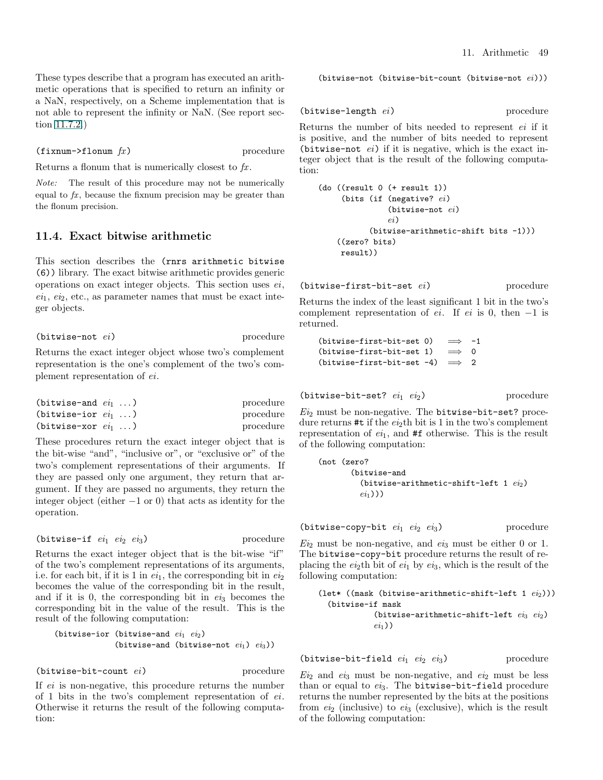<span id="page-48-0"></span>These types describe that a program has executed an arithmetic operations that is specified to return an infinity or a NaN, respectively, on a Scheme implementation that is not able to represent the infinity or NaN. (See report section 11.7.2.)

#### $(fixnum->flonum fx)$  procedure

Returns a flonum that is numerically closest to  $fx$ .

Note: The result of this procedure may not be numerically equal to  $fx$ , because the fixnum precision may be greater than the flonum precision.

# 11.4. Exact bitwise arithmetic

This section describes the (rnrs arithmetic bitwise (6)) library. The exact bitwise arithmetic provides generic operations on exact integer objects. This section uses ei,  $ei_1, ei_2, etc.,$  as parameter names that must be exact integer objects.

#### $(bitwise-not \t e_i)$  procedure

Returns the exact integer object whose two's complement representation is the one's complement of the two's complement representation of ei.

| (bitwise-and $ei_1 \dots$ ) |  | procedure |
|-----------------------------|--|-----------|
| (bitwise-ior $ei_1$ )       |  | procedure |
| (bitwise-xor $ei_1$ )       |  | procedure |

These procedures return the exact integer object that is the bit-wise "and", "inclusive or", or "exclusive or" of the two's complement representations of their arguments. If they are passed only one argument, they return that argument. If they are passed no arguments, they return the integer object (either  $-1$  or 0) that acts as identity for the operation.

```
(bitwise-if ei_1 ei_2 ei_3) procedure
```
Returns the exact integer object that is the bit-wise "if" of the two's complement representations of its arguments, i.e. for each bit, if it is 1 in  $ei_1$ , the corresponding bit in  $ei_2$ becomes the value of the corresponding bit in the result, and if it is 0, the corresponding bit in  $ei_3$  becomes the corresponding bit in the value of the result. This is the result of the following computation:

$$
\begin{array}{cccc}\n(\text{bitwise-ior (bitwise-and }ei_1 \text{ }ei_2)\\
(\text{bitwise-and (bitwise-not }ei_1) \text{ }ei_3))\n\end{array}
$$

$$
\hbox{(bitwise-bit-count } ei)
$$

procedure

If ei is non-negative, this procedure returns the number of 1 bits in the two's complement representation of ei. Otherwise it returns the result of the following computation:

$$
(\verb|bitwise-not (bitwise-bit-count (bitwise-not \; ei)))
$$

(bitwise-length ei) procedure

Returns the number of bits needed to represent ei if it is positive, and the number of bits needed to represent (bitwise-not  $ei$ ) if it is negative, which is the exact integer object that is the result of the following computation:

```
(do ((result 0 (+ result 1))
     (bits (if (negative? ei)
               (bitwise-not ei)ei)
           (bitwise-arithmetic-shift bits -1)))
    ((zero? bits)
    result))
```
 $(bitwise-first-bit-set$   $ei)$  procedure

Returns the index of the least significant 1 bit in the two's complement representation of  $ei$ . If  $ei$  is 0, then  $-1$  is returned.

(bitwise-first-bit-set 0)  $\implies$  -1 (bitwise-first-bit-set 1)  $\implies$  0 (bitwise-first-bit-set -4)  $\implies$  2

(bitwise-bit-set?  $ei_1$   $ei_2$ ) procedure

 $E_i$  must be non-negative. The bitwise-bit-set? procedure returns  $\#t$  if the  $ei_2$ th bit is 1 in the two's complement representation of  $ei_1$ , and #f otherwise. This is the result of the following computation:

```
(not (zero?
       (bitwise-and
         (bitwise-arithmetic-shift-left 1 ei_2)
         (ei_1)))
```
(bitwise-copy-bit  $ei_1$   $ei_2$   $ei_3$ ) procedure

 $E_i$  must be non-negative, and  $ei_3$  must be either 0 or 1. The bitwise-copy-bit procedure returns the result of replacing the  $ei_2$ th bit of  $ei_1$  by  $ei_3$ , which is the result of the following computation:

```
(let* ((mask (bitwise-arithmetic-shift-left 1 ei_2)))
  (bitwise-if mask
             (bitwise-arithmetic-shift-left ei_3 ei_2)
             e^{i_1})
```
(bitwise-bit-field  $ei_1$   $ei_2$   $ei_3$ ) procedure

 $E_i$  and  $ei_3$  must be non-negative, and  $ei_2$  must be less than or equal to  $ei_3$ . The bitwise-bit-field procedure returns the number represented by the bits at the positions from  $ei_2$  (inclusive) to  $ei_3$  (exclusive), which is the result of the following computation: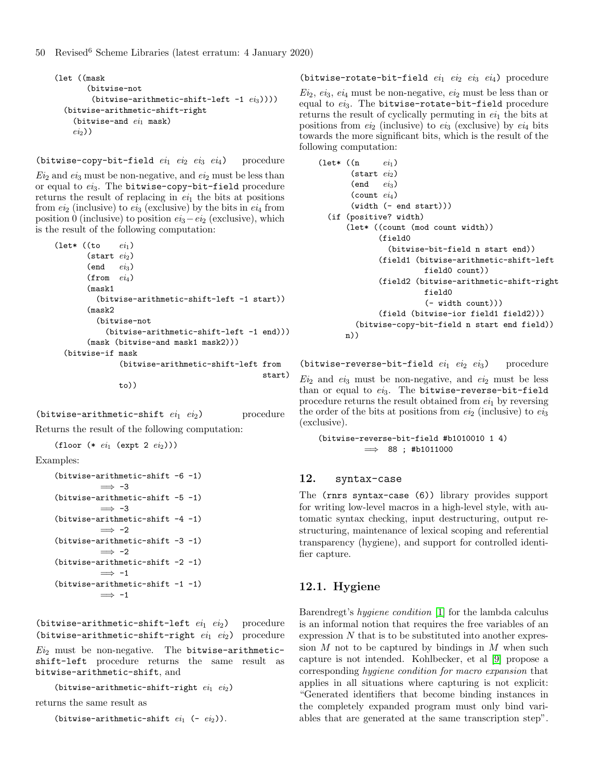```
(let ((mask
        (bitwise-not
         (bitwise-arithmetic-shift-left -1 e^{i_3})))(bitwise-arithmetic-shift-right
    (bitwise-and ei_1 mask)
    \langle e_i \rangle)
```
(bitwise-copy-bit-field  $ei_1$   $ei_2$   $ei_3$   $ei_4$ ) procedure

 $E_i$  and  $ei_3$  must be non-negative, and  $ei_2$  must be less than or equal to  $ei_3$ . The bitwise-copy-bit-field procedure returns the result of replacing in  $ei_1$  the bits at positions from  $ei_2$  (inclusive) to  $ei_3$  (exclusive) by the bits in  $ei_4$  from position 0 (inclusive) to position  $ei_3 - ei_2$  (exclusive), which is the result of the following computation:

```
(let* ((to ei_1)
       (\text{start } ei_2)(end ei_3)(from eii)(mask1
         (bitwise-arithmetic-shift-left -1 start))
       (mask2
         (bitwise-not
           (bitwise-arithmetic-shift-left -1 end)))
       (mask (bitwise-and mask1 mask2)))
  (bitwise-if mask
               (bitwise-arithmetic-shift-left from
                                                start)
              t_0)
```
(bitwise-arithmetic-shift  $ei_1$   $ei_2$ ) procedure

Returns the result of the following computation:

(floor  $(* e_i (exp t 2 e_i))$ )

#### Examples:

```
(bitwise-arithmetic-shift -6 -1)
          =⇒ -3
(bitwise-arithmetic-shift -5 -1)
          =⇒ -3
(bitwise-arithmetic-shift -4 -1)
          \implies -2(bitwise-arithmetic-shift -3 -1)
          \implies -2(bitwise-arithmetic-shift -2 -1)
          \implies -1
(bitwise-arithmetic-shift -1 -1)
          \implies -1
```
(bitwise-arithmetic-shift-left  $ei_1$   $ei_2$ ) procedure (bitwise-arithmetic-shift-right  $ei_1$   $ei_2$ ) procedure

 $Ei_2$  must be non-negative. The bitwise-arithmeticshift-left procedure returns the same result as bitwise-arithmetic-shift, and

(bitwise-arithmetic-shift-right  $ei_1$   $ei_2$ )

returns the same result as

(bitwise-arithmetic-shift  $ei_1$  (-  $ei_2$ )).

(bitwise-rotate-bit-field  $ei_1$   $ei_2$   $ei_3$   $ei_4$ ) procedure

 $E_i$ ,  $ei_3$ ,  $ei_4$  must be non-negative,  $ei_2$  must be less than or equal to  $ei_3$ . The bitwise-rotate-bit-field procedure returns the result of cyclically permuting in  $ei_1$  the bits at positions from  $ei_2$  (inclusive) to  $ei_3$  (exclusive) by  $ei_4$  bits towards the more significant bits, which is the result of the following computation:

(let\* ((n ei1) (start ei2) (end ei3) (count ei4) (width (- end start))) (if (positive? width) (let\* ((count (mod count width)) (field0 (bitwise-bit-field n start end)) (field1 (bitwise-arithmetic-shift-left field0 count)) (field2 (bitwise-arithmetic-shift-right field0 (- width count))) (field (bitwise-ior field1 field2))) (bitwise-copy-bit-field n start end field)) n))

(bitwise-reverse-bit-field  $ei_1$   $ei_2$   $ei_3$ ) procedure

 $E_i$  and  $ei_3$  must be non-negative, and  $ei_2$  must be less than or equal to  $ei_3$ . The bitwise-reverse-bit-field procedure returns the result obtained from  $ei_1$  by reversing the order of the bits at positions from  $e^{i_2}$  (inclusive) to  $e^{i_3}$ (exclusive).

(bitwise-reverse-bit-field #b1010010 1 4)  $\implies$  88; #b1011000

# 12. syntax-case

The (rnrs syntax-case (6)) library provides support for writing low-level macros in a high-level style, with automatic syntax checking, input destructuring, output restructuring, maintenance of lexical scoping and referential transparency (hygiene), and support for controlled identifier capture.

### <span id="page-49-0"></span>12.1. Hygiene

Barendregt's hygiene condition [\[1\]](#page-64-0) for the lambda calculus is an informal notion that requires the free variables of an expression N that is to be substituted into another expression  $M$  not to be captured by bindings in  $M$  when such capture is not intended. Kohlbecker, et al [\[9\]](#page-65-2) propose a corresponding hygiene condition for macro expansion that applies in all situations where capturing is not explicit: "Generated identifiers that become binding instances in the completely expanded program must only bind variables that are generated at the same transcription step".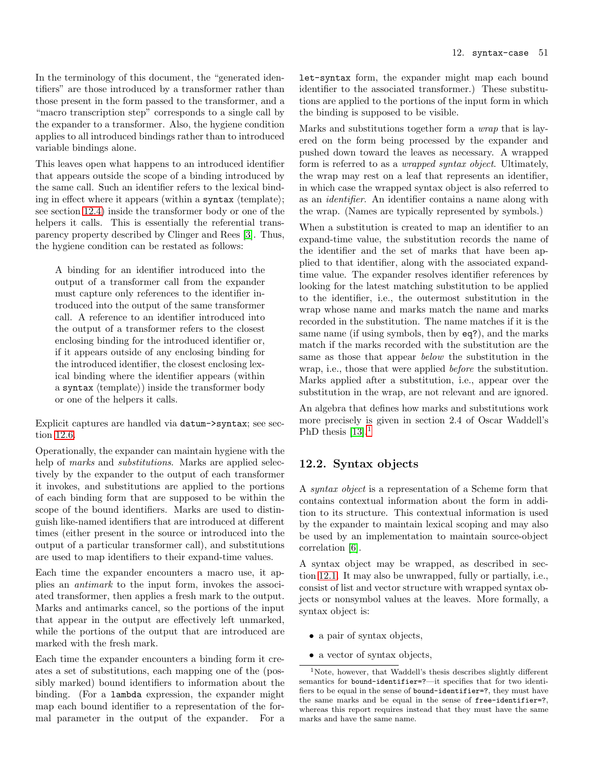<span id="page-50-2"></span>In the terminology of this document, the "generated identifiers" are those introduced by a transformer rather than those present in the form passed to the transformer, and a "macro transcription step" corresponds to a single call by the expander to a transformer. Also, the hygiene condition applies to all introduced bindings rather than to introduced variable bindings alone.

This leaves open what happens to an introduced identifier that appears outside the scope of a binding introduced by the same call. Such an identifier refers to the lexical binding in effect where it appears (within a syntax  $\langle$  template $\rangle$ ; see section [12.4\)](#page-51-0) inside the transformer body or one of the helpers it calls. This is essentially the referential transparency property described by Clinger and Rees [\[3\]](#page-64-1). Thus, the hygiene condition can be restated as follows:

A binding for an identifier introduced into the output of a transformer call from the expander must capture only references to the identifier introduced into the output of the same transformer call. A reference to an identifier introduced into the output of a transformer refers to the closest enclosing binding for the introduced identifier or, if it appears outside of any enclosing binding for the introduced identifier, the closest enclosing lexical binding where the identifier appears (within a syntax  $\langle$  template $\rangle$ ) inside the transformer body or one of the helpers it calls.

Explicit captures are handled via datum->syntax; see section [12.6.](#page-55-0)

Operationally, the expander can maintain hygiene with the help of *marks* and *substitutions*. Marks are applied selectively by the expander to the output of each transformer it invokes, and substitutions are applied to the portions of each binding form that are supposed to be within the scope of the bound identifiers. Marks are used to distinguish like-named identifiers that are introduced at different times (either present in the source or introduced into the output of a particular transformer call), and substitutions are used to map identifiers to their expand-time values.

Each time the expander encounters a macro use, it applies an antimark to the input form, invokes the associated transformer, then applies a fresh mark to the output. Marks and antimarks cancel, so the portions of the input that appear in the output are effectively left unmarked, while the portions of the output that are introduced are marked with the fresh mark.

Each time the expander encounters a binding form it creates a set of substitutions, each mapping one of the (possibly marked) bound identifiers to information about the binding. (For a lambda expression, the expander might map each bound identifier to a representation of the formal parameter in the output of the expander. For a let-syntax form, the expander might map each bound identifier to the associated transformer.) These substitutions are applied to the portions of the input form in which the binding is supposed to be visible.

Marks and substitutions together form a wrap that is layered on the form being processed by the expander and pushed down toward the leaves as necessary. A wrapped form is referred to as a *wrapped syntax object*. Ultimately, the wrap may rest on a leaf that represents an identifier, in which case the wrapped syntax object is also referred to as an identifier. An identifier contains a name along with the wrap. (Names are typically represented by symbols.)

When a substitution is created to map an identifier to an expand-time value, the substitution records the name of the identifier and the set of marks that have been applied to that identifier, along with the associated expandtime value. The expander resolves identifier references by looking for the latest matching substitution to be applied to the identifier, i.e., the outermost substitution in the wrap whose name and marks match the name and marks recorded in the substitution. The name matches if it is the same name (if using symbols, then by eq?), and the marks match if the marks recorded with the substitution are the same as those that appear below the substitution in the wrap, i.e., those that were applied before the substitution. Marks applied after a substitution, i.e., appear over the substitution in the wrap, are not relevant and are ignored.

An algebra that defines how marks and substitutions work more precisely is given in section 2.4 of Oscar Waddell's PhD thesis  $[13]$  $[13]$  $[13]$ <sup>1</sup>

# <span id="page-50-1"></span>12.2. Syntax objects

A syntax object is a representation of a Scheme form that contains contextual information about the form in addition to its structure. This contextual information is used by the expander to maintain lexical scoping and may also be used by an implementation to maintain source-object correlation [\[6\]](#page-64-2).

A syntax object may be wrapped, as described in section [12.1.](#page-49-0) It may also be unwrapped, fully or partially, i.e., consist of list and vector structure with wrapped syntax objects or nonsymbol values at the leaves. More formally, a syntax object is:

- a pair of syntax objects,
- a vector of syntax objects,

<span id="page-50-0"></span><sup>1</sup>Note, however, that Waddell's thesis describes slightly different semantics for bound-identifier=?—it specifies that for two identifiers to be equal in the sense of bound-identifier=?, they must have the same marks and be equal in the sense of free-identifier=?, whereas this report requires instead that they must have the same marks and have the same name.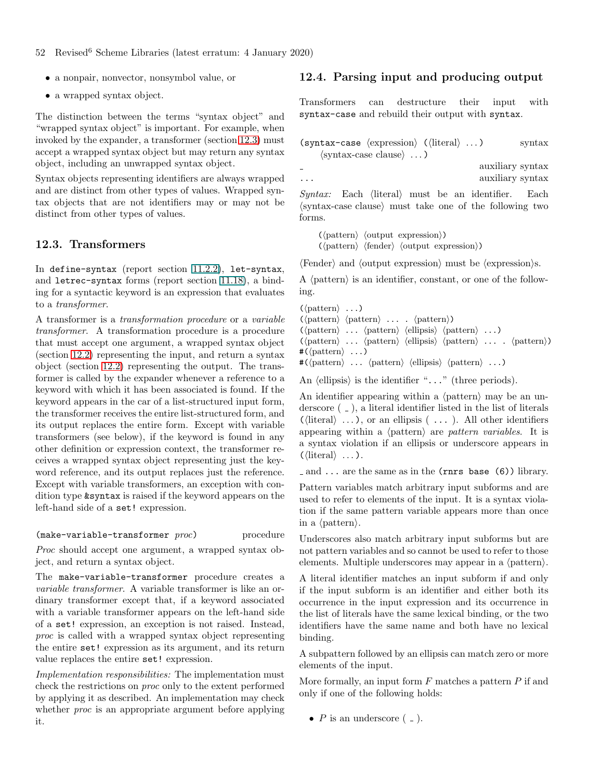- <span id="page-51-2"></span>• a nonpair, nonvector, nonsymbol value, or
- a wrapped syntax object.

The distinction between the terms "syntax object" and "wrapped syntax object" is important. For example, when invoked by the expander, a transformer (section [12.3\)](#page-51-1) must accept a wrapped syntax object but may return any syntax object, including an unwrapped syntax object.

Syntax objects representing identifiers are always wrapped and are distinct from other types of values. Wrapped syntax objects that are not identifiers may or may not be distinct from other types of values.

# <span id="page-51-1"></span>12.3. Transformers

In define-syntax (report section 11.2.2), let-syntax, and letrec-syntax forms (report section 11.18), a binding for a syntactic keyword is an expression that evaluates to a transformer.

A transformer is a transformation procedure or a variable transformer. A transformation procedure is a procedure that must accept one argument, a wrapped syntax object (section [12.2\)](#page-50-1) representing the input, and return a syntax object (section [12.2\)](#page-50-1) representing the output. The transformer is called by the expander whenever a reference to a keyword with which it has been associated is found. If the keyword appears in the car of a list-structured input form, the transformer receives the entire list-structured form, and its output replaces the entire form. Except with variable transformers (see below), if the keyword is found in any other definition or expression context, the transformer receives a wrapped syntax object representing just the keyword reference, and its output replaces just the reference. Except with variable transformers, an exception with condition type &syntax is raised if the keyword appears on the left-hand side of a set! expression.

#### $(make-variable-transfer \text{ } proc)$  procedure

Proc should accept one argument, a wrapped syntax object, and return a syntax object.

The make-variable-transformer procedure creates a variable transformer. A variable transformer is like an ordinary transformer except that, if a keyword associated with a variable transformer appears on the left-hand side of a set! expression, an exception is not raised. Instead, proc is called with a wrapped syntax object representing the entire set! expression as its argument, and its return value replaces the entire set! expression.

Implementation responsibilities: The implementation must check the restrictions on proc only to the extent performed by applying it as described. An implementation may check whether *proc* is an appropriate argument before applying it.

# <span id="page-51-0"></span>12.4. Parsing input and producing output

Transformers can destructure their input with syntax-case and rebuild their output with syntax.

| $(syntax-case \langle expression \rangle (\langle literal \rangle \dots)$   | syntax           |
|-----------------------------------------------------------------------------|------------------|
| $\langle$ syntax-case clause $\rangle \dots$                                |                  |
|                                                                             | auxiliary syntax |
| .                                                                           | auxiliary syntax |
| <i>Syntax:</i> Each $\langle$ literal $\rangle$ must be an identifier. Each |                  |
| (syntax-case clause) must take one of the following two                     |                  |

 $(\langle$ pattern $\rangle$   $\langle$ output expression $\rangle$ )  $(\langle pattern \rangle \langle fender \rangle \langle output expression \rangle)$ 

forms.

 $\langle$ Fender $\rangle$  and  $\langle$ output expression $\rangle$  must be  $\langle$  expression $\rangle$ s.

A  $\langle$  pattern $\rangle$  is an identifier, constant, or one of the following.

 $(\langle \text{pattern} \rangle \dots)$  $(\langle pattern \rangle \langle pattern \rangle \dots \langle pattern \rangle)$  $(\mathsf{pattern}\rangle \ldots \mathsf{pattern}\rangle \langle \mathsf{ellipsis}\rangle \langle \mathsf{pattern}\rangle \ldots)$  $(\mathsf{pattern} \dots \mathsf{pattern} \cdot \mathsf{children}) \cdot \mathsf{pattern} \cdot \dots \cdot \mathsf{pattern})$  $\#(\langle \text{pattern} \rangle \dots)$  $\#(\mathsf{pattern}\}\ldots\ \mathsf{pattern}\$  (ellipsis)  $\mathsf{pattern}\ldots\$ 

An  $\langle$  ellipsis $\rangle$  is the identifier "..." (three periods).

An identifier appearing within a  $\langle$  pattern $\rangle$  may be an underscore  $($ .), a literal identifier listed in the list of literals  $(\langle$ literal $\rangle \ldots$ ), or an ellipsis  $(\ldots)$ . All other identifiers appearing within a  $\langle$  pattern $\rangle$  are *pattern variables*. It is a syntax violation if an ellipsis or underscore appears in  $(\langle$ literal $\rangle \dots$ ).

 $-$  and ... are the same as in the (rnrs base (6)) library.

Pattern variables match arbitrary input subforms and are used to refer to elements of the input. It is a syntax violation if the same pattern variable appears more than once in a  $\langle$  pattern $\rangle$ .

Underscores also match arbitrary input subforms but are not pattern variables and so cannot be used to refer to those elements. Multiple underscores may appear in a  $\langle$  pattern $\rangle$ .

A literal identifier matches an input subform if and only if the input subform is an identifier and either both its occurrence in the input expression and its occurrence in the list of literals have the same lexical binding, or the two identifiers have the same name and both have no lexical binding.

A subpattern followed by an ellipsis can match zero or more elements of the input.

More formally, an input form  $F$  matches a pattern  $P$  if and only if one of the following holds:

•  $P$  is an underscore  $($ .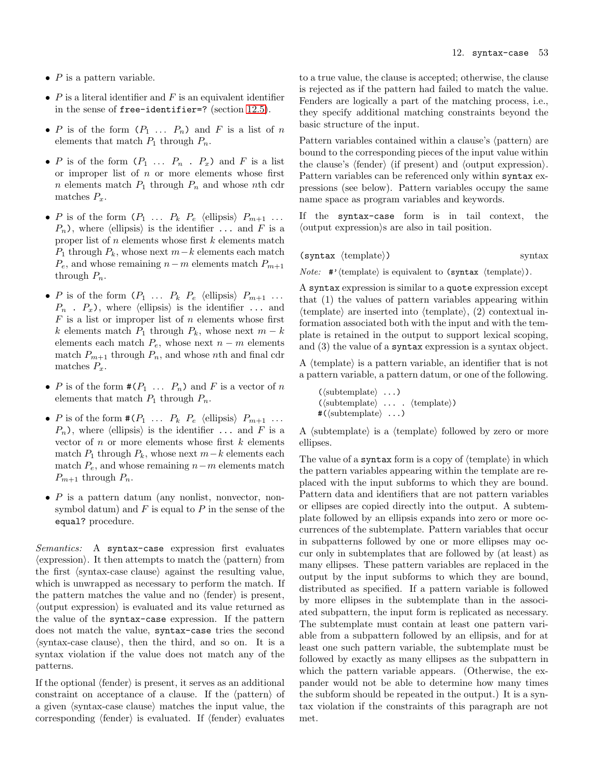- <span id="page-52-0"></span>•  $P$  is a pattern variable.
- $P$  is a literal identifier and  $F$  is an equivalent identifier in the sense of free-identifier=? (section [12.5\)](#page-53-0).
- P is of the form  $(P_1 \ldots P_n)$  and F is a list of n elements that match  $P_1$  through  $P_n$ .
- P is of the form  $(P_1 \ldots P_n \ldots P_x)$  and F is a list or improper list of  $n$  or more elements whose first n elements match  $P_1$  through  $P_n$  and whose nth cdr matches  $P_x$ .
- P is of the form  $(P_1 \ldots P_k \ P_e \text{ (ellipsis)} \ P_{m+1} \ldots$  $P_n$ ), where (ellipsis) is the identifier ... and F is a proper list of  $n$  elements whose first  $k$  elements match  $P_1$  through  $P_k$ , whose next  $m-k$  elements each match  $P_e$ , and whose remaining  $n-m$  elements match  $P_{m+1}$ through  $P_n$ .
- P is of the form  $(P_1 \ldots P_k \ P_e \langle \text{ellipsis} \rangle \ P_{m+1} \ldots$  $P_n$  .  $P_x$ ), where (ellipsis) is the identifier ... and  $F$  is a list or improper list of  $n$  elements whose first k elements match  $P_1$  through  $P_k$ , whose next  $m - k$ elements each match  $P_e$ , whose next  $n - m$  elements match  $P_{m+1}$  through  $P_n$ , and whose nth and final cdr matches  $P_x$ .
- P is of the form  $\#(P_1 \ldots P_n)$  and F is a vector of n elements that match  $P_1$  through  $P_n$ .
- P is of the form  $\#(P_1 \ldots P_k \ P_e \text{ (ellipsis)} \ P_{m+1} \ldots$  $P_n$ ), where (ellipsis) is the identifier ... and F is a vector of  $n$  or more elements whose first  $k$  elements match  $P_1$  through  $P_k$ , whose next  $m-k$  elements each match  $P_e$ , and whose remaining  $n-m$  elements match  $P_{m+1}$  through  $P_n$ .
- $\bullet$  P is a pattern datum (any nonlist, nonvector, nonsymbol datum) and  $F$  is equal to  $P$  in the sense of the equal? procedure.

Semantics: A syntax-case expression first evaluates  $\langle$  expression $\rangle$ . It then attempts to match the  $\langle$  pattern $\rangle$  from the first  $\langle$  syntax-case clause $\rangle$  against the resulting value, which is unwrapped as necessary to perform the match. If the pattern matches the value and no  $\langle$  fender $\rangle$  is present,  $\langle$ output expression $\rangle$  is evaluated and its value returned as the value of the syntax-case expression. If the pattern does not match the value, syntax-case tries the second  $\langle$ syntax-case clause $\rangle$ , then the third, and so on. It is a syntax violation if the value does not match any of the patterns.

If the optional  $\langle$  fender $\rangle$  is present, it serves as an additional constraint on acceptance of a clause. If the  $\langle$  pattern $\rangle$  of a given  $\langle$  syntax-case clause $\rangle$  matches the input value, the corresponding  $\langle$  fender $\rangle$  is evaluated. If  $\langle$  fender $\rangle$  evaluates to a true value, the clause is accepted; otherwise, the clause is rejected as if the pattern had failed to match the value. Fenders are logically a part of the matching process, i.e., they specify additional matching constraints beyond the basic structure of the input.

Pattern variables contained within a clause's (pattern) are bound to the corresponding pieces of the input value within the clause's  $\langle$  fender $\rangle$  (if present) and  $\langle$  output expression $\rangle$ . Pattern variables can be referenced only within syntax expressions (see below). Pattern variables occupy the same name space as program variables and keywords.

If the syntax-case form is in tail context, the  $\langle$ output expression $\rangle$ s are also in tail position.

```
(syntax \ (template)) syntax
```
*Note:*  $\sharp$ ' (template) is equivalent to (syntax (template)).

A syntax expression is similar to a quote expression except that (1) the values of pattern variables appearing within  $\langle$ template $\rangle$  are inserted into  $\langle$ template $\rangle$ ,  $(2)$  contextual information associated both with the input and with the template is retained in the output to support lexical scoping, and (3) the value of a syntax expression is a syntax object.

A  $\langle$  template $\rangle$  is a pattern variable, an identifier that is not a pattern variable, a pattern datum, or one of the following.

$$
(\langle \text{subtemplate} \rangle \dots) \n(\langle \text{subtemplate} \rangle \dots \langle \text{template} \rangle) \n#(\langle \text{subtemplate} \rangle \dots)
$$

A  $\langle$  subtemplate $\rangle$  is a  $\langle$  template $\rangle$  followed by zero or more ellipses.

The value of a syntax form is a copy of  $\langle$  template $\rangle$  in which the pattern variables appearing within the template are replaced with the input subforms to which they are bound. Pattern data and identifiers that are not pattern variables or ellipses are copied directly into the output. A subtemplate followed by an ellipsis expands into zero or more occurrences of the subtemplate. Pattern variables that occur in subpatterns followed by one or more ellipses may occur only in subtemplates that are followed by (at least) as many ellipses. These pattern variables are replaced in the output by the input subforms to which they are bound, distributed as specified. If a pattern variable is followed by more ellipses in the subtemplate than in the associated subpattern, the input form is replicated as necessary. The subtemplate must contain at least one pattern variable from a subpattern followed by an ellipsis, and for at least one such pattern variable, the subtemplate must be followed by exactly as many ellipses as the subpattern in which the pattern variable appears. (Otherwise, the expander would not be able to determine how many times the subform should be repeated in the output.) It is a syntax violation if the constraints of this paragraph are not met.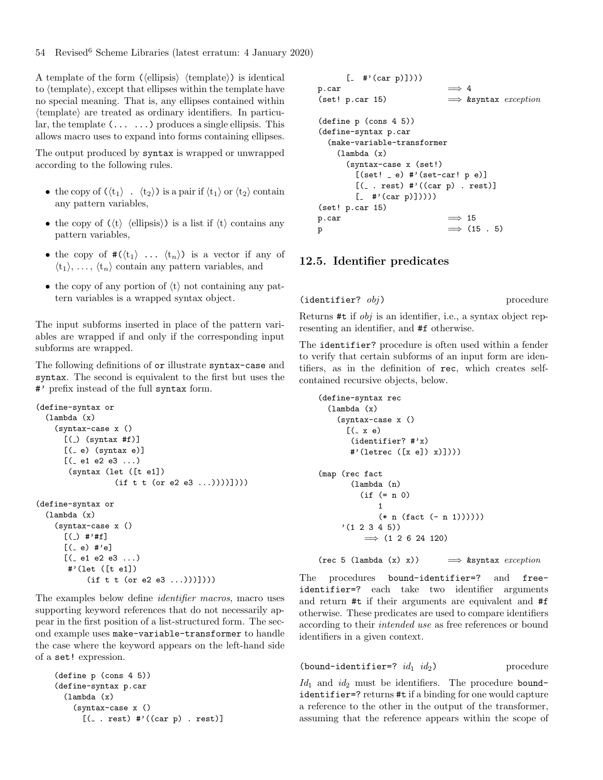<span id="page-53-1"></span>A template of the form  $(\ell\ell)$  (template) is identical to (template), except that ellipses within the template have no special meaning. That is, any ellipses contained within  $\langle$ template $\rangle$  are treated as ordinary identifiers. In particular, the template  $(\ldots \ldots)$  produces a single ellipsis. This allows macro uses to expand into forms containing ellipses.

The output produced by syntax is wrapped or unwrapped according to the following rules.

- the copy of  $(\langle t_1 \rangle \cdot \langle t_2 \rangle)$  is a pair if  $\langle t_1 \rangle$  or  $\langle t_2 \rangle$  contain any pattern variables,
- the copy of  $(\langle t \rangle \langle$  ellipsis) is a list if  $\langle t \rangle$  contains any pattern variables,
- the copy of  $\#(\langle t_1 \rangle \ldots \langle t_n \rangle)$  is a vector if any of  $\langle t_1 \rangle, \ldots, \langle t_n \rangle$  contain any pattern variables, and
- the copy of any portion of  $\langle t \rangle$  not containing any pattern variables is a wrapped syntax object.

The input subforms inserted in place of the pattern variables are wrapped if and only if the corresponding input subforms are wrapped.

The following definitions of or illustrate syntax-case and syntax. The second is equivalent to the first but uses the #' prefix instead of the full syntax form.

```
(define-syntax or
 (lambda (x)
    (syntax-case x ()
      [() (syntax #f)]
      [(-e) (syntax e)]
      [(= e1 e2 e3 ...)
       (syntax (let ([t e1])
                 (if t t (or e2 e3 ...))))])))
(define-syntax or
  (lambda (x)
    (syntax-case x ()
      [(_) #'#f]
      [(-e) #'e]
      [(= e1 e2 e3 ...)
      #'(let ([t e1])
           (if t t (or e2 e3 ...)))])))
```
The examples below define identifier macros, macro uses supporting keyword references that do not necessarily appear in the first position of a list-structured form. The second example uses make-variable-transformer to handle the case where the keyword appears on the left-hand side of a set! expression.

```
(define p (cons 4 5))
(define-syntax p.car
  (lambda (x)
    (syntax-case x ()
      [(_{-} . rest) #'((car p) . rest)]
```

```
[- #'(car p)])))
p.car \implies 4
(set! p.car 15) \implies &syntax exception
(define p (cons 4 5))
(define-syntax p.car
 (make-variable-transformer
   (lambda (x)
     (syntax-case x (set!)
       [(set! - e) #'(set-car! p e)][(_{-} . rest) #'((car p) . rest)]
       [- #'(car p)]))))
(set! p.car 15)
p.car \implies 15
p \implies (15 . 5)
```
# <span id="page-53-0"></span>12.5. Identifier predicates

 $(identifier? obi)$  procedure

Returns #t if obj is an identifier, i.e., a syntax object representing an identifier, and #f otherwise.

The identifier? procedure is often used within a fender to verify that certain subforms of an input form are identifiers, as in the definition of rec, which creates selfcontained recursive objects, below.

```
(define-syntax rec
  (lambda (x)
    (syntax-case x ()
      [( x e)
       (identifier? #'x)
       #'(letrec ([x e]) x)])))
(map (rec fact
       (lambda (n)
         (if (= n 0)1
             (* n (fact (- n 1))))))(1 2 3 4 5)\implies (1 2 6 24 120)
(rec 5 (lambda (x) x)) \implies &syntax exception
```
The procedures bound-identifier=? and freeidentifier=? each take two identifier arguments and return #t if their arguments are equivalent and #f otherwise. These predicates are used to compare identifiers according to their intended use as free references or bound

(bound-identifier=?  $id_1$   $id_2$ ) procedure

identifiers in a given context.

 $Id_1$  and  $id_2$  must be identifiers. The procedure boundidentifier=? returns #t if a binding for one would capture a reference to the other in the output of the transformer, assuming that the reference appears within the scope of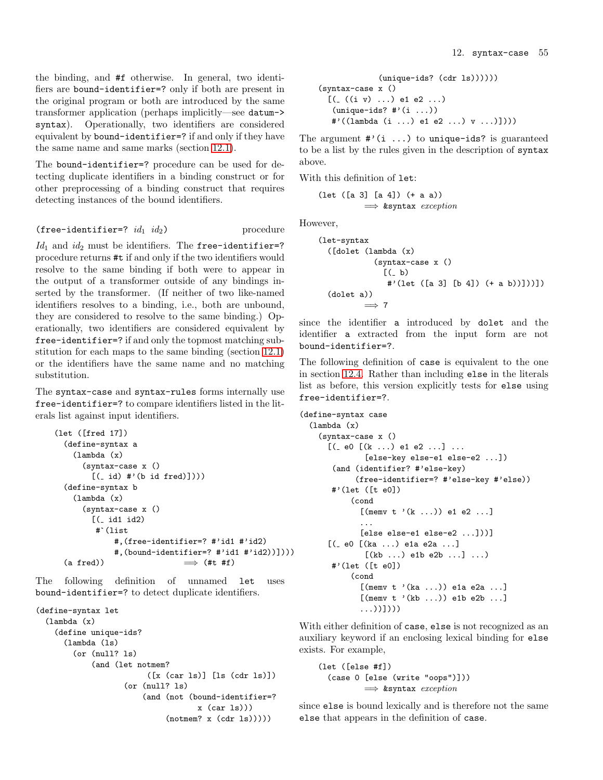<span id="page-54-0"></span>the binding, and #f otherwise. In general, two identifiers are bound-identifier=? only if both are present in the original program or both are introduced by the same transformer application (perhaps implicitly—see datum-> syntax). Operationally, two identifiers are considered equivalent by bound-identifier=? if and only if they have the same name and same marks (section [12.1\)](#page-49-0).

The bound-identifier=? procedure can be used for detecting duplicate identifiers in a binding construct or for other preprocessing of a binding construct that requires detecting instances of the bound identifiers.

```
(free-identifier=? id_1 id_2) procedure
```
 $Id_1$  and  $id_2$  must be identifiers. The free-identifier=? procedure returns #t if and only if the two identifiers would resolve to the same binding if both were to appear in the output of a transformer outside of any bindings inserted by the transformer. (If neither of two like-named identifiers resolves to a binding, i.e., both are unbound, they are considered to resolve to the same binding.) Operationally, two identifiers are considered equivalent by free-identifier=? if and only the topmost matching substitution for each maps to the same binding (section [12.1\)](#page-49-0) or the identifiers have the same name and no matching substitution.

The syntax-case and syntax-rules forms internally use free-identifier=? to compare identifiers listed in the literals list against input identifiers.

```
(let ([fred 17])
  (define-syntax a
    (lambda (x)
      (syntax-case x ()
        [(-id) #'(b id fred)])))
  (define-syntax b
    (lambda (x)
      (syntax-case x ()
        [(-id1 id2)
         #`(list
             #,(free-identifier=? #'id1 #'id2)
              #,(bound-identifier=? #'id1 #'id2))])))
  (a \text{ freq}) \implies (\text{#t} \text{ #f})
```
The following definition of unnamed let uses bound-identifier=? to detect duplicate identifiers.

```
(define-syntax let
  (lambda (x)
    (define unique-ids?
      (lambda (ls)
        (or (null? ls)
            (and (let notmem?
                        ([x (car ls)] [ls (cdr ls)])
                   (or (null? ls)
                        (and (not (bound-identifier=?
                                    x (car ls)))
                             (notmem? x (cdr ls)))))
```
(unique-ids? (cdr ls)))))) (syntax-case x () [( ((i v) ...) e1 e2 ...) (unique-ids? #'(i ...)) #'((lambda (i ...) e1 e2 ...) v ...)])))

The argument  $\#$ '(i ...) to unique-ids? is guaranteed to be a list by the rules given in the description of syntax above.

With this definition of let:

(let ([a 3] [a 4]) (+ a a))  $\implies$  &syntax exception

However,

```
(let-syntax
  ([dolet (lambda (x)
             (syntax-case x ()
                [(-b)#'(let ([a 3] [b 4]) (+ a b))]))])
  (dolet a))
           \longrightarrow 7
```
since the identifier a introduced by dolet and the identifier a extracted from the input form are not bound-identifier=?.

The following definition of case is equivalent to the one in section [12.4.](#page-51-0) Rather than including else in the literals list as before, this version explicitly tests for else using free-identifier=?.

```
(define-syntax case
  (lambda (x)
    (syntax-case x ()
       [(= e0 [(k \ldots) e1 e2 \ldots] \ldots[else-key else-e1 else-e2 ...])
        (and (identifier? #'else-key)
              (free-identifier=? #'else-key #'else))
        #'(let ([t e0])
            (cond
               [(\text{memv t } (k ...)) \text{ e1 e2 } ...]...
               [else else-e1 else-e2 ...]))]
       [(-e0) [(ka \dots) e1a e2a ...]
                [(kb ...) e1b e2b ...] ...)
        #'(let ([t e0])
            (cond
               [(\text{memv t } '(\text{ka} ...)) e1a e2a ...]
               [(\text{memv t } (kb ...)) \text{ elb e2b ...}]\ldots))])))
```
With either definition of case, else is not recognized as an auxiliary keyword if an enclosing lexical binding for else exists. For example,

```
(let ([else #f])
  (case 0 [else (write "oops")]))
          \implies &syntax exception
```
since else is bound lexically and is therefore not the same else that appears in the definition of case.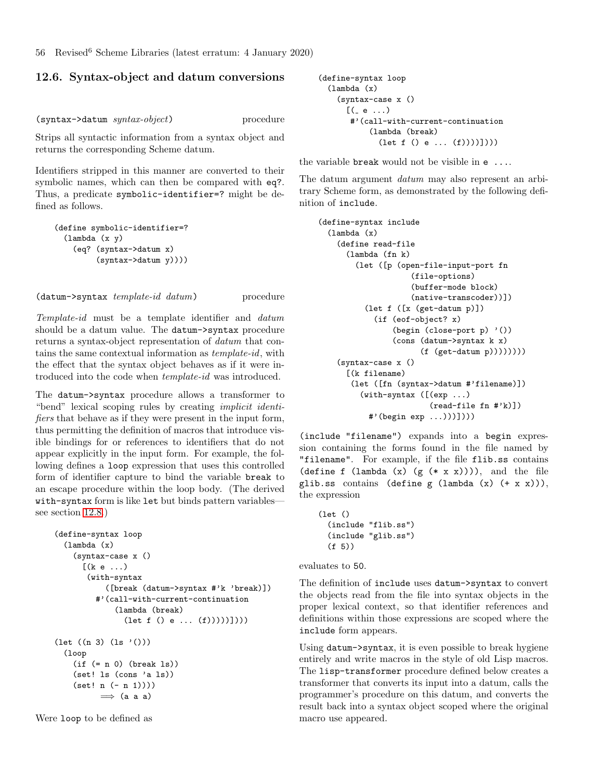# <span id="page-55-1"></span><span id="page-55-0"></span>12.6. Syntax-object and datum conversions

 $(syntax-\lambda)$ datum  $syntax-object$  procedure

Strips all syntactic information from a syntax object and returns the corresponding Scheme datum.

Identifiers stripped in this manner are converted to their symbolic names, which can then be compared with eq?. Thus, a predicate symbolic-identifier=? might be defined as follows.

```
(define symbolic-identifier=?
  (lambda (x y)
    (eq? (syntax->datum x)
         (syntax->datum y))))
```
 $(datum->syntax template-id datum)$  procedure

Template-id must be a template identifier and datum should be a datum value. The datum->syntax procedure returns a syntax-object representation of datum that contains the same contextual information as template-id, with the effect that the syntax object behaves as if it were introduced into the code when template-id was introduced.

The datum->syntax procedure allows a transformer to "bend" lexical scoping rules by creating implicit identifiers that behave as if they were present in the input form, thus permitting the definition of macros that introduce visible bindings for or references to identifiers that do not appear explicitly in the input form. For example, the following defines a loop expression that uses this controlled form of identifier capture to bind the variable break to an escape procedure within the loop body. (The derived with-syntax form is like let but binds pattern variables see section [12.8.](#page-56-0))

```
(define-syntax loop
  (lambda (x)
    (syntax-case x ()
      [(k e \ldots)](with-syntax
            ([break (datum->syntax #'k 'break)])
         #'(call-with-current-continuation
              (lambda (break)
                (\text{let } f() e ... (f))))))))(\text{let } ((n 3) (ls ')))(loop
    (if (= n 0) (break ls))
    (set! ls (cons 'a ls))
    (set! n (- n 1))))
          \implies (a a a)
```
Were loop to be defined as

```
(define-syntax loop
 (lambda (x)
    (syntax-case x ()
      [ (e \dots)
       #'(call-with-current-continuation
           (lambda (break)
              (\text{let } f() e ... (f))))])
```
the variable break would not be visible in e ....

The datum argument *datum* may also represent an arbitrary Scheme form, as demonstrated by the following definition of include.

```
(define-syntax include
 (lambda (x)
   (define read-file
     (lambda (fn k)
        (let ([p (open-file-input-port fn
                    (file-options)
                    (buffer-mode block)
                    (native-transcoder))])
          (let f ([x (get-datum p)])
            (if (eof-object? x)
                (begin (close-port p) '())
                (cons (datum->syntax k x)
                      (f (get-datum p))))))))
   (syntax-case x ()
     [(k filename)
      (let ([fn (syntax->datum #'filename)])
         (with-syntax ([(exp ...)
                        (read-file fn #'k)])
          #'(begin exp ...)))])))
```
(include "filename") expands into a begin expression containing the forms found in the file named by "filename". For example, if the file flib.ss contains (define f (lambda  $(x)$   $(g (* x x)))$ ), and the file glib.ss contains (define g (lambda  $(x)$   $(+ x x))$ ), the expression

```
(let ()
 (include "flib.ss")
 (include "glib.ss")
 (f 5))
```
evaluates to 50.

The definition of include uses datum->syntax to convert the objects read from the file into syntax objects in the proper lexical context, so that identifier references and definitions within those expressions are scoped where the include form appears.

Using datum->syntax, it is even possible to break hygiene entirely and write macros in the style of old Lisp macros. The lisp-transformer procedure defined below creates a transformer that converts its input into a datum, calls the programmer's procedure on this datum, and converts the result back into a syntax object scoped where the original macro use appeared.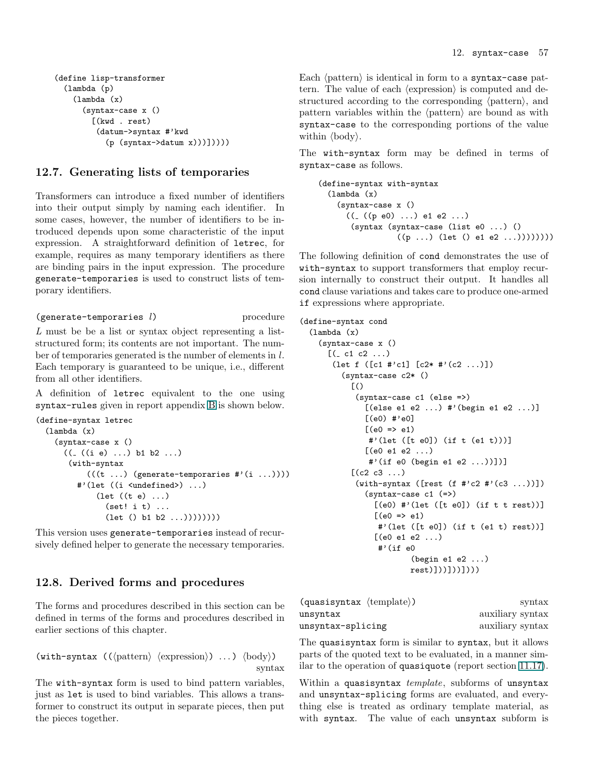```
(define lisp-transformer
 (lambda (p)
   (lambda (x)
      (syntax-case x ()
       [(kwd . rest)
         (datum->syntax #'kwd
           (p (syntax->datum x)))]))
```
# 12.7. Generating lists of temporaries

Transformers can introduce a fixed number of identifiers into their output simply by naming each identifier. In some cases, however, the number of identifiers to be introduced depends upon some characteristic of the input expression. A straightforward definition of letrec, for example, requires as many temporary identifiers as there are binding pairs in the input expression. The procedure generate-temporaries is used to construct lists of temporary identifiers.

#### $(generate-temperature s l)$  procedure

L must be be a list or syntax object representing a liststructured form; its contents are not important. The number of temporaries generated is the number of elements in l. Each temporary is guaranteed to be unique, i.e., different from all other identifiers.

A definition of letrec equivalent to the one using syntax-rules given in report appendix B is shown below.

```
(define-syntax letrec
  (lambda (x)
    (syntax-case x ()
      (( (i e) ... ) b1 b2 ... )(with-syntax
            (((t \dots) (generate-temperature *') (i \dots))))#'(let ((i <undefined>) ...)
              (let ((t e) ...)
                (set! i t) ...(\text{let } () \text{ b1 b2 } ...))))))
```
This version uses generate-temporaries instead of recursively defined helper to generate the necessary temporaries.

# <span id="page-56-0"></span>12.8. Derived forms and procedures

The forms and procedures described in this section can be defined in terms of the forms and procedures described in earlier sections of this chapter.

(with-syntax  $(\langle \text{pattern} \rangle \langle \text{expression} \rangle)$  ...)  $\langle \text{body} \rangle$ ) syntax

The with-syntax form is used to bind pattern variables, just as let is used to bind variables. This allows a transformer to construct its output in separate pieces, then put the pieces together.

Each  $\langle$  pattern $\rangle$  is identical in form to a syntax-case pattern. The value of each  $\langle$  expression $\rangle$  is computed and destructured according to the corresponding  $\langle$  pattern $\rangle$ , and pattern variables within the  $\langle$  pattern $\rangle$  are bound as with syntax-case to the corresponding portions of the value within  $\langle body \rangle$ .

The with-syntax form may be defined in terms of syntax-case as follows.

```
(define-syntax with-syntax
 (lambda (x)
    (syntax-case x ()
      (( (p e0) ... ) e1 e2 ... )(syntax (syntax-case (list e0 ...) ()
                 ((p \ldots) (let () e1 e2 ...)))))))))
```
The following definition of cond demonstrates the use of with-syntax to support transformers that employ recursion internally to construct their output. It handles all cond clause variations and takes care to produce one-armed if expressions where appropriate.

```
(define-syntax cond
  (lambda (x)
    (syntax-case x ()
      [ (c1 c2 ... )(let f ([c1 #'c1] [c2* #'(c2 ...)])(syntax-case c2* ()
            \lceil()
             (syntax-case c1 (else =>)
               [(else e1 e2 ...) #'(begin e1 e2 ...)]
               [ (e0) #'e0]
               [(e0 \Rightarrow e1)#'(let ([t e0]) (if t (e1 t)))]
               [(e0 e1 e2 ...)
                #'(if e0 (begin e1 e2 ...))])]
            [(c2 c3 \ldots)](with-syntax ([rest (f \# 'c2 \# ' (c3 ...))])
               (syntax-case c1 (->)[(e0) #'(let ([t e0]) (if t t rest))]
                 [(e0 \Rightarrow e1)#'(let ([t e0]) (if t (e1 t) rest))]
                 [(e0 e1 e2 ...)]#'(if e0)(begin e1 e2 ...)
                         rest)]))]))])))
```

| $\langle \text{quasis} \rangle$ (emplate)) | $\sqrt{\frac{1}{2}}$ |
|--------------------------------------------|----------------------|
| unsyntax                                   | auxiliary syntax     |
| unsyntax-splicing                          | auxiliary syntax     |

The quasisyntax form is similar to syntax, but it allows parts of the quoted text to be evaluated, in a manner similar to the operation of quasiquote (report section 11.17).

Within a quasisyntax template, subforms of unsyntax and unsyntax-splicing forms are evaluated, and everything else is treated as ordinary template material, as with syntax. The value of each unsyntax subform is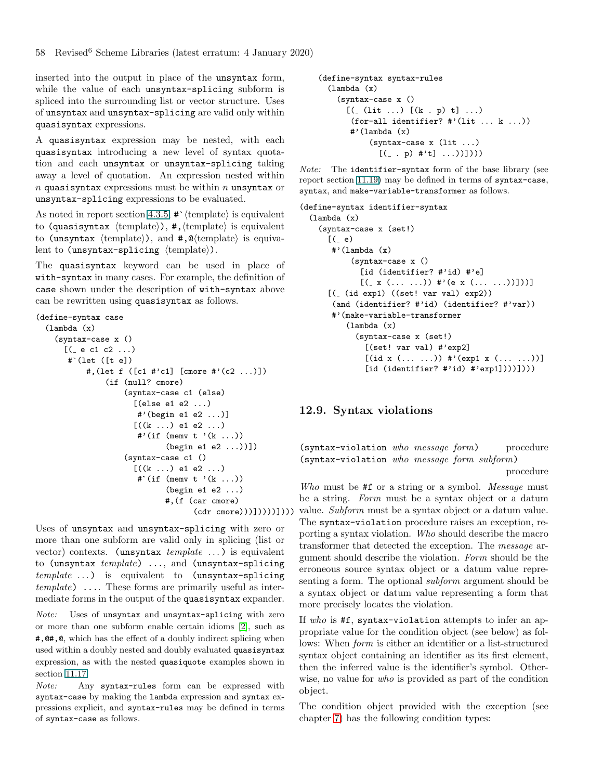<span id="page-57-0"></span>inserted into the output in place of the unsyntax form, while the value of each unsyntax-splicing subform is spliced into the surrounding list or vector structure. Uses of unsyntax and unsyntax-splicing are valid only within quasisyntax expressions.

A quasisyntax expression may be nested, with each quasisyntax introducing a new level of syntax quotation and each unsyntax or unsyntax-splicing taking away a level of quotation. An expression nested within  $n$  quasisyntax expressions must be within  $n$  unsyntax or unsyntax-splicing expressions to be evaluated.

As noted in report section 4.3.5,  $\sharp$  (template) is equivalent to (quasisyntax  $\langle$ template $\rangle$ ), #,  $\langle$ template $\rangle$  is equivalent to (unsyntax  $\langle$ template $\rangle$ ), and #,  $\mathcal{Q}$ (template) is equivalent to (unsyntax-splicing  $\langle$ template $\rangle$ ).

The quasisyntax keyword can be used in place of with-syntax in many cases. For example, the definition of case shown under the description of with-syntax above can be rewritten using quasisyntax as follows.

```
(define-syntax case
  (lambda (x)
    (syntax-case x ()
      [(-e c1 c2 ...)]#`(let ([t e])
           #,(let f ([c1 #'c1] [cmore #'(c2 ...)])
                (if (null? cmore)
                    (syntax-case c1 (else)
                      [(else e1 e2 ...)
                       #'(begin e1 e2 ...)]
                      [(k \ldots) e1 e2 \ldots)#'(if (memv t '(k ...))
                              (begin e1 e2 ...))])
                    (syntax-case c1 ()
                      [(k \ldots) e1 e2 ...)
                       #<sup>'</sup>(if (memv t '(k ...))
                              (begin e1 e2 ...)
                              #,(f (car cmore)
```
Uses of unsyntax and unsyntax-splicing with zero or more than one subform are valid only in splicing (list or vector) contexts. (unsyntax  $template$  ...) is equivalent to (unsyntax  $template)$ )..., and (unsyntax-splicing  $template$ ...) is equivalent to (unsyntax-splicing)  $template)$ .... These forms are primarily useful as intermediate forms in the output of the quasisyntax expander.

Note: Uses of unsyntax and unsyntax-splicing with zero or more than one subform enable certain idioms [\[2\]](#page-64-3), such as #,@#,@, which has the effect of a doubly indirect splicing when used within a doubly nested and doubly evaluated quasisyntax expression, as with the nested quasiquote examples shown in section 11.17.

Note: Any syntax-rules form can be expressed with syntax-case by making the lambda expression and syntax expressions explicit, and syntax-rules may be defined in terms of syntax-case as follows.

```
(define-syntax syntax-rules
 (lambda (x)
   (syntax-case x ()
     [ ( (lit ... ) [(k p) t] ... )(for-all identifier? #'(lit ... k ...))
      #'(lambda (x)
          (syntax-case x (lit ...)
            [(- p) # 't] ... ))
```
Note: The identifier-syntax form of the base library (see report section 11.19) may be defined in terms of syntax-case, syntax, and make-variable-transformer as follows.

(define-syntax identifier-syntax

```
(lambda (x)
  (syntax-case x (set!)
    [(-e)#'(lambda (x)
         (syntax-case x ()
           [id (identifier? #'id) #'e]
           [(-x (\ldots \ldots)) * (e x (\ldots \ldots)))])[([ (id exp1) ((set! var val) exp2))
     (and (identifier? #'id) (identifier? #'var))
     #'(make-variable-transformer
        (lambda (x)
          (syntax-case x (set!)
            [(set! var val) #'exp2]
            [(id x (... ...)) #'(exp1 x (... ...))][id (identifier? #'id) #'exp1])))])))
```
# 12.9. Syntax violations

 $(syntax-violation who message form)$  procedure (syntax-violation who message form subform)

procedure

(cdr cmore)))])))))))))))))) value. Subform must be a syntax object or a datum value. Who must be #f or a string or a symbol. Message must be a string. Form must be a syntax object or a datum The syntax-violation procedure raises an exception, reporting a syntax violation. Who should describe the macro transformer that detected the exception. The message argument should describe the violation. Form should be the erroneous source syntax object or a datum value representing a form. The optional subform argument should be a syntax object or datum value representing a form that more precisely locates the violation.

> If who is #f, syntax-violation attempts to infer an appropriate value for the condition object (see below) as follows: When *form* is either an identifier or a list-structured syntax object containing an identifier as its first element, then the inferred value is the identifier's symbol. Otherwise, no value for *who* is provided as part of the condition object.

> The condition object provided with the exception (see chapter [7\)](#page-23-0) has the following condition types: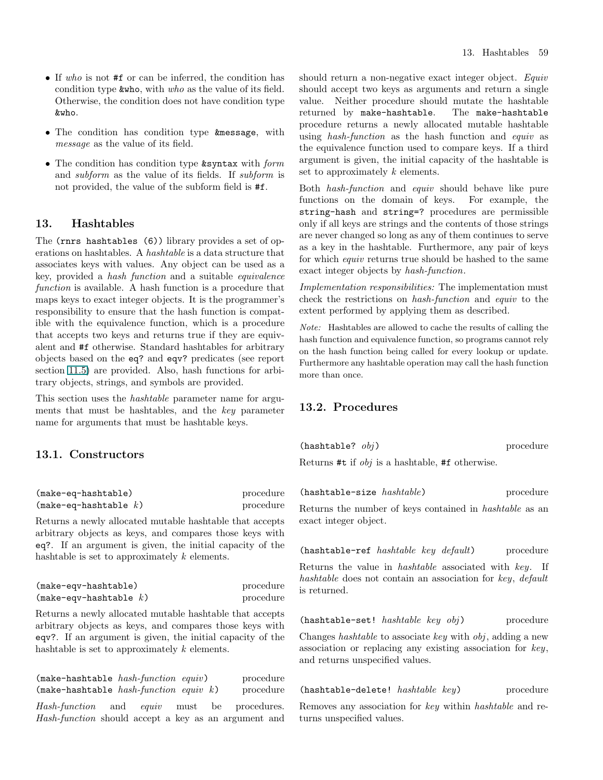- <span id="page-58-0"></span>• If who is not #f or can be inferred, the condition has condition type &who, with who as the value of its field. Otherwise, the condition does not have condition type &who.
- The condition has condition type &message, with message as the value of its field.
- The condition has condition type &syntax with form and subform as the value of its fields. If subform is not provided, the value of the subform field is #f.

# 13. Hashtables

The (rnrs hashtables (6)) library provides a set of operations on hashtables. A hashtable is a data structure that associates keys with values. Any object can be used as a key, provided a hash function and a suitable equivalence function is available. A hash function is a procedure that maps keys to exact integer objects. It is the programmer's responsibility to ensure that the hash function is compatible with the equivalence function, which is a procedure that accepts two keys and returns true if they are equivalent and #f otherwise. Standard hashtables for arbitrary objects based on the eq? and eqv? predicates (see report section 11.5) are provided. Also, hash functions for arbitrary objects, strings, and symbols are provided.

This section uses the hashtable parameter name for arguments that must be hashtables, and the key parameter name for arguments that must be hashtable keys.

# 13.1. Constructors

(make-eq-hashtable) procedure  $(make-eq-hashtable k)$  procedure

Returns a newly allocated mutable hashtable that accepts arbitrary objects as keys, and compares those keys with eq?. If an argument is given, the initial capacity of the hashtable is set to approximately k elements.

| (make-eqv-hashtable)     | procedure |
|--------------------------|-----------|
| $(make-eqv-hashtable k)$ | procedure |

Returns a newly allocated mutable hashtable that accepts arbitrary objects as keys, and compares those keys with eqv?. If an argument is given, the initial capacity of the hashtable is set to approximately  $k$  elements.

| (make-hashtable hash-function equiv)                      |  |  | procedure |
|-----------------------------------------------------------|--|--|-----------|
| $(make-hashtable$ hash-function equiv k)                  |  |  | procedure |
| <i>Hash-function</i> and <i>equiv</i> must be procedures. |  |  |           |
| Hash-function should accept a key as an argument and      |  |  |           |

should return a non-negative exact integer object. Equiv should accept two keys as arguments and return a single value. Neither procedure should mutate the hashtable returned by make-hashtable. The make-hashtable procedure returns a newly allocated mutable hashtable using hash-function as the hash function and equiv as the equivalence function used to compare keys. If a third argument is given, the initial capacity of the hashtable is set to approximately  $k$  elements.

Both hash-function and equiv should behave like pure functions on the domain of keys. For example, the string-hash and string=? procedures are permissible only if all keys are strings and the contents of those strings are never changed so long as any of them continues to serve as a key in the hashtable. Furthermore, any pair of keys for which equiv returns true should be hashed to the same exact integer objects by hash-function.

Implementation responsibilities: The implementation must check the restrictions on hash-function and equiv to the extent performed by applying them as described.

Note: Hashtables are allowed to cache the results of calling the hash function and equivalence function, so programs cannot rely on the hash function being called for every lookup or update. Furthermore any hashtable operation may call the hash function more than once.

# 13.2. Procedures

 $(hashtable?$   $obj)$  procedure Returns #t if obj is a hashtable, #f otherwise.

(hashtable-size hashtable) procedure

Returns the number of keys contained in hashtable as an exact integer object.

(hashtable-ref hashtable key default) procedure

Returns the value in hashtable associated with key. If hashtable does not contain an association for key, default is returned.

 $(hashtable-set! \quad \textit{hashtable key} \quad \textit{obj})$  procedure

Changes hashtable to associate key with obj, adding a new association or replacing any existing association for key, and returns unspecified values.

(hashtable-delete! hashtable key) procedure

Removes any association for key within hashtable and returns unspecified values.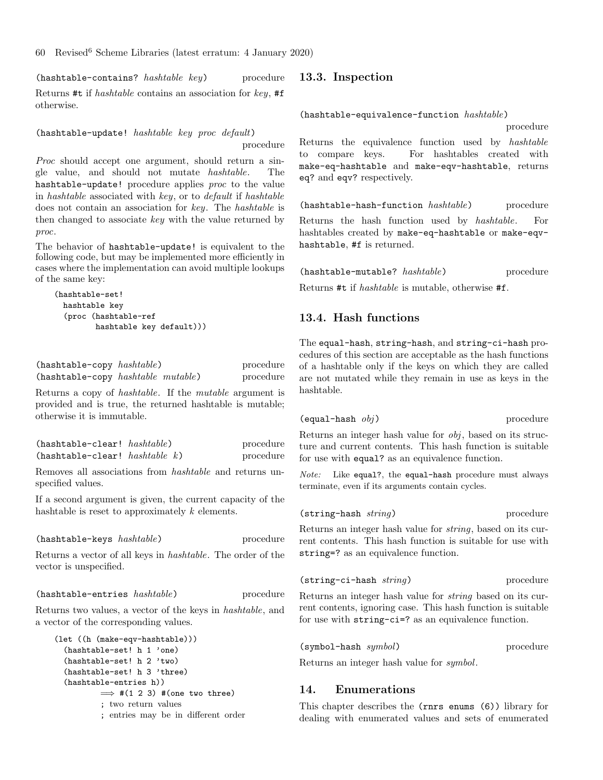<span id="page-59-0"></span> $(hashtable$ -contains? hashtable key) procedure

Returns #t if *hashtable* contains an association for  $key$ , #f otherwise.

(hashtable-update! hashtable key proc default) procedure

Proc should accept one argument, should return a single value, and should not mutate hashtable. The hashtable-update! procedure applies proc to the value in hashtable associated with key, or to default if hashtable does not contain an association for key. The hashtable is then changed to associate key with the value returned by proc.

The behavior of hashtable-update! is equivalent to the following code, but may be implemented more efficiently in cases where the implementation can avoid multiple lookups of the same key:

```
(hashtable-set!
 hashtable key
 (proc (hashtable-ref
        hashtable key default)))
```

| (hashtable-copy hashtable)         | procedure |
|------------------------------------|-----------|
| (hashtable-copy hashtable mutable) | procedure |

Returns a copy of hashtable. If the mutable argument is provided and is true, the returned hashtable is mutable; otherwise it is immutable.

| $(hashtable\text{-}clear! hashtable)$   | procedure |
|-----------------------------------------|-----------|
| $(hashtable\text{-}clear! hashtable k)$ | procedure |

Removes all associations from hashtable and returns unspecified values.

If a second argument is given, the current capacity of the hashtable is reset to approximately k elements.

(hashtable-keys hashtable) procedure

Returns a vector of all keys in hashtable. The order of the vector is unspecified.

#### (hashtable-entries hashtable) procedure

Returns two values, a vector of the keys in hashtable, and a vector of the corresponding values.

```
(let ((h (make-eqv-hashtable)))
  (hashtable-set! h 1 'one)
  (hashtable-set! h 2 'two)
  (hashtable-set! h 3 'three)
  (hashtable-entries h))
          \implies #(1 2 3) #(one two three)
          ; two return values
          ; entries may be in different order
```
# 13.3. Inspection

(hashtable-equivalence-function hashtable)

procedure

Returns the equivalence function used by hashtable to compare keys. For hashtables created with make-eq-hashtable and make-eqv-hashtable, returns eq? and eqv? respectively.

 $(hashtable-hash-function \quad \text{hashtable})$  procedure Returns the hash function used by hashtable. For hashtables created by make-eq-hashtable or make-eqvhashtable, #f is returned.

(hashtable-mutable? hashtable) procedure

Returns #t if hashtable is mutable, otherwise #f.

# 13.4. Hash functions

The equal-hash, string-hash, and string-ci-hash procedures of this section are acceptable as the hash functions of a hashtable only if the keys on which they are called are not mutated while they remain in use as keys in the hashtable.

```
(equal–hash \tobi) procedure
```
Returns an integer hash value for obj, based on its structure and current contents. This hash function is suitable for use with equal? as an equivalence function.

Note: Like equal?, the equal-hash procedure must always terminate, even if its arguments contain cycles.

(string-hash string) procedure

Returns an integer hash value for string, based on its current contents. This hash function is suitable for use with string=? as an equivalence function.

| $(string-ci-hash \text{string})$ | procedure |
|----------------------------------|-----------|
|                                  |           |

Returns an integer hash value for string based on its current contents, ignoring case. This hash function is suitable for use with string-ci=? as an equivalence function.

 $(symbol-hash \; symbol)$  procedure Returns an integer hash value for symbol.

14. Enumerations

This chapter describes the (rnrs enums (6)) library for dealing with enumerated values and sets of enumerated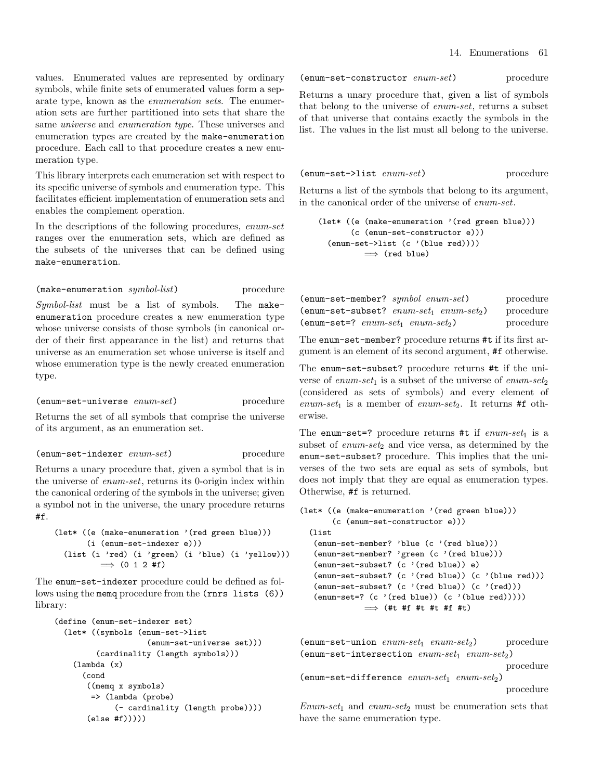<span id="page-60-0"></span>values. Enumerated values are represented by ordinary symbols, while finite sets of enumerated values form a separate type, known as the enumeration sets. The enumeration sets are further partitioned into sets that share the same universe and enumeration type. These universes and enumeration types are created by the make-enumeration procedure. Each call to that procedure creates a new enumeration type.

This library interprets each enumeration set with respect to its specific universe of symbols and enumeration type. This facilitates efficient implementation of enumeration sets and enables the complement operation.

In the descriptions of the following procedures, enum-set ranges over the enumeration sets, which are defined as the subsets of the universes that can be defined using make-enumeration.

#### $(make-enumeration symbol-list)$  procedure

 $Symbol-list$  must be a list of symbols. The makeenumeration procedure creates a new enumeration type whose universe consists of those symbols (in canonical order of their first appearance in the list) and returns that universe as an enumeration set whose universe is itself and whose enumeration type is the newly created enumeration type.

#### (enum-set-universe enum-set) procedure

Returns the set of all symbols that comprise the universe of its argument, as an enumeration set.

#### (enum-set-indexer enum-set) procedure

Returns a unary procedure that, given a symbol that is in the universe of enum-set, returns its 0-origin index within the canonical ordering of the symbols in the universe; given a symbol not in the universe, the unary procedure returns #f.

```
(let* ((e (make-enumeration '(red green blue)))
       (i (enum-set-indexer e)))
  (list (i 'red) (i 'green) (i 'blue) (i 'yellow)))
          \implies (0 1 2 #f)
```
The enum-set-indexer procedure could be defined as follows using the memq procedure from the (rnrs lists (6)) library:

```
(define (enum-set-indexer set)
  (let* ((symbols (enum-set->list
                    (enum-set-universe set)))
         (cardinality (length symbols)))
    (lambda (x)
      (cond
       ((memq x symbols)
        => (lambda (probe)
             (- cardinality (length probe))))
       (else #f)))))
```
(enum-set-constructor enum-set) procedure

Returns a unary procedure that, given a list of symbols that belong to the universe of enum-set, returns a subset of that universe that contains exactly the symbols in the list. The values in the list must all belong to the universe.

```
(enum-set->list enum-set) procedure
```
Returns a list of the symbols that belong to its argument, in the canonical order of the universe of enum-set.

```
(let* ((e (make-enumeration '(red green blue)))
      (c (enum-set-constructor e)))
 (enum-set->list (c '(blue red))))
         =⇒ (red blue)
```

| (enum-set-member? symbol enum-set)                                    | procedure |
|-----------------------------------------------------------------------|-----------|
| $(\text{enum-set-subset? } \textit{enum-set}_1 \textit{ enum-set}_2)$ | procedure |
| $(\text{enum-set} = ? \text{ enum-set}_1 \text{ enum-set}_2)$         | procedure |

The enum-set-member? procedure returns #t if its first argument is an element of its second argument, #f otherwise.

The enum-set-subset? procedure returns #t if the universe of enum-set<sub>1</sub> is a subset of the universe of enum-set<sub>2</sub> (considered as sets of symbols) and every element of enum-set<sub>1</sub> is a member of enum-set<sub>2</sub>. It returns #f otherwise.

The enum-set=? procedure returns #t if  $enum\text{-}set_1$  is a subset of  $enum\text{-}set_2$  and vice versa, as determined by the enum-set-subset? procedure. This implies that the universes of the two sets are equal as sets of symbols, but does not imply that they are equal as enumeration types. Otherwise, #f is returned.

```
(let* ((e (make-enumeration '(red green blue)))
       (c (enum-set-constructor e)))
  (list
   (enum-set-member? 'blue (c '(red blue)))
  (enum-set-member? 'green (c '(red blue)))
  (enum-set-subset? (c '(red blue)) e)
  (enum-set-subset? (c '(red blue)) (c '(blue red)))
  (enum-set-subset? (c '(red blue)) (c '(red)))
  (enum-set=? (c '(red blue)) (c '(blue red)))))
              \implies (#t #f #t #t #f #t)
```
 $(\text{enum-set-union } enum\text{-}set_1 \text{ enum-set}_2)$  procedure  $(enum-set-intersection\; enum-set_1\;enum-set_2)$ procedure  $(enum-set-difference\ enum-set_1\ enum-set_2)$ 

procedure

 $Enum\text{-}set_1$  and enum-set<sub>2</sub> must be enumeration sets that have the same enumeration type.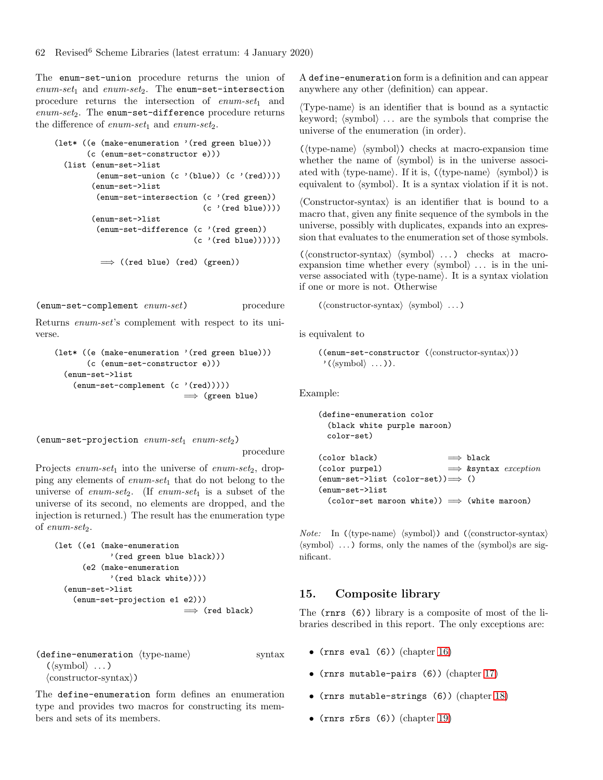<span id="page-61-0"></span>The enum-set-union procedure returns the union of  $enum\text{-}set_1$  and  $enum\text{-}set_2$ . The enum-set-intersection procedure returns the intersection of  $enum\text{-}set_1$  and  $enum\text{-}set_2$ . The enum-set-difference procedure returns the difference of  $enum\text{-}set_1$  and  $enum\text{-}set_2$ .

```
(let* ((e (make-enumeration '(red green blue)))
       (c (enum-set-constructor e)))
  (list (enum-set->list
         (\text{enum-set-union} (c')(blue)) (c'(red))))(enum-set->list
         (enum-set-intersection (c '(red green))
                                 (c'(\text{red blue})))(enum-set->list
         (enum-set-difference (c '(red green))
                               (c '(red blue))))))
```
 $\implies$  ((red blue) (red) (green))

(enum-set-complement enum-set) procedure

Returns enum-set's complement with respect to its universe.

```
(let* ((e (make-enumeration '(red green blue)))
       (c (enum-set-constructor e)))
  (enum-set->list
    (\text{enum-set-complement} (c'(\text{red}))))\implies (green blue)
```
 $(enum-set-projection$   $enum-set_1$   $enum-set_2)$ 

procedure

Projects enum-set<sub>1</sub> into the universe of enum-set<sub>2</sub>, dropping any elements of  $enum\text{-}set_1$  that do not belong to the universe of enum-set<sub>2</sub>. (If enum-set<sub>1</sub> is a subset of the universe of its second, no elements are dropped, and the injection is returned.) The result has the enumeration type of  $enum\text{-}set_2$ .

```
(let ((e1 (make-enumeration
            '(red green blue black)))
      (e2 (make-enumeration
            '(red black white))))
  (enum-set->list
    (enum-set-projection e1 e2)))
                             \implies (red black)
```
 $(define-enumeration \langle type-name \rangle$  syntax  $(\langle \text{symbol} \rangle \dots)$  $\langle$ constructor-syntax $\rangle$ )

The define-enumeration form defines an enumeration type and provides two macros for constructing its members and sets of its members.

A define-enumeration form is a definition and can appear anywhere any other  $\langle$  definition $\rangle$  can appear.

 $\langle \text{Type-name} \rangle$  is an identifier that is bound as a syntactic keyword;  $\langle$ symbol $\rangle$  ... are the symbols that comprise the universe of the enumeration (in order).

 $(\langle type\text{-}name \rangle \langle symbol \rangle)$  checks at macro-expansion time whether the name of  $\langle \text{symbol} \rangle$  is in the universe associated with  $\langle$ type-name $\rangle$ . If it is,  $(\langle$ type-name $\rangle$   $\langle$ symbol $\rangle$ ) is equivalent to  $\langle \text{symbol}\rangle$ . It is a syntax violation if it is not.

 $\langle$ Constructor-syntax $\rangle$  is an identifier that is bound to a macro that, given any finite sequence of the symbols in the universe, possibly with duplicates, expands into an expression that evaluates to the enumeration set of those symbols.

 $(\langle \text{constructor-syntax} \rangle \langle \text{symbol}] \dots)$  checks at macroexpansion time whether every  $\langle \text{symbol} \rangle$ ... is in the universe associated with  $\langle$  type-name $\rangle$ . It is a syntax violation if one or more is not. Otherwise

 $(\langle \text{constructor-syntax} \rangle \langle \text{symbol} \rangle \dots)$ 

is equivalent to

```
((\text{enum-set-constructor } (\langle \text{constructor-syntax} \rangle))'(\langle \text{symbol} \rangle \dots).
```
Example:

(define-enumeration color (black white purple maroon) color-set)

```
\text{(color black)} \implies \text{black}(color purpel) \implies &syntax exception
(\text{enum-set}-\text{list (color-set)}) \Longrightarrow ()(enum-set->list
  (color-set \text{ macroon white}) \implies (white \text{ macroon})
```
*Note:* In ( $\langle type-name \rangle$   $\langle symbol \rangle$ ) and ( $\langle construction-syntax \rangle$  $\langle \text{symbol} \rangle$  ...) forms, only the names of the  $\langle \text{symbol} \rangle$ s are significant.

# 15. Composite library

The (rnrs (6)) library is a composite of most of the libraries described in this report. The only exceptions are:

- (rnrs eval  $(6)$ ) (chapter [16\)](#page-62-0)
- (rnrs mutable-pairs (6)) (chapter [17\)](#page-62-1)
- (rnrs mutable-strings (6)) (chapter [18\)](#page-62-2)
- (rnrs r5rs  $(6)$ ) (chapter [19\)](#page-63-0)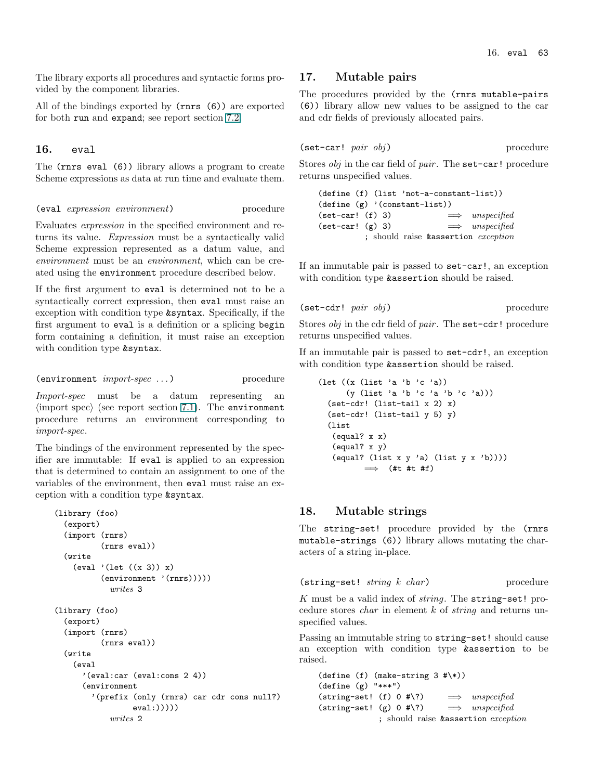<span id="page-62-3"></span>The library exports all procedures and syntactic forms provided by the component libraries.

<span id="page-62-0"></span>All of the bindings exported by (rnrs (6)) are exported for both run and expand; see report section [7.2.](#page-25-0)

# 16. eval

The (rnrs eval (6)) library allows a program to create Scheme expressions as data at run time and evaluate them.

(eval *expression environment*) procedure

Evaluates expression in the specified environment and returns its value. Expression must be a syntactically valid Scheme expression represented as a datum value, and environment must be an environment, which can be created using the environment procedure described below.

If the first argument to eval is determined not to be a syntactically correct expression, then eval must raise an exception with condition type &syntax. Specifically, if the first argument to eval is a definition or a splicing begin form containing a definition, it must raise an exception with condition type &syntax.

```
(environment import-spec ...) procedure
```
Import-spec must be a datum representing an  $\langle \text{import spec} \rangle$  (see report section [7.1\)](#page-23-1). The environment procedure returns an environment corresponding to import-spec.

The bindings of the environment represented by the specifier are immutable: If eval is applied to an expression that is determined to contain an assignment to one of the variables of the environment, then eval must raise an exception with a condition type &syntax.

```
(library (foo)
  (export)
  (import (rnrs)
           (rnrs eval))
  (write
    \text{(eval } '(\text{let } ((x 3)) x)(environment '(rnrs)))))
             writes 3
(library (foo)
  (export)
  (import (rnrs)
           (rnrs eval))
  (write
    (eval
      '(eval:car (eval:cons 2 4))
      (environment
        '(prefix (only (rnrs) car cdr cons null?)
                  eval:)))))
             writes 2
```
# <span id="page-62-1"></span>17. Mutable pairs

The procedures provided by the (rnrs mutable-pairs (6)) library allow new values to be assigned to the car and cdr fields of previously allocated pairs.

```
(\text{set-car! } pair \text{ } obj) procedure
```
Stores  $obj$  in the car field of *pair*. The set-car! procedure returns unspecified values.

(define (f) (list 'not-a-constant-list)) (define (g) '(constant-list)) (set-car! (f) 3)  $\implies$  unspecified (set-car! (g) 3)  $\implies$  unspecified ; should raise &assertion exception

If an immutable pair is passed to set-car!, an exception with condition type &assertion should be raised.

```
(\text{set-cdr! } pair \text{ obj}) procedure
```
Stores *obj* in the cdr field of *pair*. The set-cdr! procedure returns unspecified values.

If an immutable pair is passed to set-cdr!, an exception with condition type &assertion should be raised.

```
(let ((x (list 'a 'b 'c 'a))(y (list 'a 'b 'c 'a 'b 'c 'a)))
 (set-cdr! (list-tail x 2) x)
 (set-cdr! (list-tail y 5) y)
 (list
  (equal? x x)
  (equal? x y)
  (equal? (list x y 'a) (list y x 'b)))
         \implies (#t #t #f)
```
# <span id="page-62-2"></span>18. Mutable strings

The string-set! procedure provided by the (rnrs mutable-strings (6)) library allows mutating the characters of a string in-place.

| $(\text{string-set!} \, \text{string} \, \text{k} \, \text{char})$ |  |  |  | procedure |
|--------------------------------------------------------------------|--|--|--|-----------|
|--------------------------------------------------------------------|--|--|--|-----------|

K must be a valid index of string. The string-set! procedure stores *char* in element  $k$  of *string* and returns unspecified values.

Passing an immutable string to string-set! should cause an exception with condition type &assertion to be raised.

|                                          |  | $(detine (f) (make-string 3 \# \N))$ |                                     |
|------------------------------------------|--|--------------------------------------|-------------------------------------|
| $(detine(g) "***")$                      |  |                                      |                                     |
| $(\text{string-set!} \ (f) \ 0 \ # \$ ?) |  |                                      | $\implies$ unspecified              |
| $(string-set! (g) 0 #\$ ?                |  |                                      | $\implies$ unspecified              |
|                                          |  |                                      | ; should raise &assertion exception |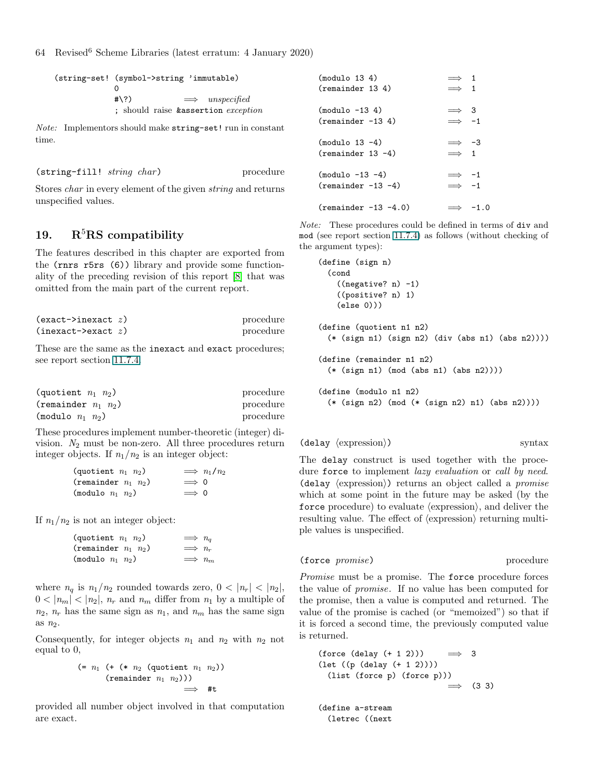```
(string-set! (symbol->string 'immutable)
                \Omega\text{#}\langle ? \rangle \implies unspecified
                ; should raise &assertion exception
```
Note: Implementors should make string-set! run in constant time.

```
(string-fill! string char) procedure
```
<span id="page-63-0"></span>Stores *char* in every element of the given *string* and returns unspecified values.

# 19.  $R^5RS$  compatibility

The features described in this chapter are exported from the (rnrs r5rs (6)) library and provide some functionality of the preceding revision of this report [\[8\]](#page-65-0) that was omitted from the main part of the current report.

| $(exact \rightarrow inexact z)$ | procedure |
|---------------------------------|-----------|
| $(inexact$ > exact z)           | procedure |

These are the same as the inexact and exact procedures; see report section 11.7.4.

| (quotient $n_1$ $n_2$ ) | procedure |
|-------------------------|-----------|
| $(remainder n_1 n_2)$   | procedure |
| $(modulo n_1 n_2)$      | procedure |

These procedures implement number-theoretic (integer) division.  $N_2$  must be non-zero. All three procedures return integer objects. If  $n_1/n_2$  is an integer object:

| (quotient $n_1$ $n_2$ )  | $\implies n_1/n_2$ |
|--------------------------|--------------------|
| (remainder $n_1$ $n_2$ ) | $\implies$ 0       |
| $(modulo n_1 n_2)$       | $\implies 0$       |

If  $n_1/n_2$  is not an integer object:

| (quotient $n_1$ $n_2$ )  | $\implies n_a$ |
|--------------------------|----------------|
| (remainder $n_1$ $n_2$ ) | $\implies n_r$ |
| $(modulo n_1 n_2)$       | $\implies n_m$ |

where  $n_q$  is  $n_1/n_2$  rounded towards zero,  $0 < |n_r| < |n_2|$ ,  $0 < |n_m| < |n_2|$ ,  $n_r$  and  $n_m$  differ from  $n_1$  by a multiple of  $n_2$ ,  $n_r$  has the same sign as  $n_1$ , and  $n_m$  has the same sign as  $n_2$ .

Consequently, for integer objects  $n_1$  and  $n_2$  with  $n_2$  not equal to 0,

$$
(\text{= } n_1 \text{ (+ } (* n_2 \text{ (quotient } n_1 \text{ } n_2)))
$$
  
\n
$$
(\text{remainder } n_1 \text{ } n_2)))
$$
  
\n
$$
\implies #t
$$

provided all number object involved in that computation are exact.

| (modulo 13 4)          | $\implies$ 1       |
|------------------------|--------------------|
| (remainder 13 4)       | $\implies$ 1       |
| $(modu1o -13 4)$       | $\implies$ 3       |
| $(remainder -13 4)$    | $\implies$ -1      |
| $(modu1o 13 -4)$       | $\implies$ -3      |
| (remainder 13 $-4$ )   | $\implies$ 1       |
| $(modu1o -13 -4)$      | $\implies$ -1      |
| $(remainder -13 -4)$   | $\implies$ -1      |
| $(remainder -13 -4.0)$ | $\Rightarrow$ -1.0 |

Note: These procedures could be defined in terms of div and mod (see report section 11.7.4) as follows (without checking of the argument types):

```
(define (sign n)
 (cond
    ((negative? n) -1)
   ((positive? n) 1)
   (else 0)))
```

```
(define (quotient n1 n2)
 (* (sign n1) (sign n2) (div (abs n1) (abs n2))))
```

```
(define (remainder n1 n2)
 (* (sign n1) (mod (abs n1) (abs n2))))
```

```
(define (modulo n1 n2)
 (* (sign n2) (mod (* (sign n2) n1) (abs n2))))
```
 $(\text{delay} \langle \text{expression} \rangle)$  syntax

The delay construct is used together with the procedure force to implement lazy evaluation or call by need. (delay  $\langle$  expression $\rangle$ ) returns an object called a *promise* which at some point in the future may be asked (by the force procedure) to evaluate  $\langle$  expression $\rangle$ , and deliver the resulting value. The effect of  $\langle$  expression $\rangle$  returning multiple values is unspecified.

#### (force *promise*) procedure

*Promise* must be a promise. The force procedure forces the value of promise. If no value has been computed for the promise, then a value is computed and returned. The value of the promise is cached (or "memoized") so that if it is forced a second time, the previously computed value is returned.

```
(force (delay (+ 1 2))) \implies 3(let ((p (delay (+ 1 2))))
  (list (force p) (force p)))
                             \implies (3 3)
```

```
(define a-stream
 (letrec ((next
```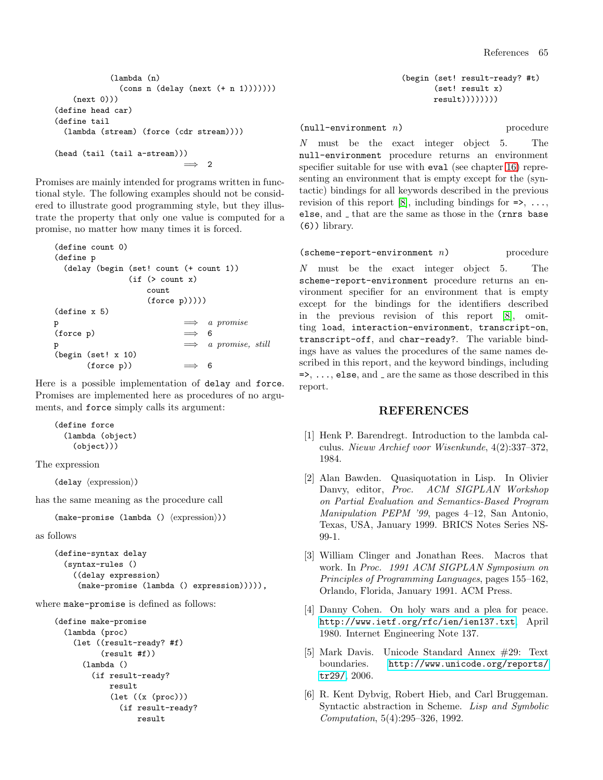```
(lambda (n)
              (cons n (delay (next (+ n 1)))))(next 0))(define head car)
(define tail
  (lambda (stream) (force (cdr stream))))
(head (tail (tail a-stream)))
```
=⇒ 2

Promises are mainly intended for programs written in functional style. The following examples should not be considered to illustrate good programming style, but they illustrate the property that only one value is computed for a promise, no matter how many times it is forced.

```
(define count 0)
(define p
  (delay (begin (set! count (+ count 1))
               (if ( > count x)count
                   (force p)))))
(define x 5)
p \longrightarrow a \; \text{promise}(force p) \implies 6
\mathbf{p} \longrightarrow a \text{ } promise, \text{ } still(begin (set! x 10)
       (force p)) \implies 6
```
Here is a possible implementation of delay and force. Promises are implemented here as procedures of no arguments, and force simply calls its argument:

```
(define force
  (lambda (object)
    (object)))
```
The expression

 $(delay \langle expression \rangle)$ 

has the same meaning as the procedure call

```
(make-promise (lambda () \langle expression \rangle))
```
as follows

```
(define-syntax delay
  (syntax-rules ()
    ((delay expression)
     (make-promise (lambda () expression))))),
```
where make-promise is defined as follows:

```
(define make-promise
  (lambda (proc)
    (let ((result-ready? #f)
          (result #f))
      (lambda ()
        (if result-ready?
            result
            (let ((x (proc)))
              (if result-ready?
                  result
```

```
(begin (set! result-ready? #t)
       (set! result x)
       result))))))))
```
 $\text{(null-environment } n)$  procedure

N must be the exact integer object 5. The null-environment procedure returns an environment specifier suitable for use with eval (see chapter [16\)](#page-62-0) representing an environment that is empty except for the (syntactic) bindings for all keywords described in the previous revision of this report [\[8\]](#page-65-0), including bindings for  $\Rightarrow$ , ..., else, and  $\overline{\ }$  that are the same as those in the (rnrs base (6)) library.

```
(scheme-report-environment \t n) procedure
```
N must be the exact integer object 5. The scheme-report-environment procedure returns an environment specifier for an environment that is empty except for the bindings for the identifiers described in the previous revision of this report [\[8\]](#page-65-0), omitting load, interaction-environment, transcript-on, transcript-off, and char-ready?. The variable bindings have as values the procedures of the same names described in this report, and the keyword bindings, including  $\Rightarrow$ , ..., else, and  $\angle$  are the same as those described in this report.

# REFERENCES

- <span id="page-64-0"></span>[1] Henk P. Barendregt. Introduction to the lambda calculus. Nieuw Archief voor Wisenkunde, 4(2):337–372, 1984.
- <span id="page-64-3"></span>[2] Alan Bawden. Quasiquotation in Lisp. In Olivier Danvy, editor, Proc. ACM SIGPLAN Workshop on Partial Evaluation and Semantics-Based Program Manipulation PEPM '99, pages 4–12, San Antonio, Texas, USA, January 1999. BRICS Notes Series NS-99-1.
- <span id="page-64-1"></span>[3] William Clinger and Jonathan Rees. Macros that work. In Proc. 1991 ACM SIGPLAN Symposium on Principles of Programming Languages, pages 155–162, Orlando, Florida, January 1991. ACM Press.
- [4] Danny Cohen. On holy wars and a plea for peace. <http://www.ietf.org/rfc/ien/ien137.txt>, April 1980. Internet Engineering Note 137.
- [5] Mark Davis. Unicode Standard Annex #29: Text boundaries. [http://www.unicode.org/reports/](http://www.unicode.org/reports/tr29/) [tr29/](http://www.unicode.org/reports/tr29/), 2006.
- <span id="page-64-2"></span>[6] R. Kent Dybvig, Robert Hieb, and Carl Bruggeman. Syntactic abstraction in Scheme. Lisp and Symbolic Computation, 5(4):295–326, 1992.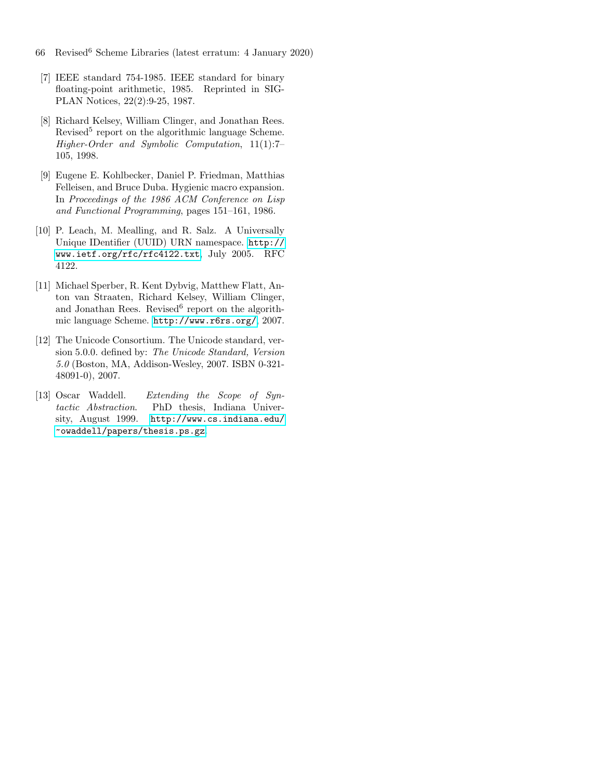- <span id="page-65-1"></span>66 Revised<sup>6</sup> Scheme Libraries (latest erratum: 4 January 2020)
- [7] IEEE standard 754-1985. IEEE standard for binary floating-point arithmetic, 1985. Reprinted in SIG-PLAN Notices, 22(2):9-25, 1987.
- <span id="page-65-0"></span>[8] Richard Kelsey, William Clinger, and Jonathan Rees. Revised<sup>5</sup> report on the algorithmic language Scheme. Higher-Order and Symbolic Computation, 11(1):7– 105, 1998.
- <span id="page-65-2"></span>[9] Eugene E. Kohlbecker, Daniel P. Friedman, Matthias Felleisen, and Bruce Duba. Hygienic macro expansion. In Proceedings of the 1986 ACM Conference on Lisp and Functional Programming, pages 151–161, 1986.
- [10] P. Leach, M. Mealling, and R. Salz. A Universally Unique IDentifier (UUID) URN namespace. [http://](http://www.ietf.org/rfc/rfc4122.txt) [www.ietf.org/rfc/rfc4122.txt](http://www.ietf.org/rfc/rfc4122.txt), July 2005. RFC 4122.
- [11] Michael Sperber, R. Kent Dybvig, Matthew Flatt, Anton van Straaten, Richard Kelsey, William Clinger, and Jonathan Rees. Revised<sup>6</sup> report on the algorithmic language Scheme. <http://www.r6rs.org/>, 2007.
- [12] The Unicode Consortium. The Unicode standard, version 5.0.0. defined by: The Unicode Standard, Version 5.0 (Boston, MA, Addison-Wesley, 2007. ISBN 0-321- 48091-0), 2007.
- <span id="page-65-3"></span>[13] Oscar Waddell. Extending the Scope of Syntactic Abstraction. PhD thesis, Indiana University, August 1999. [http://www.cs.indiana.edu/](http://www.cs.indiana.edu/~owaddell/papers/thesis.ps.gz) [~owaddell/papers/thesis.ps.gz](http://www.cs.indiana.edu/~owaddell/papers/thesis.ps.gz).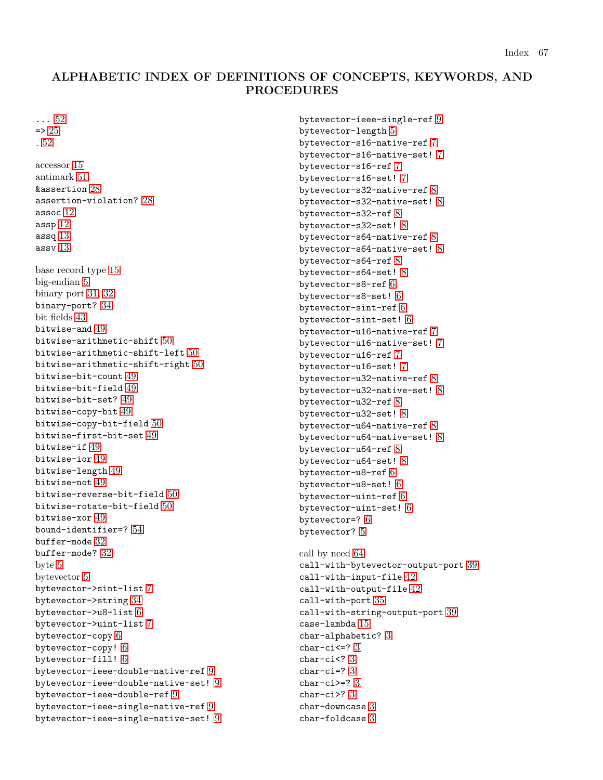# ALPHABETIC INDEX OF DEFINITIONS OF CONCEPTS, KEYWORDS, AND PROCEDURES

```
\Rightarrow25
52
accessor 15
antimark 51
&assertion 28
assertion-violation? 28
assoc 12
assp 12
assq 13
assv 13
base record type 15
big-endian 5
binary port 31, 32
binary-port? 34
bit fields 43
bitwise-and 49
bitwise-arithmetic-shift 50
bitwise-arithmetic-shift-left 50\,bitwise-arithmetic-shift-right 50
bitwise-bit-count 49
bitwise-bit-field 49
bitwise-bit-set? 49
bitwise-copy-bit 49
bitwise-copy-bit-field 50
bitwise-first-bit-set 49
bitwise-if 49
bitwise-ior 49
bitwise-length 49
bitwise-not 49
bitwise-reverse-bit-field 50
bitwise-rotate-bit-field 50
bitwise-xor 49
bound-identifier=? 54
buffer-mode 32
buffer-mode? 32
byte 5
bytevector 5
bytevector->sint-list 7
bytevector->string 34
bytevector->u8-list 6
bytevector->uint-list 7
bytevector-copy 6
bytevector-copy! 6
bytevector-fill! 6
bytevector-ieee-double-native-ref 9
bytevector-ieee-double-native-set! 9
bytevector-ieee-double-ref 9
bytevector-ieee-single-native-ref 9
bytevector-ieee-single-native-set! 9
```
... [52](#page-51-2)

bytevector-ieee-single-ref [9](#page-8-0) bytevector-length [5](#page-4-0) bytevector-s16-native-ref [7](#page-6-0) bytevector-s16-native-set! [7](#page-6-0) bytevector-s16-ref [7](#page-6-0) bytevector-s16-set! [7](#page-6-0) bytevector-s32-native-ref [8](#page-7-0) bytevector-s32-native-set! [8](#page-7-0) bytevector-s32-ref [8](#page-7-0) bytevector-s32-set! [8](#page-7-0) bytevector-s64-native-ref [8](#page-7-0) bytevector-s64-native-set! [8](#page-7-0) bytevector-s64-ref [8](#page-7-0) bytevector-s64-set! [8](#page-7-0) bytevector-s8-ref [6](#page-5-0) bytevector-s8-set! [6](#page-5-0) bytevector-sint-ref [6](#page-5-0) bytevector-sint-set! [6](#page-5-0) bytevector-u16-native-ref [7](#page-6-0) bytevector-u16-native-set! [7](#page-6-0) bytevector-u16-ref [7](#page-6-0) bytevector-u16-set! [7](#page-6-0) bytevector-u32-native-ref [8](#page-7-0) bytevector-u32-native-set! [8](#page-7-0) bytevector-u32-ref [8](#page-7-0) bytevector-u32-set! [8](#page-7-0) bytevector-u64-native-ref [8](#page-7-0) bytevector-u64-native-set! [8](#page-7-0) bytevector-u64-ref [8](#page-7-0) bytevector-u64-set! [8](#page-7-0) bytevector-u8-ref [6](#page-5-0) bytevector-u8-set! [6](#page-5-0) bytevector-uint-ref [6](#page-5-0) bytevector-uint-set! [6](#page-5-0) bytevector=? [6](#page-5-0) bytevector? [5](#page-4-0) call by need [64](#page-63-1) call-with-bytevector-output-port [39](#page-38-0) call-with-input-file [42](#page-41-1) call-with-output-file [42](#page-41-1) call-with-port [35](#page-34-0) call-with-string-output-port [39](#page-38-0) case-lambda [15](#page-14-0) char-alphabetic? [3](#page-2-0) char-ci<=? [3](#page-2-0) char-ci<? [3](#page-2-0) char-ci=? [3](#page-2-0) char-ci>=? [3](#page-2-0) char-ci>? [3](#page-2-0) char-downcase [3](#page-2-0)

char-foldcase [3](#page-2-0)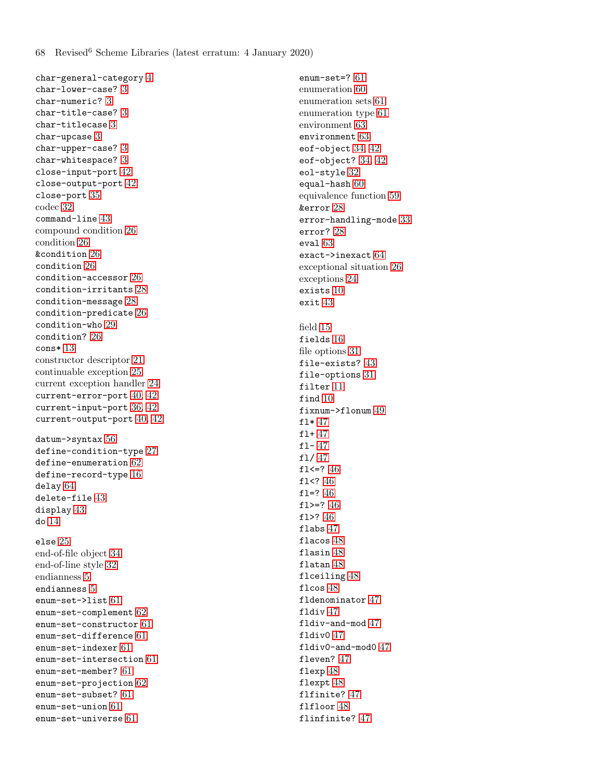char-general-category [4](#page-3-0) char-lower-case? [3](#page-2-0) char-numeric? [3](#page-2-0) char-title-case? [3](#page-2-0) char-titlecase [3](#page-2-0) char-upcase [3](#page-2-0) char-upper-case? [3](#page-2-0) char-whitespace? [3](#page-2-0) close-input-port [42](#page-41-1) close-output-port [42](#page-41-1) close-port [35](#page-34-0) codec [32](#page-31-1) command-line [43](#page-42-0) compound condition [26](#page-25-1) condition [26](#page-25-1) &condition [26](#page-25-1) condition [26](#page-25-1) condition-accessor [26](#page-25-1) condition-irritants [28](#page-27-0) condition-message [28](#page-27-0) condition-predicate [26](#page-25-1) condition-who [29](#page-28-0) condition? [26](#page-25-1) cons\* [13](#page-12-0) constructor descriptor [21](#page-20-0) continuable exception [25](#page-24-0) current exception handler [24](#page-23-2) current-error-port [40,](#page-39-0) [42](#page-41-1) current-input-port [36,](#page-35-0) [42](#page-41-1) current-output-port [40,](#page-39-0) [42](#page-41-1) datum->syntax [56](#page-55-1) define-condition-type [27](#page-26-0) define-enumeration [62](#page-61-0) define-record-type [16](#page-15-0) delay [64](#page-63-1) delete-file [43](#page-42-0) display [43](#page-42-0) do [14](#page-13-0) else [25](#page-24-0) end-of-file object [34](#page-33-1) end-of-line style [32](#page-31-1) endianness [5](#page-4-0) endianness [5](#page-4-0) enum-set->list [61](#page-60-0) enum-set-complement [62](#page-61-0) enum-set-constructor [61](#page-60-0) enum-set-difference [61](#page-60-0) enum-set-indexer [61](#page-60-0) enum-set-intersection [61](#page-60-0) enum-set-member? [61](#page-60-0) enum-set-projection [62](#page-61-0) enum-set-subset? [61](#page-60-0) enum-set-union [61](#page-60-0) enum-set-universe [61](#page-60-0)

enum-set=? [61](#page-60-0) enumeration [60](#page-59-0) enumeration sets [61](#page-60-0) enumeration type [61](#page-60-0) environment [63](#page-62-3) environment [63](#page-62-3) eof-object [34,](#page-33-1) [42](#page-41-1) eof-object? [34,](#page-33-1) [42](#page-41-1) eol-style [32](#page-31-1) equal-hash [60](#page-59-0) equivalence function [59](#page-58-0) &error [28](#page-27-0) error-handling-mode [33](#page-32-0) error? [28](#page-27-0) eval [63](#page-62-3) exact->inexact [64](#page-63-1) exceptional situation [26](#page-25-1) exceptions [24](#page-23-2) exists [10](#page-9-0) exit [43](#page-42-0) field [15](#page-14-0) fields [16](#page-15-0) file options [31](#page-30-2) file-exists? [43](#page-42-0) file-options [31](#page-30-2) filter [11](#page-10-0) find [10](#page-9-0) fixnum->flonum [49](#page-48-0) fl\* [47](#page-46-0) fl+ [47](#page-46-0)  $f1 - 47$  $f1 - 47$ fl/ [47](#page-46-0) fl<=? [46](#page-45-0) fl<? [46](#page-45-0) fl=? [46](#page-45-0) fl>=? [46](#page-45-0) fl>? [46](#page-45-0) flabs [47](#page-46-0) flacos [48](#page-47-0) flasin [48](#page-47-0) flatan [48](#page-47-0) flceiling [48](#page-47-0) flcos [48](#page-47-0) fldenominator [47](#page-46-0) fldiv [47](#page-46-0) fldiv-and-mod [47](#page-46-0) fldiv0 [47](#page-46-0) fldiv0-and-mod0 [47](#page-46-0) fleven? [47](#page-46-0) flexp [48](#page-47-0) flexpt [48](#page-47-0) flfinite? [47](#page-46-0) flfloor [48](#page-47-0) flinfinite? [47](#page-46-0)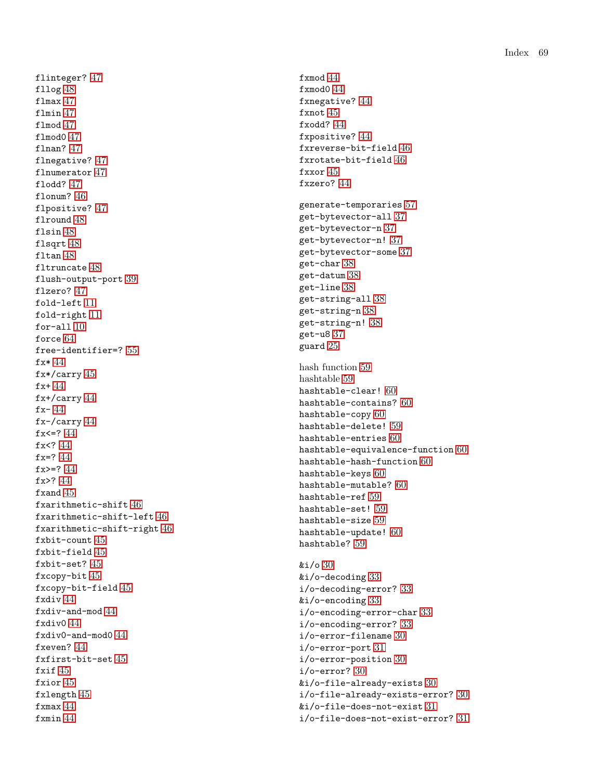flinteger? [47](#page-46-0) fllog [48](#page-47-0) flmax [47](#page-46-0) flmin [47](#page-46-0) flmod [47](#page-46-0) flmod0 [47](#page-46-0) flnan? [47](#page-46-0) flnegative? [47](#page-46-0) flnumerator [47](#page-46-0) flodd? [47](#page-46-0) flonum? [46](#page-45-0) flpositive? [47](#page-46-0) flround [48](#page-47-0) flsin [48](#page-47-0) flsqrt [48](#page-47-0) fltan [48](#page-47-0) fltruncate [48](#page-47-0) flush-output-port [39](#page-38-0) flzero? [47](#page-46-0) fold-left [11](#page-10-0) fold-right [11](#page-10-0) for-all [10](#page-9-0) force [64](#page-63-1) free-identifier=? [55](#page-54-0) fx\* [44](#page-43-0) fx\*/carry [45](#page-44-0) fx+ [44](#page-43-0) fx+/carry [44](#page-43-0) fx- [44](#page-43-0) fx-/carry [44](#page-43-0) fx<=? [44](#page-43-0) fx<? [44](#page-43-0) fx=? [44](#page-43-0) fx $>=? 44$  $>=? 44$ fx>? [44](#page-43-0) fxand [45](#page-44-0) fxarithmetic-shift [46](#page-45-0) fxarithmetic-shift-left [46](#page-45-0) fxarithmetic-shift-right [46](#page-45-0) fxbit-count [45](#page-44-0) fxbit-field [45](#page-44-0) fxbit-set? [45](#page-44-0) fxcopy-bit [45](#page-44-0) fxcopy-bit-field [45](#page-44-0) fxdiv [44](#page-43-0) fxdiv-and-mod [44](#page-43-0) fxdiv0 [44](#page-43-0) fxdiv0-and-mod0 [44](#page-43-0) fxeven? [44](#page-43-0) fxfirst-bit-set [45](#page-44-0) fxif [45](#page-44-0) fxior [45](#page-44-0) fxlength [45](#page-44-0) fxmax [44](#page-43-0) fxmin [44](#page-43-0)

fxmod [44](#page-43-0) fxmod0 [44](#page-43-0) fxnegative? [44](#page-43-0) fxnot [45](#page-44-0) fxodd? [44](#page-43-0) fxpositive? [44](#page-43-0) fxreverse-bit-field [46](#page-45-0) fxrotate-bit-field [46](#page-45-0) fxxor [45](#page-44-0) fxzero? [44](#page-43-0) generate-temporaries [57](#page-56-1) get-bytevector-all [37](#page-36-0) get-bytevector-n [37](#page-36-0) get-bytevector-n! [37](#page-36-0) get-bytevector-some [37](#page-36-0) get-char [38](#page-37-1) get-datum [38](#page-37-1) get-line [38](#page-37-1) get-string-all [38](#page-37-1) get-string-n [38](#page-37-1) get-string-n! [38](#page-37-1) get-u8 [37](#page-36-0) guard [25](#page-24-0) hash function [59](#page-58-0) hashtable [59](#page-58-0) hashtable-clear! [60](#page-59-0) hashtable-contains? [60](#page-59-0) hashtable-copy [60](#page-59-0) hashtable-delete! [59](#page-58-0) hashtable-entries [60](#page-59-0) hashtable-equivalence-function [60](#page-59-0) hashtable-hash-function [60](#page-59-0) hashtable-keys [60](#page-59-0) hashtable-mutable? [60](#page-59-0) hashtable-ref [59](#page-58-0) hashtable-set! [59](#page-58-0) hashtable-size [59](#page-58-0) hashtable-update! [60](#page-59-0) hashtable? [59](#page-58-0) &i/o [30](#page-29-1) &i/o-decoding [33](#page-32-0) i/o-decoding-error? [33](#page-32-0) &i/o-encoding [33](#page-32-0) i/o-encoding-error-char [33](#page-32-0) i/o-encoding-error? [33](#page-32-0) i/o-error-filename [30](#page-29-1) i/o-error-port [31](#page-30-2) i/o-error-position [30](#page-29-1) i/o-error? [30](#page-29-1) &i/o-file-already-exists [30](#page-29-1) i/o-file-already-exists-error? [30](#page-29-1) &i/o-file-does-not-exist [31](#page-30-2) i/o-file-does-not-exist-error? [31](#page-30-2)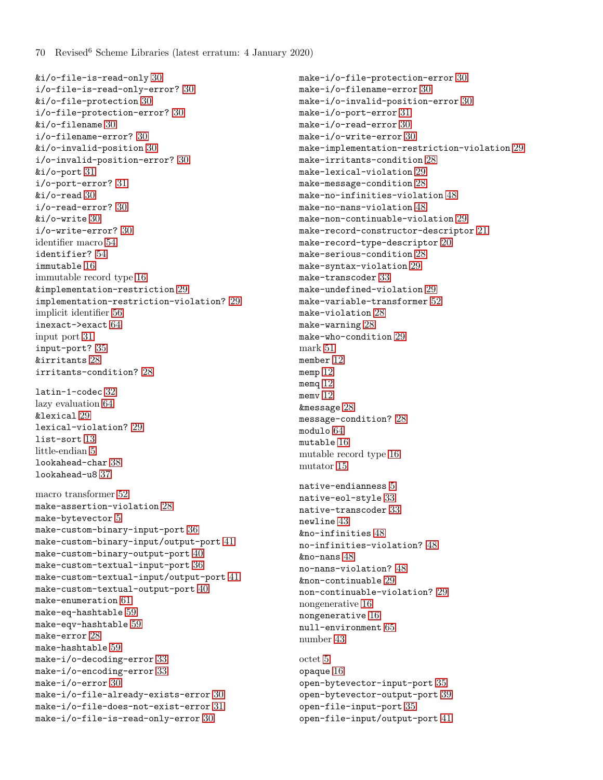&i/o-file-is-read-only [30](#page-29-1) i/o-file-is-read-only-error? [30](#page-29-1) &i/o-file-protection [30](#page-29-1) i/o-file-protection-error? [30](#page-29-1) &i/o-filename [30](#page-29-1) i/o-filename-error? [30](#page-29-1) &i/o-invalid-position [30](#page-29-1) i/o-invalid-position-error? [30](#page-29-1) &i/o-port [31](#page-30-2) i/o-port-error? [31](#page-30-2) &i/o-read [30](#page-29-1) i/o-read-error? [30](#page-29-1) &i/o-write [30](#page-29-1) i/o-write-error? [30](#page-29-1) identifier macro [54](#page-53-1) identifier? [54](#page-53-1) immutable [16](#page-15-0) immutable record type [16](#page-15-0) &implementation-restriction [29](#page-28-0) implementation-restriction-violation? [29](#page-28-0) implicit identifier [56](#page-55-1) inexact->exact [64](#page-63-1) input port [31](#page-30-2) input-port? [35](#page-34-0) &irritants [28](#page-27-0) irritants-condition? [28](#page-27-0) latin-1-codec [32](#page-31-1) lazy evaluation [64](#page-63-1) &lexical [29](#page-28-0) lexical-violation? [29](#page-28-0) list-sort [13](#page-12-0) little-endian [5](#page-4-0) lookahead-char [38](#page-37-1) lookahead-u8 [37](#page-36-0) macro transformer [52](#page-51-2) make-assertion-violation [28](#page-27-0) make-bytevector [5](#page-4-0) make-custom-binary-input-port [36](#page-35-0) make-custom-binary-input/output-port [41](#page-40-1) make-custom-binary-output-port [40](#page-39-0) make-custom-textual-input-port [36](#page-35-0) make-custom-textual-input/output-port [41](#page-40-1) make-custom-textual-output-port [40](#page-39-0) make-enumeration [61](#page-60-0) make-eq-hashtable [59](#page-58-0) make-eqv-hashtable [59](#page-58-0) make-error [28](#page-27-0) make-hashtable [59](#page-58-0) make-i/o-decoding-error [33](#page-32-0) make-i/o-encoding-error [33](#page-32-0) make-i/o-error [30](#page-29-1) make-i/o-file-already-exists-error [30](#page-29-1) make-i/o-file-does-not-exist-error [31](#page-30-2) make-i/o-file-is-read-only-error [30](#page-29-1)

make-i/o-file-protection-error [30](#page-29-1) make-i/o-filename-error [30](#page-29-1) make-i/o-invalid-position-error [30](#page-29-1) make-i/o-port-error [31](#page-30-2) make-i/o-read-error [30](#page-29-1) make-i/o-write-error [30](#page-29-1) make-implementation-restriction-violation [29](#page-28-0) make-irritants-condition [28](#page-27-0) make-lexical-violation [29](#page-28-0) make-message-condition [28](#page-27-0) make-no-infinities-violation [48](#page-47-0) make-no-nans-violation [48](#page-47-0) make-non-continuable-violation [29](#page-28-0) make-record-constructor-descriptor [21](#page-20-0) make-record-type-descriptor [20](#page-19-0) make-serious-condition [28](#page-27-0) make-syntax-violation [29](#page-28-0) make-transcoder [33](#page-32-0) make-undefined-violation [29](#page-28-0) make-variable-transformer [52](#page-51-2) make-violation [28](#page-27-0) make-warning [28](#page-27-0) make-who-condition [29](#page-28-0) mark [51](#page-50-2) member [12](#page-11-0) memp [12](#page-11-0) memq [12](#page-11-0) memv [12](#page-11-0) &message [28](#page-27-0) message-condition? [28](#page-27-0) modulo [64](#page-63-1) mutable [16](#page-15-0) mutable record type [16](#page-15-0) mutator [15](#page-14-0) native-endianness [5](#page-4-0) native-eol-style [33](#page-32-0) native-transcoder [33](#page-32-0) newline [43](#page-42-0) &no-infinities [48](#page-47-0) no-infinities-violation? [48](#page-47-0) &no-nans [48](#page-47-0) no-nans-violation? [48](#page-47-0) &non-continuable [29](#page-28-0) non-continuable-violation? [29](#page-28-0) nongenerative [16](#page-15-0) nongenerative [16](#page-15-0) null-environment [65](#page-64-4) number [43](#page-42-0) octet [5](#page-4-0) opaque [16](#page-15-0) open-bytevector-input-port [35](#page-34-0) open-bytevector-output-port [39](#page-38-0) open-file-input-port [35](#page-34-0) open-file-input/output-port [41](#page-40-1)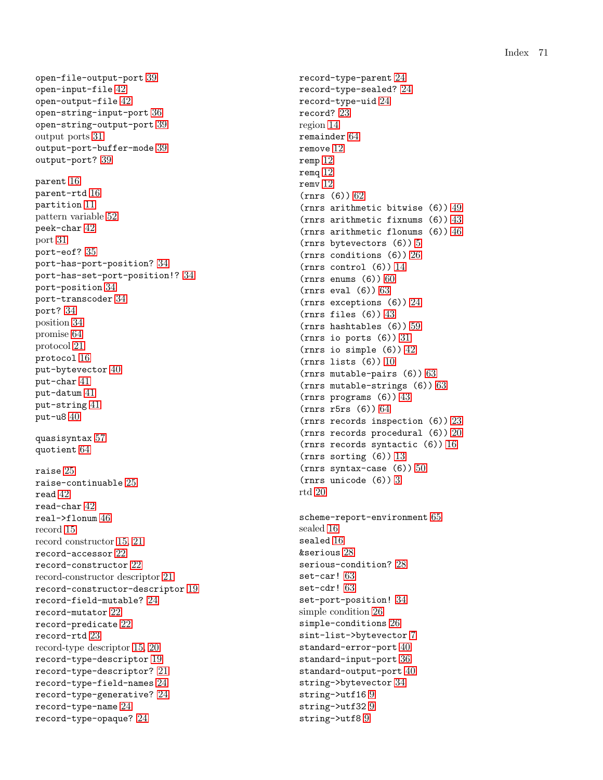open-file-output-port [39](#page-38-0) open-input-file [42](#page-41-1) open-output-file [42](#page-41-1) open-string-input-port [36](#page-35-0) open-string-output-port [39](#page-38-0) output ports [31](#page-30-2) output-port-buffer-mode [39](#page-38-0) output-port? [39](#page-38-0) parent [16](#page-15-0) parent-rtd [16](#page-15-0) partition [11](#page-10-0) pattern variable [52](#page-51-2) peek-char [42](#page-41-1) port [31](#page-30-2) port-eof? [35](#page-34-0) port-has-port-position? [34](#page-33-1) port-has-set-port-position!? [34](#page-33-1) port-position [34](#page-33-1) port-transcoder [34](#page-33-1) port? [34](#page-33-1) position [34](#page-33-1) promise [64](#page-63-1) protocol [21](#page-20-0) protocol [16](#page-15-0) put-bytevector [40](#page-39-0) put-char [41](#page-40-1) put-datum [41](#page-40-1) put-string [41](#page-40-1) put-u8 [40](#page-39-0) quasisyntax [57](#page-56-1) quotient [64](#page-63-1) raise [25](#page-24-0) raise-continuable [25](#page-24-0) read [42](#page-41-1) read-char [42](#page-41-1) real->flonum [46](#page-45-0) record [15](#page-14-0) record constructor [15,](#page-14-0) [21](#page-20-0) record-accessor [22](#page-21-0) record-constructor [22](#page-21-0) record-constructor descriptor [21](#page-20-0) record-constructor-descriptor [19](#page-18-0) record-field-mutable? [24](#page-23-2) record-mutator [22](#page-21-0) record-predicate [22](#page-21-0) record-rtd [23](#page-22-0) record-type descriptor [15,](#page-14-0) [20](#page-19-0) record-type-descriptor [19](#page-18-0) record-type-descriptor? [21](#page-20-0) record-type-field-names [24](#page-23-2) record-type-generative? [24](#page-23-2) record-type-name [24](#page-23-2) record-type-opaque? [24](#page-23-2)

```
record-type-parent 24
record-type-sealed? 24
record-type-uid 24
record? 23
region 14
remainder 64
remove 12
remp 12
remq 12
remv 12
(rnrs (6)) 62
(rnrs arithmetic bitwise (6)) 49
(rnrs arithmetic fixnums (6)) 43
(rnrs arithmetic flonums (6)) 46
(rnrs bytevectors (6))
5
(rnrs conditions (6)) 26
(rnrs control (6)) 14
(rnrs enums (6)) 60(rnrs eval (6)) 63(rnrs exceptions (6)) 24
(rnrs files (6)) 43(rnrs hashtables (6)) 59
(rnrs io ports (6)) 31
(rnrs io simple (6)) 42
(rnrs lists (6)10
(rnrs mutable-pairs (6)) 63
(rnrs mutable-strings (6)) 63
(rnrs programs (6)) 43
(rnrs r5rs (6)) 64
(rnrs records inspection (6)) 23
(rnrs records procedural (6)) 20
(rnrs records syntactic (6)) 16
(rnrs sorting (6)) 13
(rnrs syntax-case (6)50
(rnrs unicode (6))
3
rtd 20
scheme-report-environment 65
sealed 16
sealed 16
&serious 28
serious-condition? 28
set-car! 63
set-cdr! 63
set-port-position! 34
simple condition 26
simple-conditions 26
sint-list->bytevector
7
standard-error-port 40
standard-input-port 36
standard-output-port 40
string->bytevector 34
string->utf16
9
string->utf32
9
```
string->utf8 [9](#page-8-0)